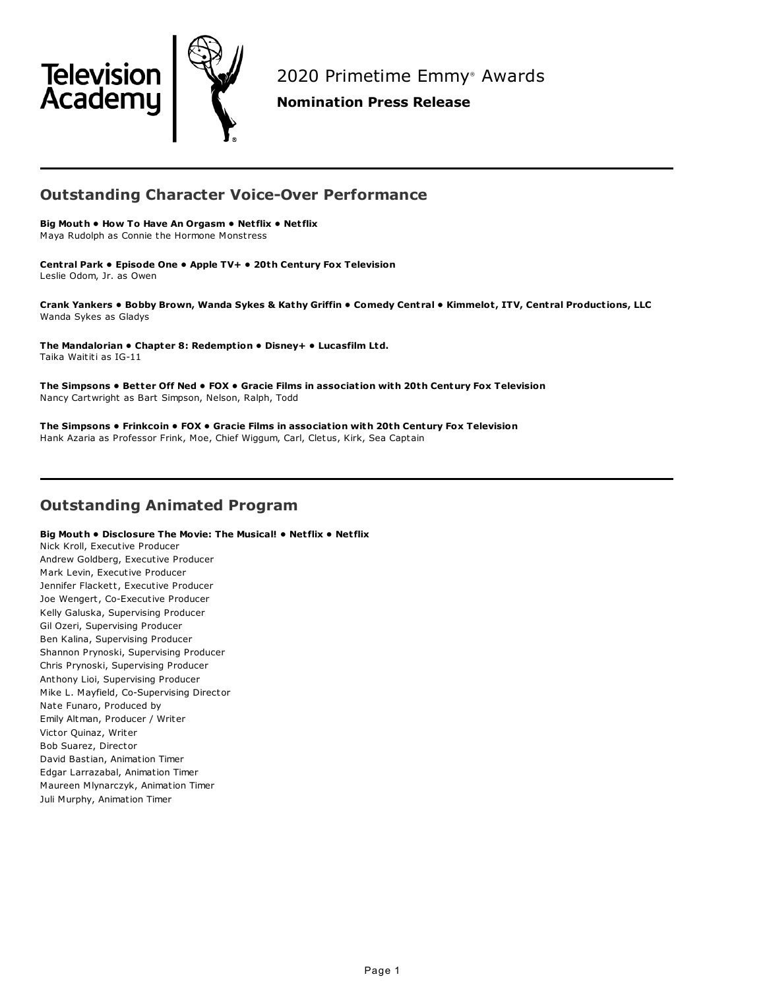

2020 Primetime Emmy ® Awards

**Nomination Press Release**

## **Outstanding Character Voice-Over Performance**

**Big Mouth • How To Have An Orgasm • Netflix • Netflix**

Maya Rudolph as Connie the Hormone Monstress

Television<br>Academy

**Central Park • Episode One • Apple TV+ • 20th Century Fox Television** Leslie Odom, Jr. as Owen

Crank Yankers . Bobby Brown, Wanda Sykes & Kathy Griffin . Comedy Central . Kimmelot, ITV, Central Productions, LLC Wanda Sykes as Gladys

**The Mandalorian • Chapter 8: Redemption • Disney+ • Lucasfilm Ltd.** Taika Waititi as IG-11

**The Simpsons • Better Off Ned • FOX • Gracie Films in association with 20th Century Fox Television** Nancy Cartwright as Bart Simpson, Nelson, Ralph, Todd

**The Simpsons • Frinkcoin • FOX • Gracie Films in association with 20th Century Fox Television** Hank Azaria as Professor Frink, Moe, Chief Wiggum, Carl, Cletus, Kirk, Sea Captain

# **Outstanding Animated Program**

**Big Mouth • Disclosure The Movie: The Musical! • Netflix • Netflix** Nick Kroll, Executive Producer Andrew Goldberg, Executive Producer Mark Levin, Executive Producer Jennifer Flackett, Executive Producer Joe Wengert, Co-Executive Producer Kelly Galuska, Supervising Producer Gil Ozeri, Supervising Producer Ben Kalina, Supervising Producer Shannon Prynoski, Supervising Producer Chris Prynoski, Supervising Producer Anthony Lioi, Supervising Producer Mike L. Mayfield, Co-Supervising Director Nate Funaro, Produced by Emily Altman, Producer / Writer Victor Quinaz, Writer Bob Suarez, Director David Bastian, Animation Timer Edgar Larrazabal, Animation Timer Maureen Mlynarczyk, Animation Timer

Juli Murphy, Animation Timer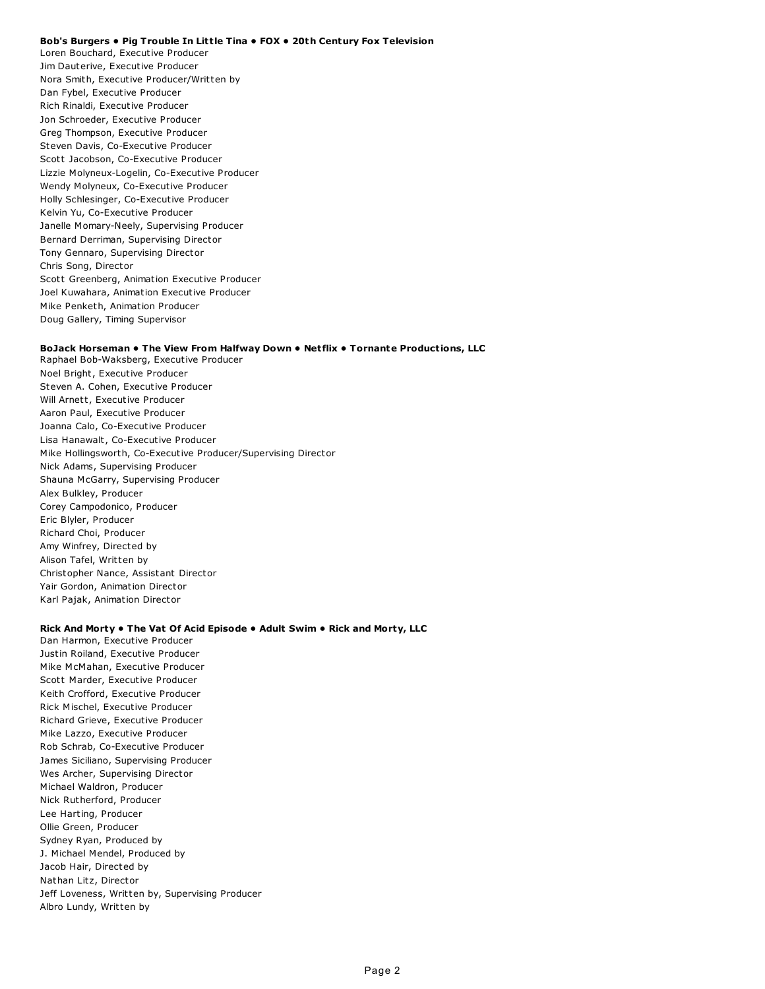#### **Bob's Burgers • Pig Trouble In Little Tina • FOX • 20th Century Fox Television**

Loren Bouchard, Executive Producer Jim Dauterive, Executive Producer Nora Smith, Executive Producer/Written by Dan Fybel, Executive Producer Rich Rinaldi, Executive Producer Jon Schroeder, Executive Producer Greg Thompson, Executive Producer Steven Davis, Co-Executive Producer Scott Jacobson, Co-Executive Producer Lizzie Molyneux-Logelin, Co-Executive Producer Wendy Molyneux, Co-Executive Producer Holly Schlesinger, Co-Executive Producer Kelvin Yu, Co-Executive Producer Janelle Momary-Neely, Supervising Producer Bernard Derriman, Supervising Director Tony Gennaro, Supervising Director Chris Song, Director Scott Greenberg, Animation Executive Producer Joel Kuwahara, Animation Executive Producer Mike Penketh, Animation Producer Doug Gallery, Timing Supervisor

#### **BoJack Horseman • The View From Halfway Down • Netflix • Tornante Productions, LLC**

Raphael Bob-Waksberg, Executive Producer Noel Bright, Executive Producer Steven A. Cohen, Executive Producer Will Arnett, Executive Producer Aaron Paul, Executive Producer Joanna Calo, Co-Executive Producer Lisa Hanawalt, Co-Executive Producer Mike Hollingsworth, Co-Executive Producer/Supervising Director Nick Adams, Supervising Producer Shauna McGarry, Supervising Producer Alex Bulkley, Producer Corey Campodonico, Producer Eric Blyler, Producer Richard Choi, Producer Amy Winfrey, Directed by Alison Tafel, Written by Christopher Nance, Assistant Director Yair Gordon, Animation Director Karl Pajak, Animation Director

### **Rick And Morty • The Vat Of Acid Episode • Adult Swim • Rick and Morty, LLC**

Dan Harmon, Executive Producer Justin Roiland, Executive Producer Mike McMahan, Executive Producer Scott Marder, Executive Producer Keith Crofford, Executive Producer Rick Mischel, Executive Producer Richard Grieve, Executive Producer Mike Lazzo, Executive Producer Rob Schrab, Co-Executive Producer James Siciliano, Supervising Producer Wes Archer, Supervising Director Michael Waldron, Producer Nick Rutherford, Producer Lee Harting, Producer Ollie Green, Producer Sydney Ryan, Produced by J. Michael Mendel, Produced by Jacob Hair, Directed by Nathan Litz, Director Jeff Loveness, Written by, Supervising Producer Albro Lundy, Written by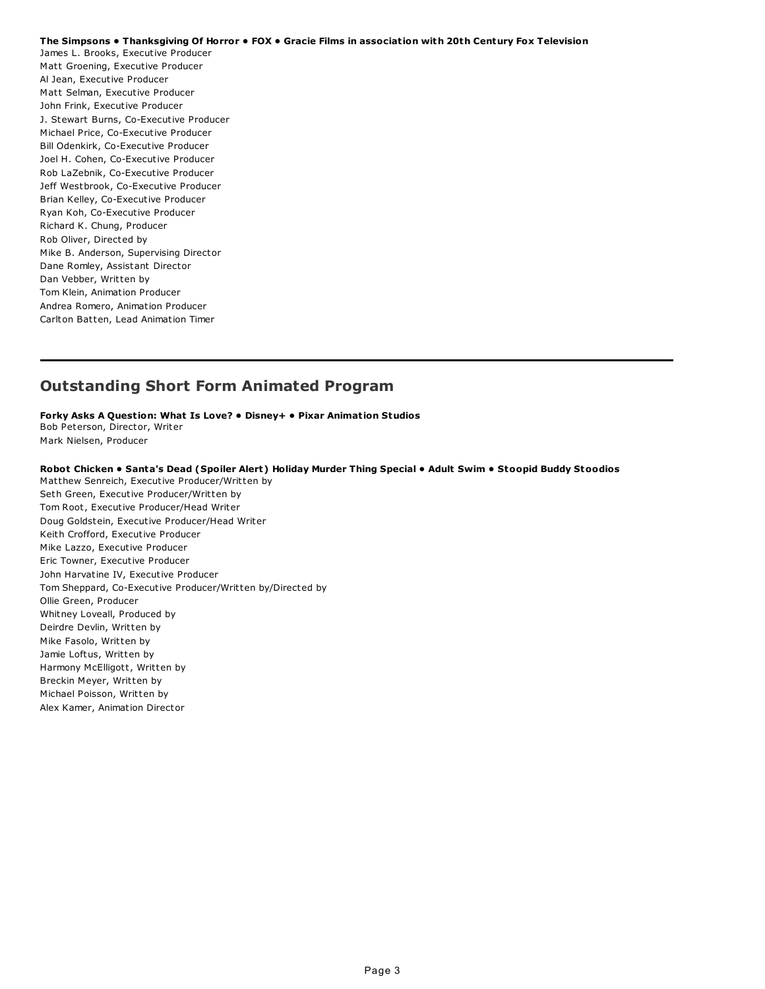The Simpsons . Thanksgiving Of Horror . FOX . Gracie Films in association with 20th Century Fox Television

James L. Brooks, Executive Producer Matt Groening, Executive Producer Al Jean, Executive Producer Matt Selman, Executive Producer John Frink, Executive Producer J. Stewart Burns, Co-Executive Producer Michael Price, Co-Executive Producer Bill Odenkirk, Co-Executive Producer Joel H. Cohen, Co-Executive Producer Rob LaZebnik, Co-Executive Producer Jeff Westbrook, Co-Executive Producer Brian Kelley, Co-Executive Producer Ryan Koh, Co-Executive Producer Richard K. Chung, Producer Rob Oliver, Directed by Mike B. Anderson, Supervising Director Dane Romley, Assistant Director Dan Vebber, Written by Tom Klein, Animation Producer Andrea Romero, Animation Producer Carlton Batten, Lead Animation Timer

## **Outstanding Short Form Animated Program**

**Forky Asks A Question: What Is Love? • Disney+ • Pixar Animation Studios** Bob Peterson, Director, Writer

Mark Nielsen, Producer

Robot Chicken . Santa's Dead (Spoiler Alert) Holiday Murder Thing Special . Adult Swim . Stoopid Buddy Stoodios Matthew Senreich, Executive Producer/Written by Seth Green, Executive Producer/Written by Tom Root, Executive Producer/Head Writer Doug Goldstein, Executive Producer/Head Writer Keith Crofford, Executive Producer Mike Lazzo, Executive Producer Eric Towner, Executive Producer John Harvatine IV, Executive Producer Tom Sheppard, Co-Executive Producer/Written by/Directed by Ollie Green, Producer Whitney Loveall, Produced by Deirdre Devlin, Written by Mike Fasolo, Written by Jamie Loftus, Written by Harmony McElligott, Written by Breckin Meyer, Written by Michael Poisson, Written by Alex Kamer, Animation Director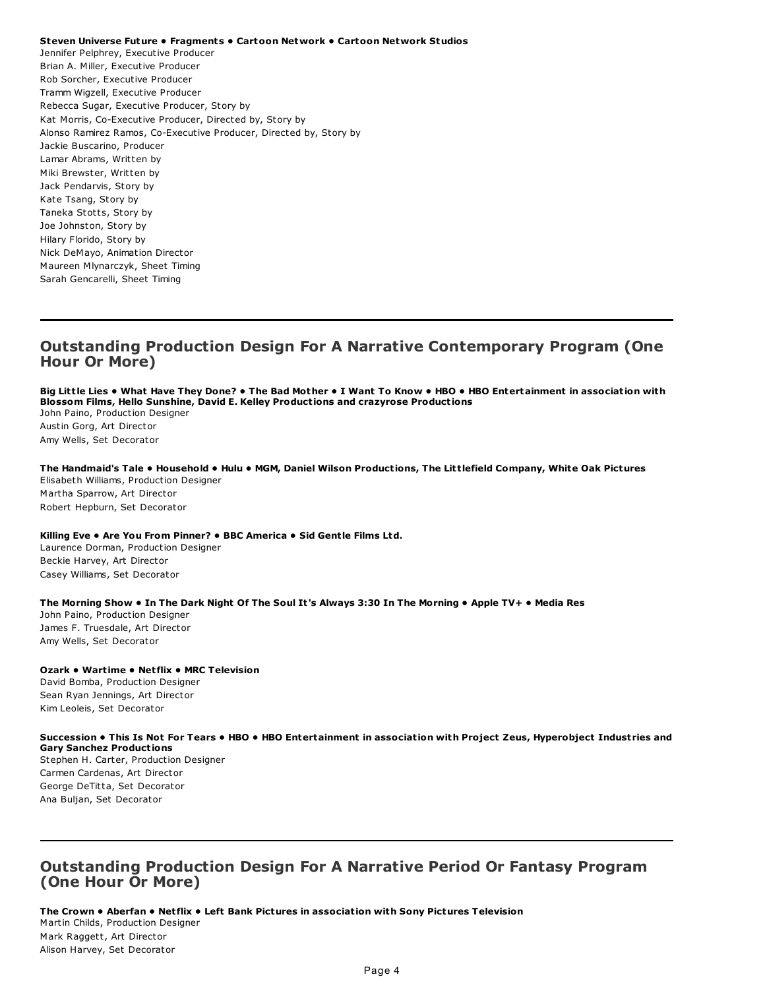**Steven Universe Future • Fragments • Cartoon Network • Cartoon Network Studios** Jennifer Pelphrey, Executive Producer Brian A. Miller, Executive Producer Rob Sorcher, Executive Producer Tramm Wigzell, Executive Producer Rebecca Sugar, Executive Producer, Story by Kat Morris, Co-Executive Producer, Directed by, Story by Alonso Ramirez Ramos, Co-Executive Producer, Directed by, Story by Jackie Buscarino, Producer Lamar Abrams, Written by Miki Brewster, Written by Jack Pendarvis, Story by Kate Tsang, Story by Taneka Stotts, Story by Joe Johnston, Story by Hilary Florido, Story by Nick DeMayo, Animation Director Maureen Mlynarczyk, Sheet Timing Sarah Gencarelli, Sheet Timing

## **Outstanding Production Design For A Narrative Contemporary Program (One Hour Or More)**

Big Little Lies . What Have They Done? . The Bad Mother . I Want To Know . HBO . HBO Entertainment in association with **Blossom Films, Hello Sunshine, David E. Kelley Productions and crazyrose Productions** John Paino, Production Designer Austin Gorg, Art Director Amy Wells, Set Decorator

The Handmaid's Tale . Household . Hulu . MGM, Daniel Wilson Productions, The Littlefield Company, White Oak Pictures Elisabeth Williams, Production Designer Martha Sparrow, Art Director Robert Hepburn, Set Decorator

### **Killing Eve • Are You From Pinner? • BBC America • Sid Gentle Films Ltd.**

Laurence Dorman, Production Designer Beckie Harvey, Art Director Casey Williams, Set Decorator

### The Morning Show . In The Dark Night Of The Soul It's Always 3:30 In The Morning . Apple TV+ . Media Res

John Paino, Production Designer James F. Truesdale, Art Director Amy Wells, Set Decorator

### **Ozark • Wartime • Netflix • MRC Television**

David Bomba, Production Designer Sean Ryan Jennings, Art Director Kim Leoleis, Set Decorator

#### Succession • This Is Not For Tears • HBO • HBO Entertainment in association with Project Zeus, Hyperobject Industries and **Gary Sanchez Productions**

Stephen H. Carter, Production Designer Carmen Cardenas, Art Director George DeTitta, Set Decorator Ana Buljan, Set Decorator

## **Outstanding Production Design For A Narrative Period Or Fantasy Program (One Hour Or More)**

**The Crown • Aberfan • Netflix • Left Bank Pictures in association with Sony Pictures Television** Martin Childs, Production Designer Mark Raggett, Art Director Alison Harvey, Set Decorator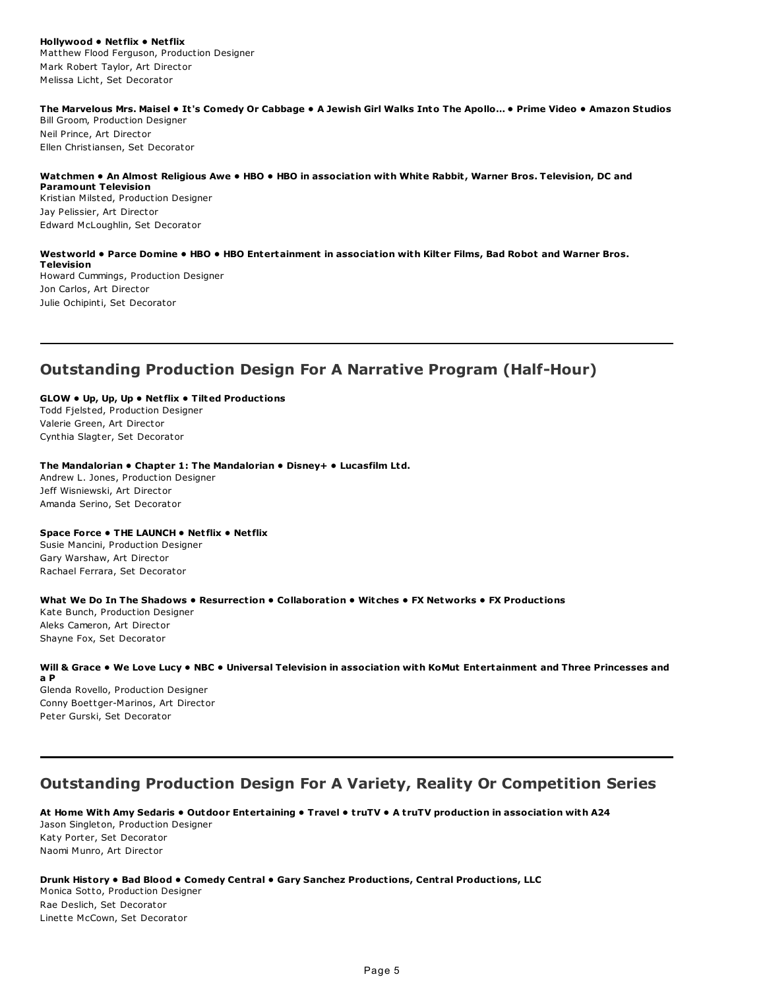**Hollywood • Netflix • Netflix** Matthew Flood Ferguson, Production Designer Mark Robert Taylor, Art Director Melissa Licht, Set Decorator

#### The Marvelous Mrs. Maisel . It's Comedy Or Cabbage . A Jewish Girl Walks Into The Apollo... . Prime Video . Amazon Studios

Bill Groom, Production Designer Neil Prince, Art Director Ellen Christiansen, Set Decorator

### Watchmen . An Almost Religious Awe . HBO . HBO in association with White Rabbit, Warner Bros. Television, DC and **Paramount Television** Kristian Milsted, Production Designer Jay Pelissier, Art Director

Edward McLoughlin, Set Decorator

### Westworld . Parce Domine . HBO . HBO Entertainment in association with Kilter Films, Bad Robot and Warner Bros.

**Television** Howard Cummings, Production Designer Jon Carlos, Art Director Julie Ochipinti, Set Decorator

# **Outstanding Production Design For A Narrative Program (Half-Hour)**

**GLOW • Up, Up, Up • Netflix • Tilted Productions** Todd Fjelsted, Production Designer Valerie Green, Art Director Cynthia Slagter, Set Decorator

### **The Mandalorian • Chapter 1: The Mandalorian • Disney+ • Lucasfilm Ltd.**

Andrew L. Jones, Production Designer Jeff Wisniewski, Art Director Amanda Serino, Set Decorator

### **Space Force • THE LAUNCH • Netflix • Netflix**

Susie Mancini, Production Designer Gary Warshaw, Art Director Rachael Ferrara, Set Decorator

## **What We Do In The Shadows • Resurrection • Collaboration • Witches • FX Networks • FX Productions**

Kate Bunch, Production Designer Aleks Cameron, Art Director Shayne Fox, Set Decorator

#### Will & Grace . We Love Lucy . NBC . Universal Television in association with KoMut Entertainment and Three Princesses and **a P**

Glenda Rovello, Production Designer Conny Boettger-Marinos, Art Director Peter Gurski, Set Decorator

# **Outstanding Production Design For A Variety, Reality Or Competition Series**

At Home With Amy Sedaris • Outdoor Entertaining • Travel • truTV • A truTV production in association with A24 Jason Singleton, Production Designer Katy Porter, Set Decorator Naomi Munro, Art Director

### **Drunk History • Bad Blood • Comedy Central • Gary Sanchez Productions, Central Productions, LLC**

Monica Sotto, Production Designer Rae Deslich, Set Decorator Linette McCown, Set Decorator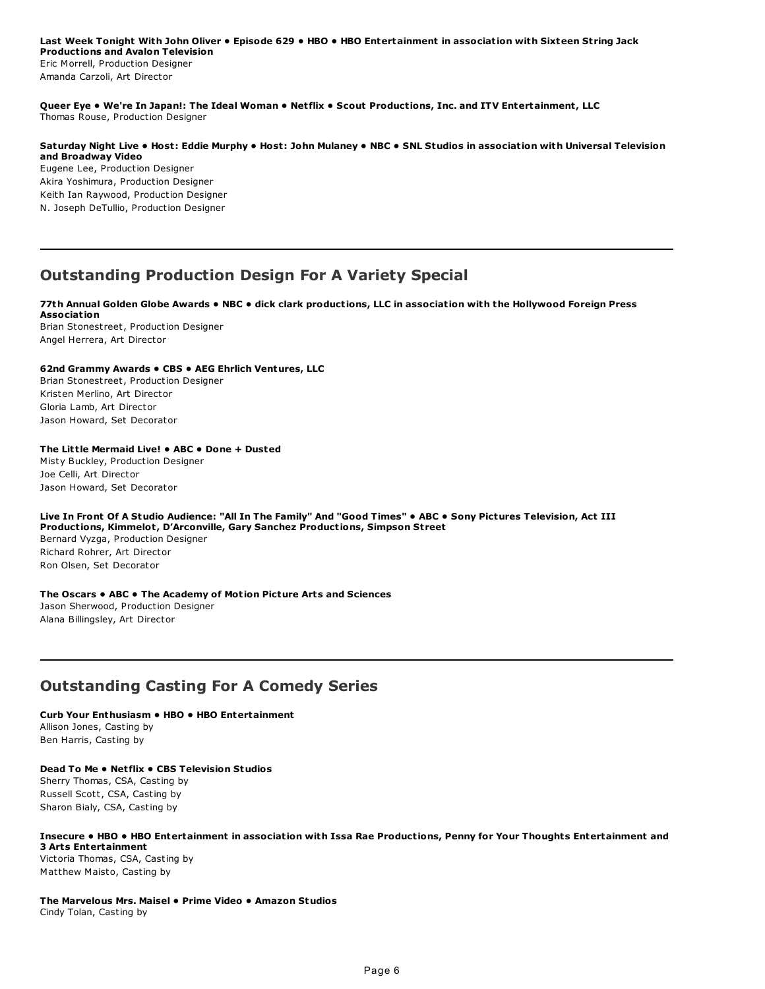Last Week Tonight With John Oliver . Episode 629 . HBO . HBO Entertainment in association with Sixteen String Jack **Productions and Avalon Television** Eric Morrell, Production Designer Amanda Carzoli, Art Director

Queer Eye . We're In Japan!: The Ideal Woman . Netflix . Scout Productions, Inc. and ITV Entertainment, LLC Thomas Rouse, Production Designer

Saturday Night Live • Host: Eddie Murphy • Host: John Mulaney • NBC • SNL Studios in association with Universal Television **and Broadway Video** Eugene Lee, Production Designer

Akira Yoshimura, Production Designer Keith Ian Raywood, Production Designer N. Joseph DeTullio, Production Designer

# **Outstanding Production Design For A Variety Special**

77th Annual Golden Globe Awards • NBC • dick clark productions, LLC in association with the Hollywood Foreign Press **Association** Brian Stonestreet, Production Designer Angel Herrera, Art Director

**62nd Grammy Awards • CBS • AEG Ehrlich Ventures, LLC**

Brian Stonestreet, Production Designer Kristen Merlino, Art Director Gloria Lamb, Art Director Jason Howard, Set Decorator

**The Little Mermaid Live! • ABC • Done + Dusted**

Misty Buckley, Production Designer Joe Celli, Art Director Jason Howard, Set Decorator

Live In Front Of A Studio Audience: "All In The Family" And "Good Times" . ABC . Sony Pictures Television, Act III **Productions, Kimmelot, D'Arconville, Gary Sanchez Productions, Simpson Street** Bernard Vyzga, Production Designer Richard Rohrer, Art Director

Ron Olsen, Set Decorator

**The Oscars • ABC • The Academy of Motion Picture Arts and Sciences**

Jason Sherwood, Production Designer Alana Billingsley, Art Director

# **Outstanding Casting For A Comedy Series**

**Curb Your Enthusiasm • HBO • HBO Entertainment** Allison Jones, Casting by

Ben Harris, Casting by

**Dead To Me • Netflix • CBS Television Studios** Sherry Thomas, CSA, Casting by Russell Scott, CSA, Casting by Sharon Bialy, CSA, Casting by

Insecure . HBO . HBO Entertainment in association with Issa Rae Productions, Penny for Your Thoughts Entertainment and **3 Arts Entertainment** Victoria Thomas, CSA, Casting by Matthew Maisto, Casting by

**The Marvelous Mrs. Maisel • Prime Video • Amazon Studios** Cindy Tolan, Casting by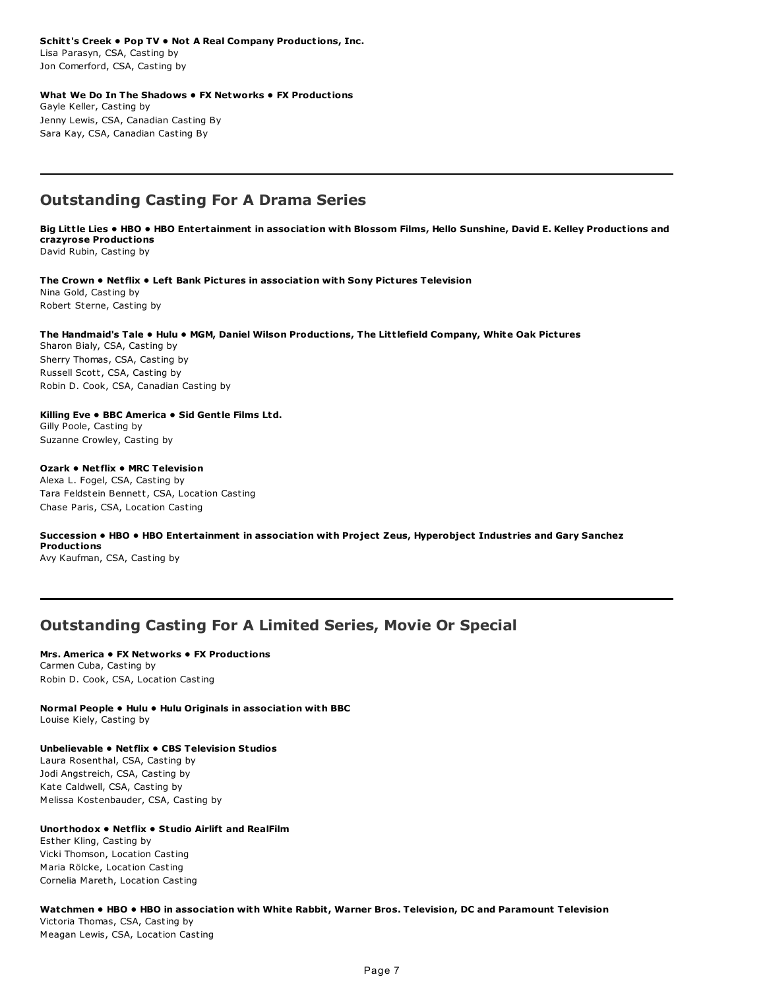**Schitt's Creek • Pop TV • Not A Real Company Productions, Inc.** Lisa Parasyn, CSA, Casting by Jon Comerford, CSA, Casting by

#### **What We Do In The Shadows • FX Networks • FX Productions**

Gayle Keller, Casting by Jenny Lewis, CSA, Canadian Casting By Sara Kay, CSA, Canadian Casting By

## **Outstanding Casting For A Drama Series**

Big Little Lies . HBO . HBO Entertainment in association with Blossom Films, Hello Sunshine, David E. Kelley Productions and **crazyrose Productions** David Rubin, Casting by

#### **The Crown • Netflix • Left Bank Pictures in association with Sony Pictures Television**

Nina Gold, Casting by Robert Sterne, Casting by

#### **The Handmaid's Tale • Hulu • MGM, Daniel Wilson Productions, The Littlefield Company, White Oak Pictures**

Sharon Bialy, CSA, Casting by Sherry Thomas, CSA, Casting by Russell Scott, CSA, Casting by Robin D. Cook, CSA, Canadian Casting by

### **Killing Eve • BBC America • Sid Gentle Films Ltd.** Gilly Poole, Casting by Suzanne Crowley, Casting by

### **Ozark • Netflix • MRC Television**

Alexa L. Fogel, CSA, Casting by Tara Feldstein Bennett, CSA, Location Casting Chase Paris, CSA, Location Casting

**Succession • HBO • HBO Entertainment in association with Project Zeus, Hyperobject Industries and Gary Sanchez Productions** Avy Kaufman, CSA, Casting by

# **Outstanding Casting For A Limited Series, Movie Or Special**

## **Mrs. America • FX Networks • FX Productions**

Carmen Cuba, Casting by Robin D. Cook, CSA, Location Casting

#### **Normal People • Hulu • Hulu Originals in association with BBC** Louise Kiely, Casting by

### **Unbelievable • Netflix • CBS Television Studios**

Laura Rosenthal, CSA, Casting by Jodi Angst reich, CSA, Casting by Kate Caldwell, CSA, Casting by Melissa Kostenbauder, CSA, Casting by

### **Unorthodox • Netflix • Studio Airlift and RealFilm**

Esther Kling, Casting by Vicki Thomson, Location Casting Maria Rölcke, Location Casting Cornelia Mareth, Location Casting

## Watchmen . HBO . HBO in association with White Rabbit, Warner Bros. Television, DC and Paramount Television Victoria Thomas, CSA, Casting by

Meagan Lewis, CSA, Location Casting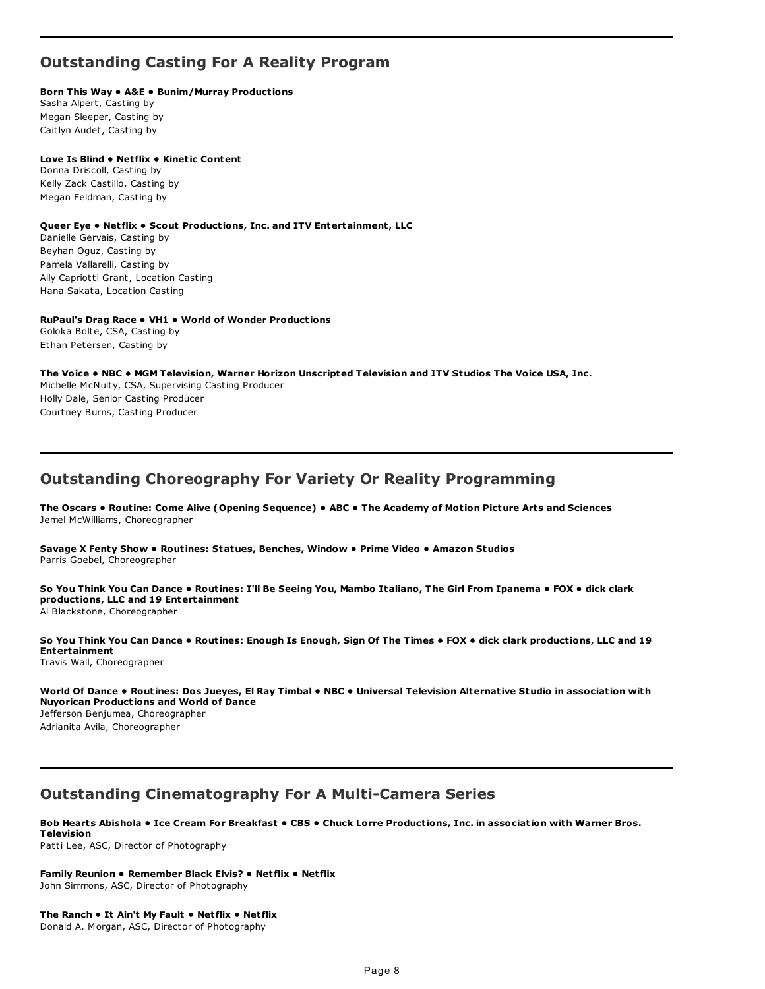# **Outstanding Casting For A Reality Program**

#### **Born This Way • A&E • Bunim/Murray Productions**

Sasha Alpert, Casting by Megan Sleeper, Casting by Caitlyn Audet, Casting by

#### **Love Is Blind • Netflix • Kinetic Content**

Donna Driscoll, Casting by Kelly Zack Castillo, Casting by Megan Feldman, Casting by

#### **Queer Eye • Netflix • Scout Productions, Inc. and ITV Entertainment, LLC**

Danielle Gervais, Casting by Beyhan Oguz, Casting by Pamela Vallarelli, Casting by Ally Capriotti Grant, Location Casting Hana Sakata, Location Casting

# **RuPaul's Drag Race • VH1 • World of Wonder Productions**

Goloka Bolte, CSA, Casting by Ethan Petersen, Casting by

### The Voice . NBC . MGM Television, Warner Horizon Unscripted Television and ITV Studios The Voice USA, Inc.

Michelle McNulty, CSA, Supervising Casting Producer Holly Dale, Senior Casting Producer Courtney Burns, Casting Producer

# **Outstanding Choreography For Variety Or Reality Programming**

The Oscars . Routine: Come Alive (Opening Sequence) . ABC . The Academy of Motion Picture Arts and Sciences Jemel McWilliams, Choreographer

**Savage X Fenty Show • Routines: Statues, Benches, Window • Prime Video • Amazon Studios** Parris Goebel, Choreographer

So You Think You Can Dance . Routines: I'll Be Seeing You, Mambo Italiano, The Girl From Ipanema . FOX . dick clark **productions, LLC and 19 Entertainment** Al Blackstone, Choreographer

So You Think You Can Dance • Routines: Enough Is Enough, Sign Of The Times • FOX • dick clark productions, LLC and 19 **Entertainment** Travis Wall, Choreographer

World Of Dance . Routines: Dos Jueyes, El Ray Timbal . NBC . Universal Television Alternative Studio in association with **Nuyorican Productions and World of Dance**

Jefferson Benjumea, Choreographer Adrianita Avila, Choreographer

# **Outstanding Cinematography For A Multi-Camera Series**

## Bob Hearts Abishola . Ice Cream For Breakfast . CBS . Chuck Lorre Productions, Inc. in association with Warner Bros. **Television**

Patti Lee, ASC, Director of Photography

**Family Reunion • Remember Black Elvis? • Netflix • Netflix** John Simmons, ASC, Director of Photography

**The Ranch • It Ain't My Fault • Netflix • Netflix**

Donald A. Morgan, ASC, Director of Photography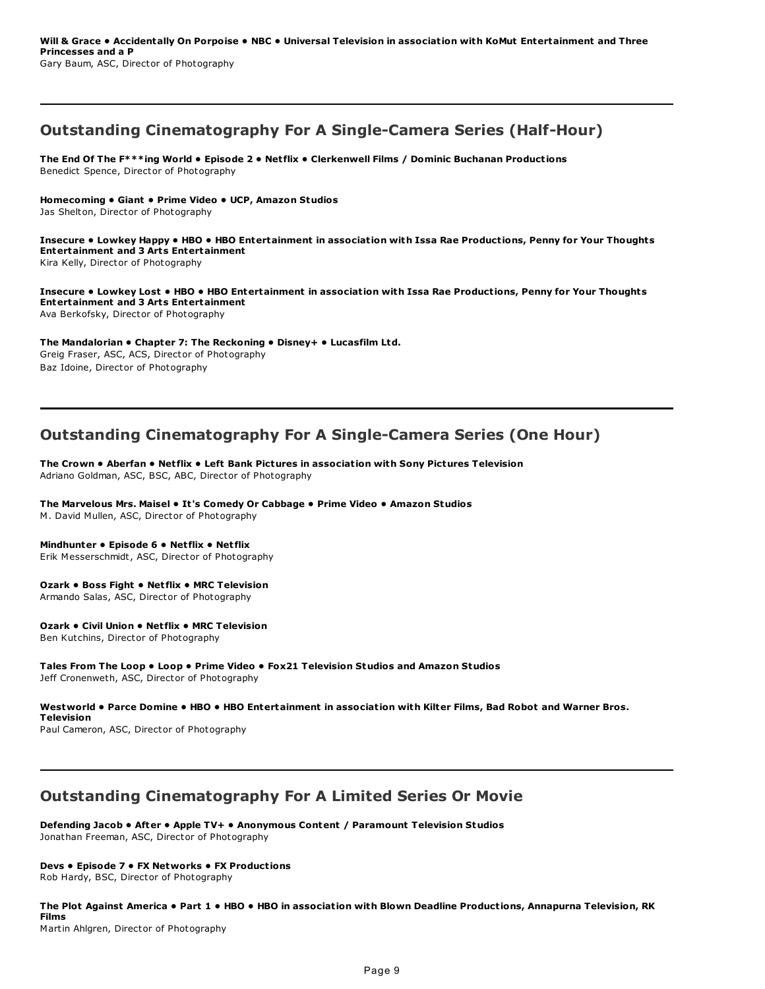Will & Grace . Accidentally On Porpoise . NBC . Universal Television in association with KoMut Entertainment and Three **Princesses and a P** Gary Baum, ASC, Director of Photography

## **Outstanding Cinematography For A Single-Camera Series (Half-Hour)**

The End Of The F\*\*\*ing World . Episode 2 . Netflix . Clerkenwell Films / Dominic Buchanan Productions Benedict Spence, Director of Photography

**Homecoming • Giant • Prime Video • UCP, Amazon Studios**

Jas Shelton, Director of Photography

Insecure . Lowkey Happy . HBO . HBO Entertainment in association with Issa Rae Productions, Penny for Your Thoughts **Entertainment and 3 Arts Entertainment** Kira Kelly, Director of Photography

Insecure . Lowkey Lost . HBO . HBO Entertainment in association with Issa Rae Productions, Penny for Your Thoughts **Entertainment and 3 Arts Entertainment**

Ava Berkofsky, Director of Photography

**The Mandalorian • Chapter 7: The Reckoning • Disney+ • Lucasfilm Ltd.** Greig Fraser, ASC, ACS, Director of Photography Baz Idoine, Director of Photography

## **Outstanding Cinematography For A Single-Camera Series (One Hour)**

**The Crown • Aberfan • Netflix • Left Bank Pictures in association with Sony Pictures Television** Adriano Goldman, ASC, BSC, ABC, Director of Photography

**The Marvelous Mrs. Maisel • It's Comedy Or Cabbage • Prime Video • Amazon Studios** M. David Mullen, ASC, Director of Photography

**Mindhunter • Episode 6 • Netflix • Netflix**

Erik Messerschmidt, ASC, Director of Photography

**Ozark • Boss Fight • Netflix • MRC Television**

Armando Salas, ASC, Director of Photography

**Ozark • Civil Union • Netflix • MRC Television**

Ben Kutchins, Director of Photography

**Tales From The Loop • Loop • Prime Video • Fox21 Television Studios and Amazon Studios** Jeff Cronenweth, ASC, Director of Photography

Westworld . Parce Domine . HBO . HBO Entertainment in association with Kilter Films, Bad Robot and Warner Bros.

**Television** Paul Cameron, ASC, Director of Photography

## **Outstanding Cinematography For A Limited Series Or Movie**

**Defending Jacob • After • Apple TV+ • Anonymous Content / Paramount Television Studios** Jonathan Freeman, ASC, Director of Photography

**Devs • Episode 7 • FX Networks • FX Productions**

Rob Hardy, BSC, Director of Photography

The Plot Against America . Part 1 . HBO . HBO in association with Blown Deadline Productions, Annapurna Television, RK **Films**

Martin Ahlgren, Director of Photography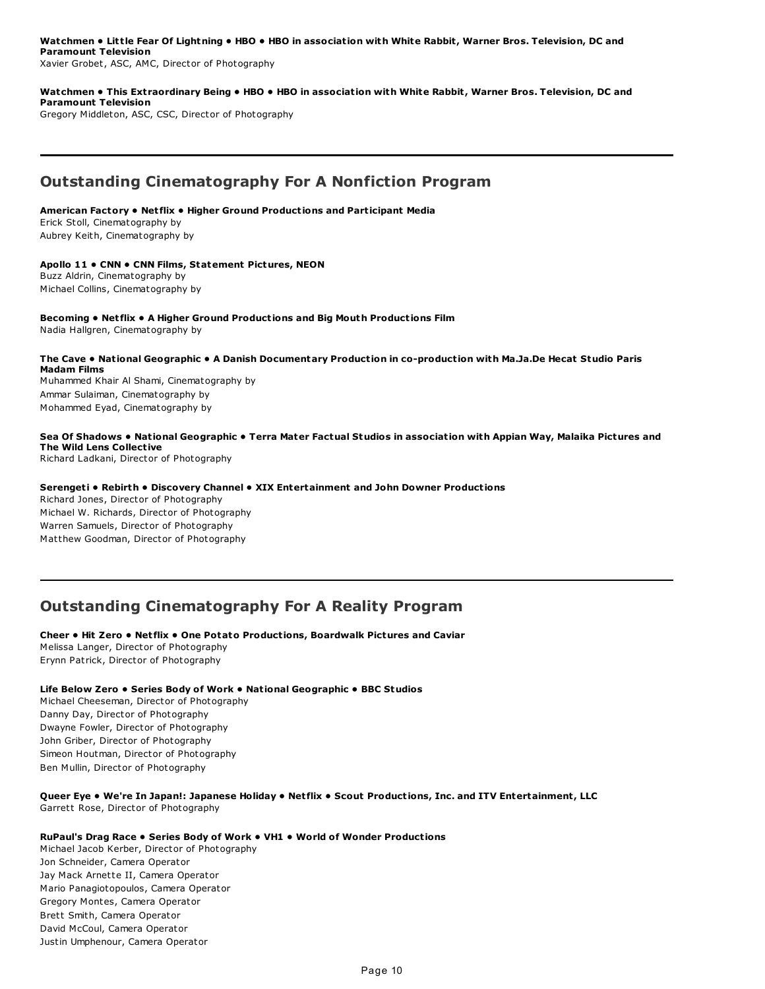Watchmen . Little Fear Of Lightning . HBO . HBO in association with White Rabbit, Warner Bros. Television, DC and **Paramount Television** Xavier Grobet, ASC, AMC, Director of Photography

Watchmen . This Extraordinary Being . HBO . HBO in association with White Rabbit, Warner Bros. Television, DC and **Paramount Television**

Gregory Middleton, ASC, CSC, Director of Photography

## **Outstanding Cinematography For A Nonfiction Program**

**American Factory • Netflix • Higher Ground Productions and Participant Media** Erick Stoll, Cinematography by Aubrey Keith, Cinematography by

**Apollo 11 • CNN • CNN Films, Statement Pictures, NEON** Buzz Aldrin, Cinematography by

Michael Collins, Cinematography by

**Becoming • Netflix • A Higher Ground Productions and Big Mouth Productions Film** Nadia Hallgren, Cinematography by

#### The Cave . National Geographic . A Danish Documentary Production in co-production with Ma.Ja.De Hecat Studio Paris **Madam Films** Muhammed Khair Al Shami, Cinematography by

Ammar Sulaiman, Cinematography by Mohammed Eyad, Cinematography by

### Sea Of Shadows • National Geographic • Terra Mater Factual Studios in association with Appian Way, Malaika Pictures and **The Wild Lens Collective**

Richard Ladkani, Director of Photography

### **Serengeti • Rebirth • Discovery Channel • XIX Entertainment and John Downer Productions**

Richard Jones, Director of Photography Michael W. Richards, Director of Photography Warren Samuels, Director of Photography Matthew Goodman, Director of Photography

# **Outstanding Cinematography For A Reality Program**

#### **Cheer • Hit Zero • Netflix • One Potato Productions, Boardwalk Pictures and Caviar** Melissa Langer, Director of Photography

Erynn Pat rick, Director of Photography

### **Life Below Zero • Series Body of Work • National Geographic • BBC Studios**

Michael Cheeseman, Director of Photography Danny Day, Director of Photography Dwayne Fowler, Director of Photography John Griber, Director of Photography Simeon Houtman, Director of Photography Ben Mullin, Director of Photography

#### Queer Eye . We're In Japan!: Japanese Holiday . Netflix . Scout Productions, Inc. and ITV Entertainment, LLC Garrett Rose, Director of Photography

### **RuPaul's Drag Race • Series Body of Work • VH1 • World of Wonder Productions**

Michael Jacob Kerber, Director of Photography Jon Schneider, Camera Operator Jay Mack Arnette II, Camera Operator Mario Panagiotopoulos, Camera Operator Gregory Montes, Camera Operator Brett Smith, Camera Operator David McCoul, Camera Operator Justin Umphenour, Camera Operator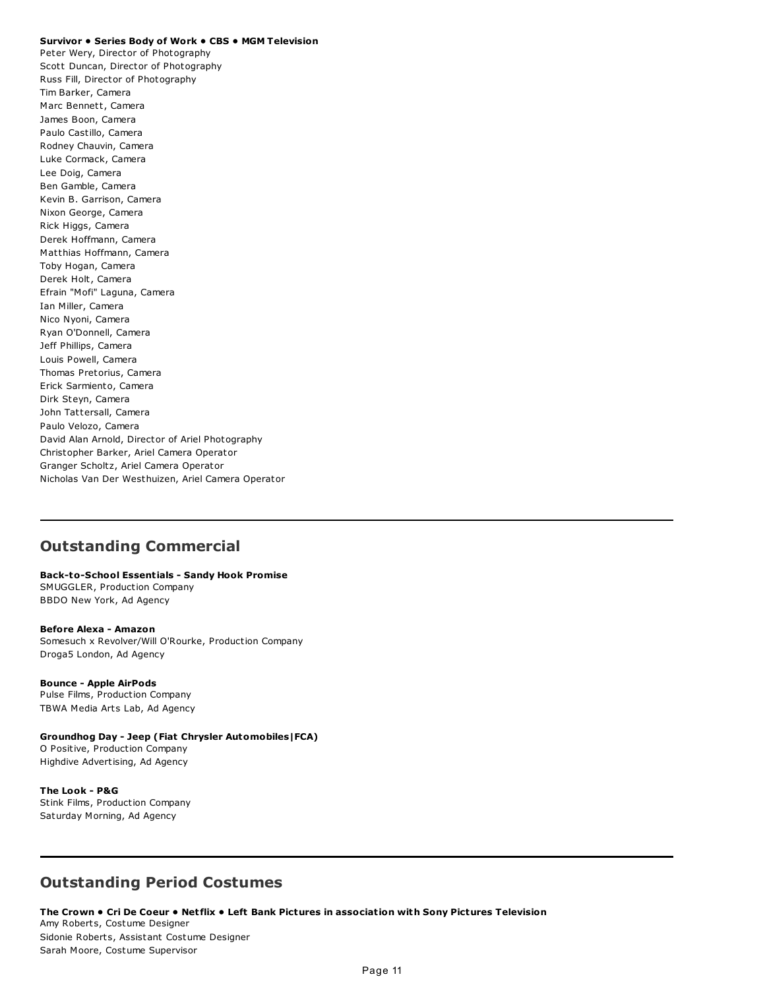### **Survivor • Series Body of Work • CBS • MGM Television**

Peter Wery, Director of Photography Scott Duncan, Director of Photography Russ Fill, Director of Photography Tim Barker, Camera Marc Bennett, Camera James Boon, Camera Paulo Castillo, Camera Rodney Chauvin, Camera Luke Cormack, Camera Lee Doig, Camera Ben Gamble, Camera Kevin B. Garrison, Camera Nixon George, Camera Rick Higgs, Camera Derek Hoffmann, Camera Matthias Hoffmann, Camera Toby Hogan, Camera Derek Holt, Camera Efrain "Mofi" Laguna, Camera Ian Miller, Camera Nico Nyoni, Camera Ryan O'Donnell, Camera Jeff Phillips, Camera Louis Powell, Camera Thomas Pretorius, Camera Erick Sarmiento, Camera Dirk Steyn, Camera John Tattersall, Camera Paulo Velozo, Camera David Alan Arnold, Director of Ariel Photography Christopher Barker, Ariel Camera Operator Granger Scholtz, Ariel Camera Operator Nicholas Van Der Westhuizen, Ariel Camera Operator

## **Outstanding Commercial**

## **Back-to-School Essentials - Sandy Hook Promise**

SMUGGLER, Production Company BBDO New York, Ad Agency

#### **Before Alexa - Amazon**

Somesuch x Revolver/Will O'Rourke, Production Company Droga5 London, Ad Agency

## **Bounce - Apple AirPods**

Pulse Films, Production Company TBWA Media Arts Lab, Ad Agency

**Groundhog Day - Jeep (Fiat Chrysler Automobiles|FCA)** O Positive, Production Company Highdive Advertising, Ad Agency

**The Look - P&G** Stink Films, Production Company Saturday Morning, Ad Agency

## **Outstanding Period Costumes**

The Crown . Cri De Coeur . Netflix . Left Bank Pictures in association with Sony Pictures Television Amy Roberts, Costume Designer Sidonie Roberts, Assistant Costume Designer Sarah Moore, Costume Supervisor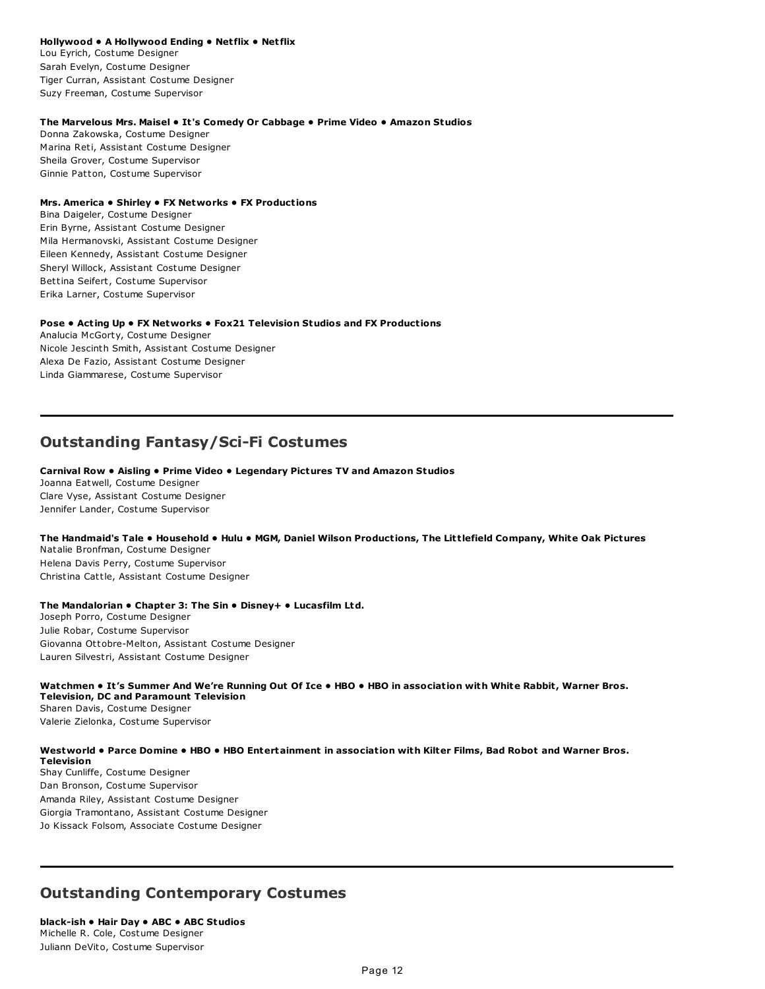#### **Hollywood • A Hollywood Ending • Netflix • Netflix**

Lou Eyrich, Costume Designer Sarah Evelyn, Costume Designer Tiger Curran, Assistant Costume Designer Suzy Freeman, Costume Supervisor

#### **The Marvelous Mrs. Maisel • It's Comedy Or Cabbage • Prime Video • Amazon Studios**

Donna Zakowska, Costume Designer Marina Reti, Assistant Costume Designer Sheila Grover, Costume Supervisor Ginnie Patton, Costume Supervisor

### **Mrs. America • Shirley • FX Networks • FX Productions**

Bina Daigeler, Costume Designer Erin Byrne, Assistant Costume Designer Mila Hermanovski, Assistant Costume Designer Eileen Kennedy, Assistant Costume Designer Sheryl Willock, Assistant Costume Designer Bettina Seifert, Costume Supervisor Erika Larner, Costume Supervisor

#### **Pose • Acting Up • FX Networks • Fox21 Television Studios and FX Productions**

Analucia McGorty, Costume Designer Nicole Jescinth Smith, Assistant Costume Designer Alexa De Fazio, Assistant Costume Designer Linda Giammarese, Costume Supervisor

## **Outstanding Fantasy/Sci-Fi Costumes**

#### **Carnival Row • Aisling • Prime Video • Legendary Pictures TV and Amazon Studios**

Joanna Eatwell, Costume Designer Clare Vyse, Assistant Costume Designer Jennifer Lander, Costume Supervisor

### The Handmaid's Tale . Household . Hulu . MGM, Daniel Wilson Productions, The Littlefield Company, White Oak Pictures

Natalie Bronfman, Costume Designer Helena Davis Perry, Costume Supervisor Christina Cattle, Assistant Costume Designer

### **The Mandalorian • Chapter 3: The Sin • Disney+ • Lucasfilm Ltd.**

Joseph Porro, Costume Designer Julie Robar, Costume Supervisor Giovanna Ottobre-Melton, Assistant Costume Designer Lauren Silvestri, Assistant Costume Designer

#### Watchmen • It's Summer And We're Running Out Of Ice • HBO • HBO in association with White Rabbit, Warner Bros. **Television, DC and Paramount Television**

Sharen Davis, Costume Designer Valerie Zielonka, Costume Supervisor

### Westworld • Parce Domine • HBO • HBO Entertainment in association with Kilter Films, Bad Robot and Warner Bros.

**Television** Shay Cunliffe, Costume Designer Dan Bronson, Costume Supervisor Amanda Riley, Assistant Costume Designer Giorgia Tramontano, Assistant Costume Designer Jo Kissack Folsom, Associate Costume Designer

## **Outstanding Contemporary Costumes**

## **black-ish • Hair Day • ABC • ABC Studios**

Michelle R. Cole, Costume Designer Juliann DeVito, Costume Supervisor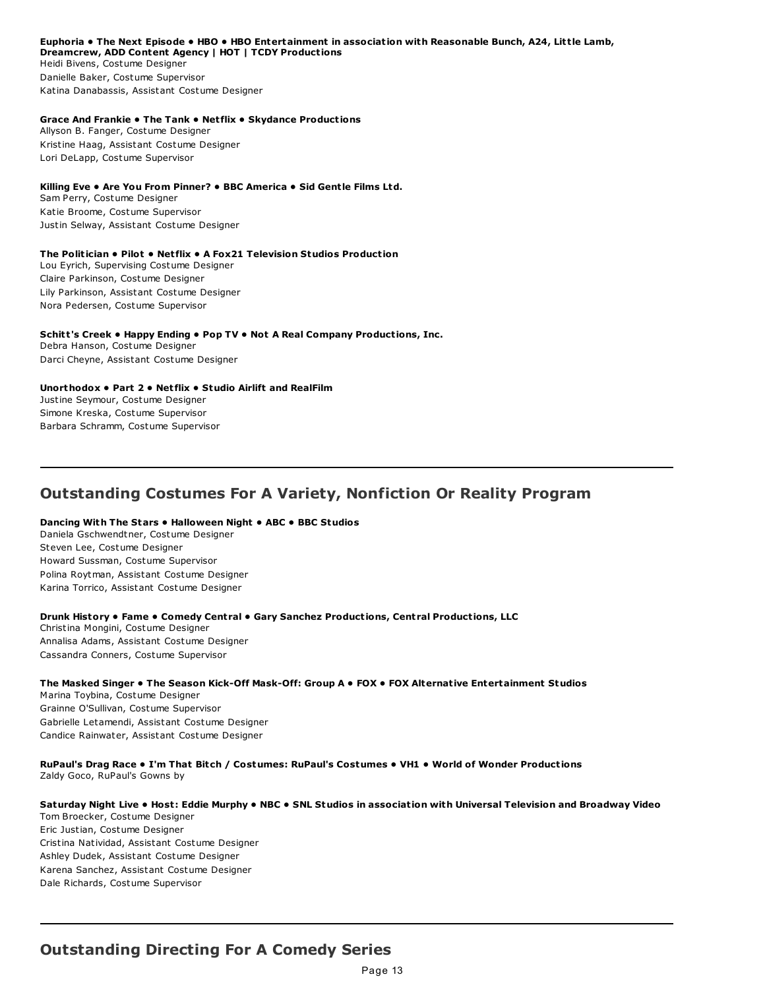### Euphoria • The Next Episode • HBO • HBO Entertainment in association with Reasonable Bunch, A24, Little Lamb,

**Dreamcrew, ADD Content Agency | HOT | TCDY Productions** Heidi Bivens, Costume Designer Danielle Baker, Costume Supervisor Katina Danabassis, Assistant Costume Designer

#### **Grace And Frankie • The Tank • Netflix • Skydance Productions**

Allyson B. Fanger, Costume Designer Kristine Haag, Assistant Costume Designer Lori DeLapp, Costume Supervisor

#### **Killing Eve • Are You From Pinner? • BBC America • Sid Gentle Films Ltd.**

Sam Perry, Costume Designer Katie Broome, Costume Supervisor Justin Selway, Assistant Costume Designer

#### **The Politician • Pilot • Netflix • A Fox21 Television Studios Production**

Lou Eyrich, Supervising Costume Designer Claire Parkinson, Costume Designer Lily Parkinson, Assistant Costume Designer Nora Pedersen, Costume Supervisor

### **Schitt's Creek • Happy Ending • Pop TV • Not A Real Company Productions, Inc.**

Debra Hanson, Costume Designer Darci Cheyne, Assistant Costume Designer

#### **Unorthodox • Part 2 • Netflix • Studio Airlift and RealFilm**

Justine Seymour, Costume Designer Simone Kreska, Costume Supervisor Barbara Schramm, Costume Supervisor

## **Outstanding Costumes For A Variety, Nonfiction Or Reality Program**

**Dancing With The Stars • Halloween Night • ABC • BBC Studios** Daniela Gschwendtner, Costume Designer Steven Lee, Costume Designer Howard Sussman, Costume Supervisor Polina Roytman, Assistant Costume Designer Karina Torrico, Assistant Costume Designer

#### **Drunk History • Fame • Comedy Central • Gary Sanchez Productions, Central Productions, LLC** Christina Mongini, Costume Designer

Annalisa Adams, Assistant Costume Designer Cassandra Conners, Costume Supervisor

### **The Masked Singer • The Season Kick-Off Mask-Off: Group A • FOX • FOX Alternative Entertainment Studios**

Marina Toybina, Costume Designer Grainne O'Sullivan, Costume Supervisor Gabrielle Letamendi, Assistant Costume Designer Candice Rainwater, Assistant Costume Designer

# RuPaul's Drag Race . I'm That Bitch / Costumes: RuPaul's Costumes . VH1 . World of Wonder Productions

Zaldy Goco, RuPaul's Gowns by

#### Saturday Night Live . Host: Eddie Murphy . NBC . SNL Studios in association with Universal Television and Broadway Video Tom Broecker, Costume Designer

Eric Justian, Costume Designer Cristina Natividad, Assistant Costume Designer Ashley Dudek, Assistant Costume Designer Karena Sanchez, Assistant Costume Designer Dale Richards, Costume Supervisor

## **Outstanding Directing For A Comedy Series**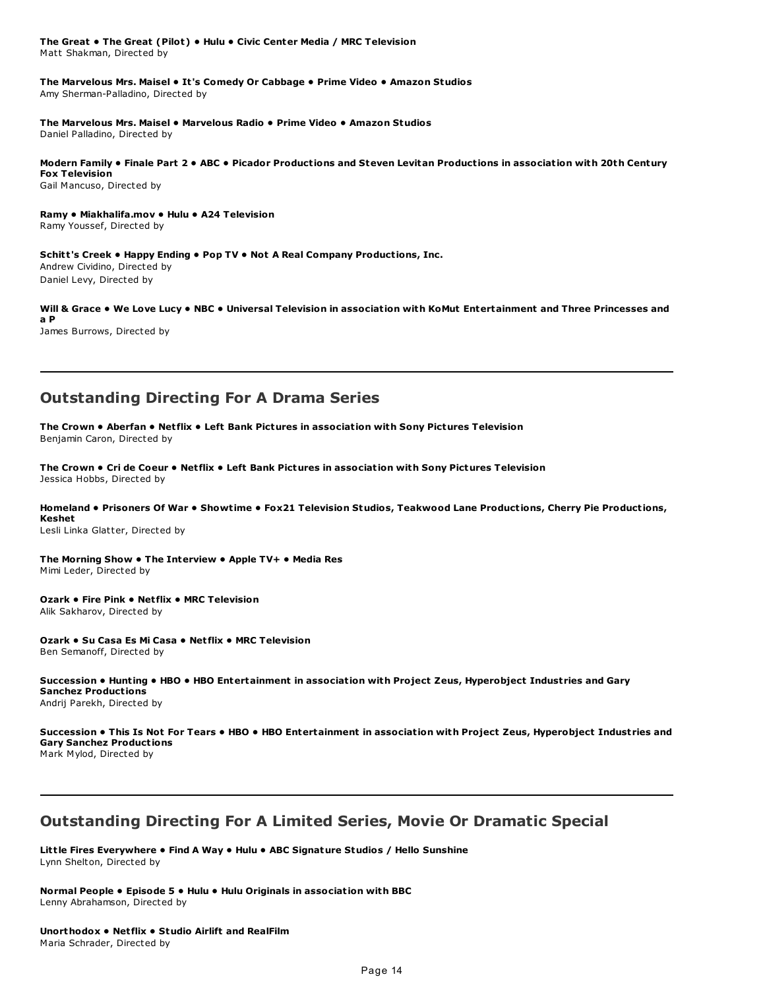**The Great • The Great (Pilot) • Hulu • Civic Center Media / MRC Television** Matt Shakman, Directed by

**The Marvelous Mrs. Maisel • It's Comedy Or Cabbage • Prime Video • Amazon Studios** Amy Sherman-Palladino, Directed by

**The Marvelous Mrs. Maisel • Marvelous Radio • Prime Video • Amazon Studios** Daniel Palladino, Directed by

Modern Family . Finale Part 2 . ABC . Picador Productions and Steven Levitan Productions in association with 20th Century **Fox Television**

Gail Mancuso, Directed by

**Ramy • Miakhalifa.mov • Hulu • A24 Television**

Ramy Youssef, Directed by

**Schitt's Creek • Happy Ending • Pop TV • Not A Real Company Productions, Inc.** Andrew Cividino, Directed by Daniel Levy, Directed by

Will & Grace . We Love Lucy . NBC . Universal Television in association with KoMut Entertainment and Three Princesses and **a P** James Burrows, Directed by

## **Outstanding Directing For A Drama Series**

**The Crown • Aberfan • Netflix • Left Bank Pictures in association with Sony Pictures Television** Benjamin Caron, Directed by

The Crown . Cri de Coeur . Netflix . Left Bank Pictures in association with Sony Pictures Television Jessica Hobbs, Directed by

Homeland . Prisoners Of War . Showtime . Fox21 Television Studios, Teakwood Lane Productions, Cherry Pie Productions, **Keshet**

Lesli Linka Glatter, Directed by

**The Morning Show • The Interview • Apple TV+ • Media Res** Mimi Leder, Directed by

**Ozark • Fire Pink • Netflix • MRC Television** Alik Sakharov, Directed by

**Ozark • Su Casa Es Mi Casa • Netflix • MRC Television** Ben Semanoff, Directed by

Succession • Hunting • HBO • HBO Entertainment in association with Project Zeus, Hyperobject Industries and Gary **Sanchez Productions** Andrij Parekh, Directed by

Succession • This Is Not For Tears • HBO • HBO Entertainment in association with Project Zeus, Hyperobject Industries and **Gary Sanchez Productions**

Mark Mylod, Directed by

## **Outstanding Directing For A Limited Series, Movie Or Dramatic Special**

**Little Fires Everywhere • Find A Way • Hulu • ABC Signature Studios / Hello Sunshine** Lynn Shelton, Directed by

**Normal People • Episode 5 • Hulu • Hulu Originals in association with BBC** Lenny Abrahamson, Directed by

**Unorthodox • Netflix • Studio Airlift and RealFilm** Maria Schrader, Directed by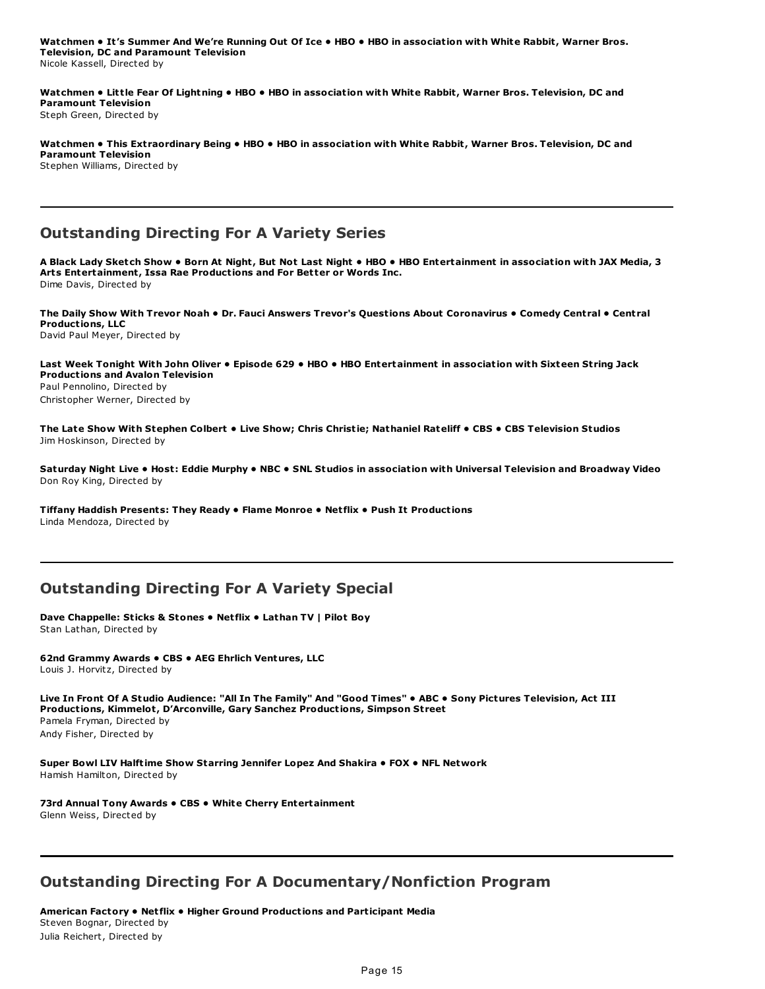Watchmen . It's Summer And We're Running Out Of Ice . HBO . HBO in association with White Rabbit, Warner Bros. **Television, DC and Paramount Television** Nicole Kassell, Directed by

Watchmen . Little Fear Of Lightning . HBO . HBO in association with White Rabbit, Warner Bros. Television, DC and **Paramount Television** Steph Green, Directed by

Watchmen . This Extraordinary Being . HBO . HBO in association with White Rabbit, Warner Bros. Television, DC and **Paramount Television** Stephen Williams, Directed by

## **Outstanding Directing For A Variety Series**

A Black Lady Sketch Show • Born At Night, But Not Last Night • HBO • HBO Entertainment in association with JAX Media, 3 **Arts Entertainment, Issa Rae Productions and For Better or Words Inc.** Dime Davis, Directed by

The Daily Show With Trevor Noah . Dr. Fauci Answers Trevor's Questions About Coronavirus . Comedy Central . Central **Productions, LLC**

David Paul Meyer, Directed by

Last Week Tonight With John Oliver . Episode 629 . HBO . HBO Entertainment in association with Sixteen String Jack **Productions and Avalon Television** Paul Pennolino, Directed by

Christopher Werner, Directed by

The Late Show With Stephen Colbert . Live Show; Chris Christie; Nathaniel Rateliff . CBS . CBS Television Studios Jim Hoskinson, Directed by

Saturday Night Live • Host: Eddie Murphy • NBC • SNL Studios in association with Universal Television and Broadway Video Don Roy King, Directed by

**Tiffany Haddish Presents: They Ready • Flame Monroe • Netflix • Push It Productions** Linda Mendoza, Directed by

## **Outstanding Directing For A Variety Special**

**Dave Chappelle: Sticks & Stones • Netflix • Lathan TV | Pilot Boy** Stan Lathan, Directed by

### **62nd Grammy Awards • CBS • AEG Ehrlich Ventures, LLC**

Louis J. Horvitz, Directed by

Live In Front Of A Studio Audience: "All In The Family" And "Good Times" . ABC . Sony Pictures Television, Act III **Productions, Kimmelot, D'Arconville, Gary Sanchez Productions, Simpson Street** Pamela Fryman, Directed by Andy Fisher, Directed by

#### **Super Bowl LIV Halftime Show Starring Jennifer Lopez And Shakira • FOX • NFL Network** Hamish Hamilton, Directed by

**73rd Annual Tony Awards • CBS • White Cherry Entertainment** Glenn Weiss, Directed by

## **Outstanding Directing For A Documentary/Nonfiction Program**

**American Factory • Netflix • Higher Ground Productions and Participant Media** Steven Bognar, Directed by Julia Reichert, Directed by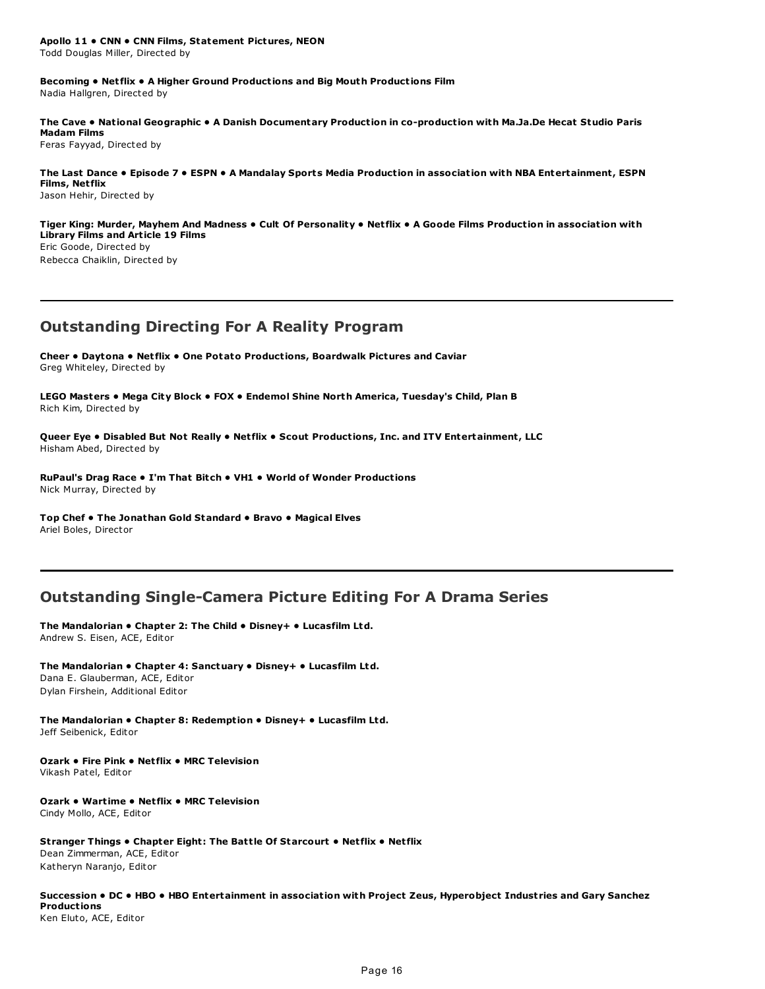**Apollo 11 • CNN • CNN Films, Statement Pictures, NEON**

Todd Douglas Miller, Directed by

**Becoming • Netflix • A Higher Ground Productions and Big Mouth Productions Film** Nadia Hallgren, Directed by

The Cave . National Geographic . A Danish Documentary Production in co-production with Ma.Ja.De Hecat Studio Paris **Madam Films** Feras Fayyad, Directed by

The Last Dance • Episode 7 • ESPN • A Mandalay Sports Media Production in association with NBA Entertainment, ESPN **Films, Netflix** Jason Hehir, Directed by

Tiger King: Murder, Mayhem And Madness . Cult Of Personality . Netflix . A Goode Films Production in association with **Library Films and Article 19 Films** Eric Goode, Directed by Rebecca Chaiklin, Directed by

## **Outstanding Directing For A Reality Program**

**Cheer • Daytona • Netflix • One Potato Productions, Boardwalk Pictures and Caviar** Greg Whiteley, Directed by

**LEGO Masters • Mega City Block • FOX • Endemol Shine North America, Tuesday's Child, Plan B** Rich Kim, Directed by

**Queer Eye • Disabled But Not Really • Netflix • Scout Productions, Inc. and ITV Entertainment, LLC** Hisham Abed, Directed by

**RuPaul's Drag Race • I'm That Bitch • VH1 • World of Wonder Productions** Nick Murray, Directed by

**Top Chef • The Jonathan Gold Standard • Bravo • Magical Elves** Ariel Boles, Director

## **Outstanding Single-Camera Picture Editing For A Drama Series**

**The Mandalorian • Chapter 2: The Child • Disney+ • Lucasfilm Ltd.** Andrew S. Eisen, ACE, Editor

**The Mandalorian • Chapter 4: Sanctuary • Disney+ • Lucasfilm Ltd.**

Dana E. Glauberman, ACE, Editor Dylan Firshein, Additional Editor

**The Mandalorian • Chapter 8: Redemption • Disney+ • Lucasfilm Ltd.** Jeff Seibenick, Editor

**Ozark • Fire Pink • Netflix • MRC Television** Vikash Patel, Editor

**Ozark • Wartime • Netflix • MRC Television** Cindy Mollo, ACE, Editor

**Stranger Things • Chapter Eight: The Battle Of Starcourt • Netflix • Netflix** Dean Zimmerman, ACE, Editor

Katheryn Naranjo, Editor

Succession . DC . HBO . HBO Entertainment in association with Project Zeus, Hyperobject Industries and Gary Sanchez **Productions** Ken Eluto, ACE, Editor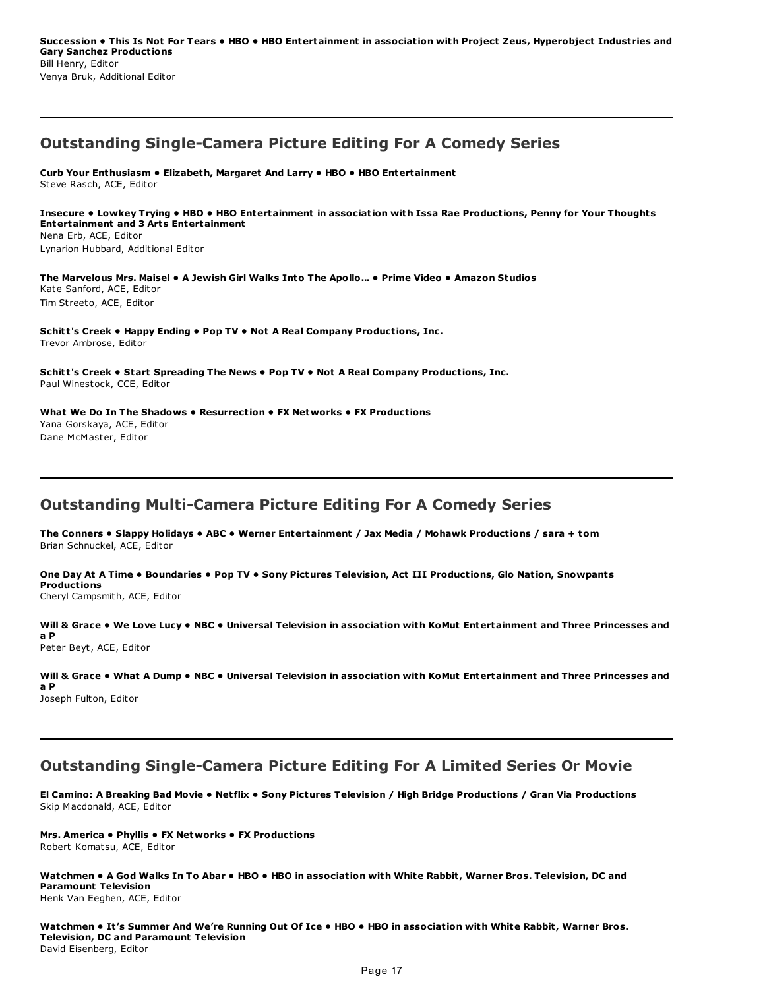Succession . This Is Not For Tears . HBO . HBO Entertainment in association with Project Zeus, Hyperobject Industries and **Gary Sanchez Productions** Bill Henry, Editor Venya Bruk, Additional Editor

## **Outstanding Single-Camera Picture Editing For A Comedy Series**

**Curb Your Enthusiasm • Elizabeth, Margaret And Larry • HBO • HBO Entertainment** Steve Rasch, ACE, Editor

Insecure . Lowkey Trying . HBO . HBO Entertainment in association with Issa Rae Productions, Penny for Your Thoughts **Entertainment and 3 Arts Entertainment** Nena Erb, ACE, Editor Lynarion Hubbard, Additional Editor

**The Marvelous Mrs. Maisel • A Jewish Girl Walks Into The Apollo... • Prime Video • Amazon Studios** Kate Sanford, ACE, Editor Tim St reeto, ACE, Editor

**Schitt's Creek • Happy Ending • Pop TV • Not A Real Company Productions, Inc.** Trevor Ambrose, Editor

**Schitt's Creek • Start Spreading The News • Pop TV • Not A Real Company Productions, Inc.** Paul Winestock, CCE, Editor

**What We Do In The Shadows • Resurrection • FX Networks • FX Productions** Yana Gorskaya, ACE, Editor Dane McMaster, Editor

## **Outstanding Multi-Camera Picture Editing For A Comedy Series**

The Conners • Slappy Holidays • ABC • Werner Entertainment / Jax Media / Mohawk Productions / sara + tom Brian Schnuckel, ACE, Editor

One Day At A Time . Boundaries . Pop TV . Sony Pictures Television, Act III Productions, Glo Nation, Snowpants **Productions** Cheryl Campsmith, ACE, Editor

Will & Grace . We Love Lucy . NBC . Universal Television in association with KoMut Entertainment and Three Princesses and **a P** Peter Beyt, ACE, Editor

Will & Grace . What A Dump . NBC . Universal Television in association with KoMut Entertainment and Three Princesses and **a P**

Joseph Fulton, Editor

## **Outstanding Single-Camera Picture Editing For A Limited Series Or Movie**

El Camino: A Breaking Bad Movie . Netflix . Sony Pictures Television / High Bridge Productions / Gran Via Productions Skip Macdonald, ACE, Editor

**Mrs. America • Phyllis • FX Networks • FX Productions** Robert Komatsu, ACE, Editor

Watchmen • A God Walks In To Abar • HBO • HBO in association with White Rabbit, Warner Bros. Television, DC and **Paramount Television** Henk Van Eeghen, ACE, Editor

Watchmen . It's Summer And We're Running Out Of Ice . HBO . HBO in association with White Rabbit, Warner Bros. **Television, DC and Paramount Television** David Eisenberg, Editor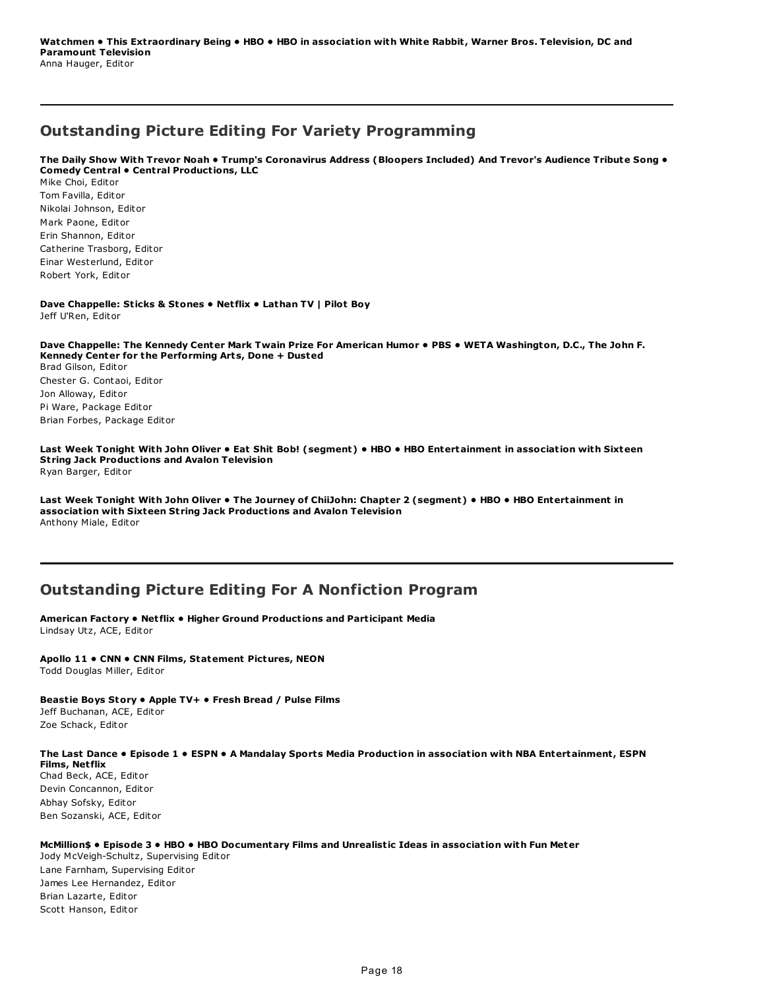## **Outstanding Picture Editing For Variety Programming**

#### The Daily Show With Trevor Noah . Trump's Coronavirus Address (Bloopers Included) And Trevor's Audience Tribute Song . **Comedy Central • Central Productions, LLC**

Mike Choi, Editor Tom Favilla, Editor Nikolai Johnson, Editor Mark Paone, Editor Erin Shannon, Editor Catherine Trasborg, Editor Einar Westerlund, Editor Robert York, Editor

**Dave Chappelle: Sticks & Stones • Netflix • Lathan TV | Pilot Boy** Jeff U'Ren, Editor

Dave Chappelle: The Kennedy Center Mark Twain Prize For American Humor . PBS . WETA Washington, D.C., The John F. **Kennedy Center for the Performing Arts, Done + Dusted**

Brad Gilson, Editor Chester G. Contaoi, Editor Jon Alloway, Editor Pi Ware, Package Editor Brian Forbes, Package Editor

Last Week Tonight With John Oliver • Eat Shit Bob! (segment) • HBO • HBO Entertainment in association with Sixteen **String Jack Productions and Avalon Television** Ryan Barger, Editor

Last Week Tonight With John Oliver . The Journey of ChiiJohn: Chapter 2 (segment) . HBO . HBO Entertainment in **association with Sixteen String Jack Productions and Avalon Television** Anthony Miale, Editor

## **Outstanding Picture Editing For A Nonfiction Program**

**American Factory • Netflix • Higher Ground Productions and Participant Media** Lindsay Utz, ACE, Editor

### **Apollo 11 • CNN • CNN Films, Statement Pictures, NEON**

Todd Douglas Miller, Editor

**Beastie Boys Story • Apple TV+ • Fresh Bread / Pulse Films** Jeff Buchanan, ACE, Editor Zoe Schack, Editor

## The Last Dance . Episode 1 . ESPN . A Mandalay Sports Media Production in association with NBA Entertainment, ESPN **Films, Netflix**

Chad Beck, ACE, Editor Devin Concannon, Editor Abhay Sofsky, Editor Ben Sozanski, ACE, Editor

#### McMillion\$ . Episode 3 . HBO . HBO Documentary Films and Unrealistic Ideas in association with Fun Meter

Jody McVeigh-Schultz, Supervising Editor Lane Farnham, Supervising Editor James Lee Hernandez, Editor Brian Lazarte, Editor Scott Hanson, Editor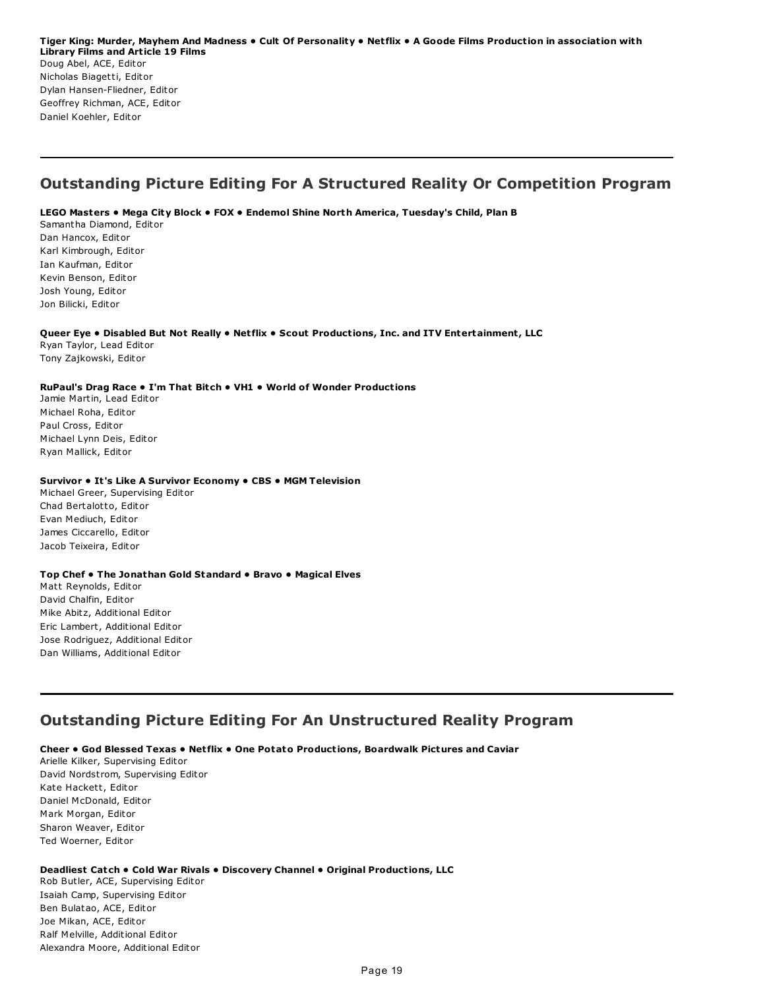## **Outstanding Picture Editing For A Structured Reality Or Competition Program**

**LEGO Masters • Mega City Block • FOX • Endemol Shine North America, Tuesday's Child, Plan B**

Samantha Diamond, Editor Dan Hancox, Editor Karl Kimbrough, Editor Ian Kaufman, Editor Kevin Benson, Editor Josh Young, Editor Jon Bilicki, Editor

### **Queer Eye • Disabled But Not Really • Netflix • Scout Productions, Inc. and ITV Entertainment, LLC**

Ryan Taylor, Lead Editor Tony Zajkowski, Editor

#### **RuPaul's Drag Race • I'm That Bitch • VH1 • World of Wonder Productions**

Jamie Martin, Lead Editor Michael Roha, Editor Paul Cross, Editor Michael Lynn Deis, Editor Ryan Mallick, Editor

#### **Survivor • It's Like A Survivor Economy • CBS • MGM Television**

Michael Greer, Supervising Editor Chad Bertalotto, Editor Evan Mediuch, Editor James Ciccarello, Editor Jacob Teixeira, Editor

### **Top Chef • The Jonathan Gold Standard • Bravo • Magical Elves**

Matt Reynolds, Editor David Chalfin, Editor Mike Abitz, Additional Editor Eric Lambert, Additional Editor Jose Rodriguez, Additional Editor Dan Williams, Additional Editor

## **Outstanding Picture Editing For An Unstructured Reality Program**

**Cheer • God Blessed Texas • Netflix • One Potato Productions, Boardwalk Pictures and Caviar**

Arielle Kilker, Supervising Editor David Nordstrom, Supervising Editor Kate Hackett, Editor Daniel McDonald, Editor Mark Morgan, Editor Sharon Weaver, Editor Ted Woerner, Editor

### **Deadliest Catch • Cold War Rivals • Discovery Channel • Original Productions, LLC**

Rob Butler, ACE, Supervising Editor Isaiah Camp, Supervising Editor Ben Bulatao, ACE, Editor Joe Mikan, ACE, Editor Ralf Melville, Additional Editor Alexandra Moore, Additional Editor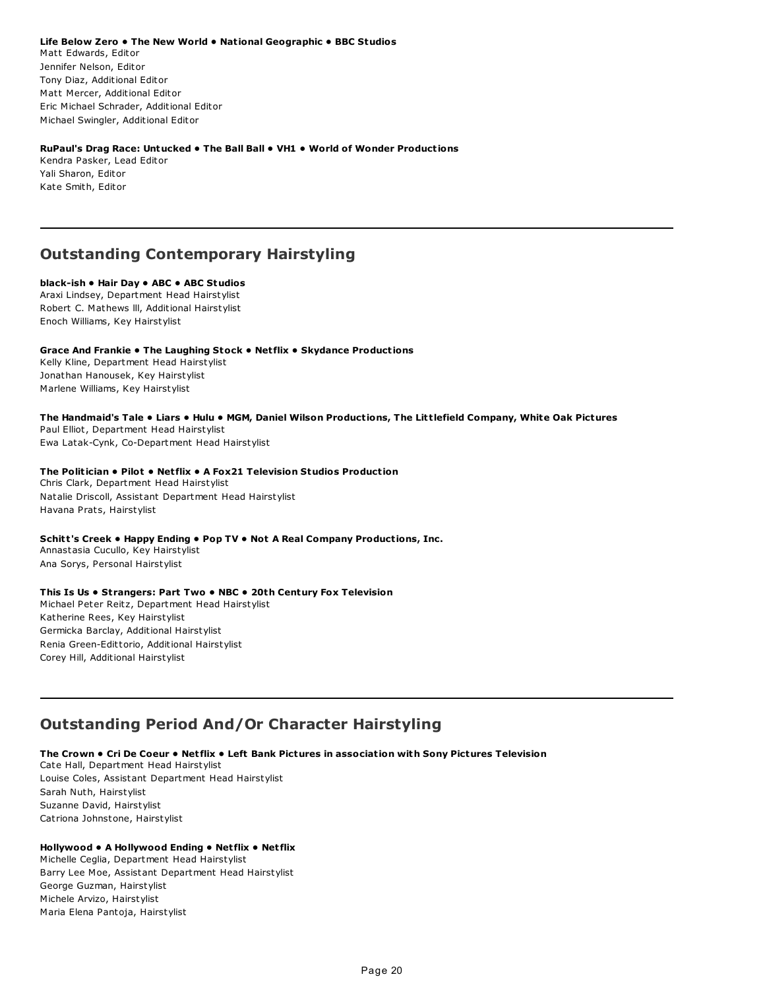**Life Below Zero • The New World • National Geographic • BBC Studios** Matt Edwards, Editor Jennifer Nelson, Editor Tony Diaz, Additional Editor Matt Mercer, Additional Editor Eric Michael Schrader, Additional Editor Michael Swingler, Additional Editor

#### **RuPaul's Drag Race: Untucked • The Ball Ball • VH1 • World of Wonder Productions**

Kendra Pasker, Lead Editor Yali Sharon, Editor Kate Smith, Editor

# **Outstanding Contemporary Hairstyling**

**black-ish • Hair Day • ABC • ABC Studios** Araxi Lindsey, Department Head Hairstylist

Robert C. Mathews lll, Additional Hairstylist Enoch Williams, Key Hairstylist

## **Grace And Frankie • The Laughing Stock • Netflix • Skydance Productions**

Kelly Kline, Department Head Hairstylist Jonathan Hanousek, Key Hairstylist Marlene Williams, Key Hairstylist

## The Handmaid's Tale . Liars . Hulu . MGM, Daniel Wilson Productions, The Littlefield Company, White Oak Pictures

Paul Elliot, Department Head Hairstylist Ewa Latak-Cynk, Co-Department Head Hairstylist

### **The Politician • Pilot • Netflix • A Fox21 Television Studios Production**

Chris Clark, Department Head Hairstylist Natalie Driscoll, Assistant Department Head Hairstylist Havana Prats, Hairstylist

## **Schitt's Creek • Happy Ending • Pop TV • Not A Real Company Productions, Inc.**

Annastasia Cucullo, Key Hairstylist Ana Sorys, Personal Hairstylist

## **This Is Us • Strangers: Part Two • NBC • 20th Century Fox Television**

Michael Peter Reitz, Department Head Hairstylist Katherine Rees, Key Hairstylist Germicka Barclay, Additional Hairstylist Renia Green-Edittorio, Additional Hairstylist Corey Hill, Additional Hairstylist

# **Outstanding Period And/Or Character Hairstyling**

### The Crown . Cri De Coeur . Netflix . Left Bank Pictures in association with Sony Pictures Television

Cate Hall, Department Head Hairstylist Louise Coles, Assistant Department Head Hairstylist Sarah Nuth, Hairstylist Suzanne David, Hairstylist Catriona Johnstone, Hairstylist

## **Hollywood • A Hollywood Ending • Netflix • Netflix**

Michelle Ceglia, Department Head Hairstylist Barry Lee Moe, Assistant Department Head Hairstylist George Guzman, Hairstylist Michele Arvizo, Hairstylist Maria Elena Pantoja, Hairstylist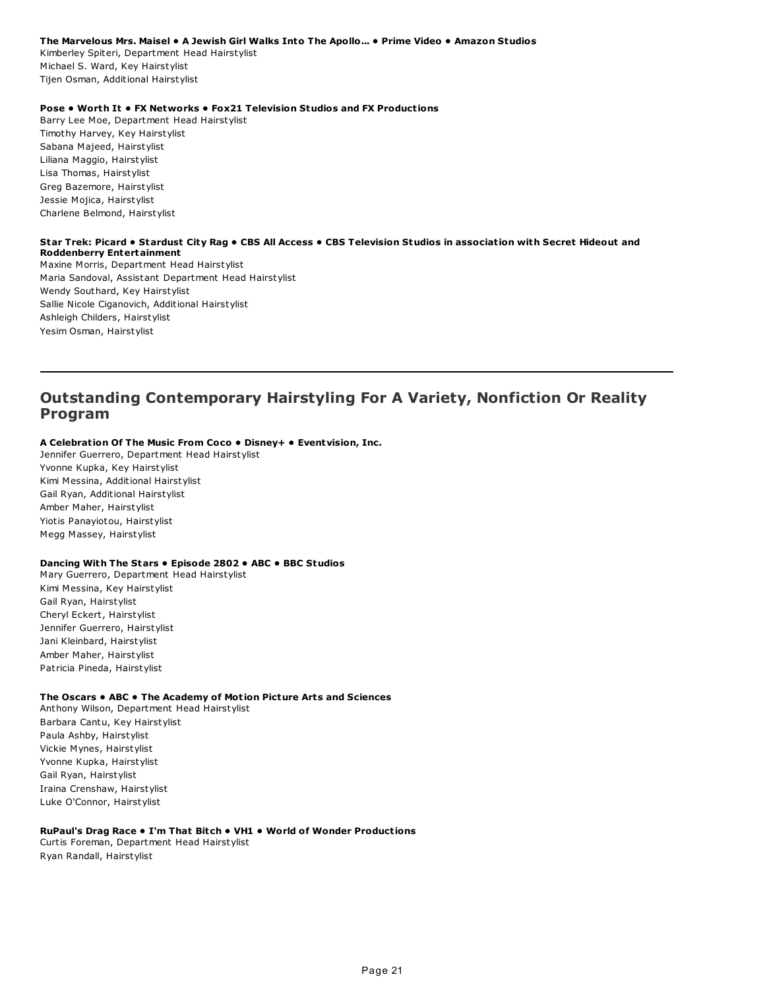## **The Marvelous Mrs. Maisel • A Jewish Girl Walks Into The Apollo... • Prime Video • Amazon Studios**

Kimberley Spiteri, Department Head Hairstylist Michael S. Ward, Key Hairstylist Tijen Osman, Additional Hairstylist

## **Pose • Worth It • FX Networks • Fox21 Television Studios and FX Productions**

Barry Lee Moe, Department Head Hairstylist Timothy Harvey, Key Hairstylist Sabana Majeed, Hairstylist Liliana Maggio, Hairstylist Lisa Thomas, Hairstylist Greg Bazemore, Hairstylist Jessie Mojica, Hairstylist Charlene Belmond, Hairstylist

#### Star Trek: Picard • Stardust City Rag • CBS All Access • CBS Television Studios in association with Secret Hideout and **Roddenberry Entertainment**

Maxine Morris, Department Head Hairstylist Maria Sandoval, Assistant Department Head Hairstylist Wendy Southard, Key Hairstylist Sallie Nicole Ciganovich, Additional Hairstylist Ashleigh Childers, Hairstylist Yesim Osman, Hairstylist

# **Outstanding Contemporary Hairstyling For A Variety, Nonfiction Or Reality Program**

## **A Celebration Of The Music From Coco • Disney+ • Eventvision, Inc.**

Jennifer Guerrero, Department Head Hairstylist Yvonne Kupka, Key Hairstylist Kimi Messina, Additional Hairstylist Gail Ryan, Additional Hairstylist Amber Maher, Hairstylist Yiotis Panayiotou, Hairstylist Megg Massey, Hairstylist

## **Dancing With The Stars • Episode 2802 • ABC • BBC Studios**

Mary Guerrero, Department Head Hairstylist Kimi Messina, Key Hairstylist Gail Ryan, Hairstylist Cheryl Eckert, Hairstylist Jennifer Guerrero, Hairstylist Jani Kleinbard, Hairstylist Amber Maher, Hairstylist Patricia Pineda, Hairstylist

## **The Oscars • ABC • The Academy of Motion Picture Arts and Sciences**

Anthony Wilson, Department Head Hairstylist Barbara Cantu, Key Hairstylist Paula Ashby, Hairstylist Vickie Mynes, Hairstylist Yvonne Kupka, Hairstylist Gail Ryan, Hairstylist Iraina Crenshaw, Hairstylist Luke O'Connor, Hairstylist

#### **RuPaul's Drag Race • I'm That Bitch • VH1 • World of Wonder Productions** Curtis Foreman, Department Head Hairstylist Ryan Randall, Hairstylist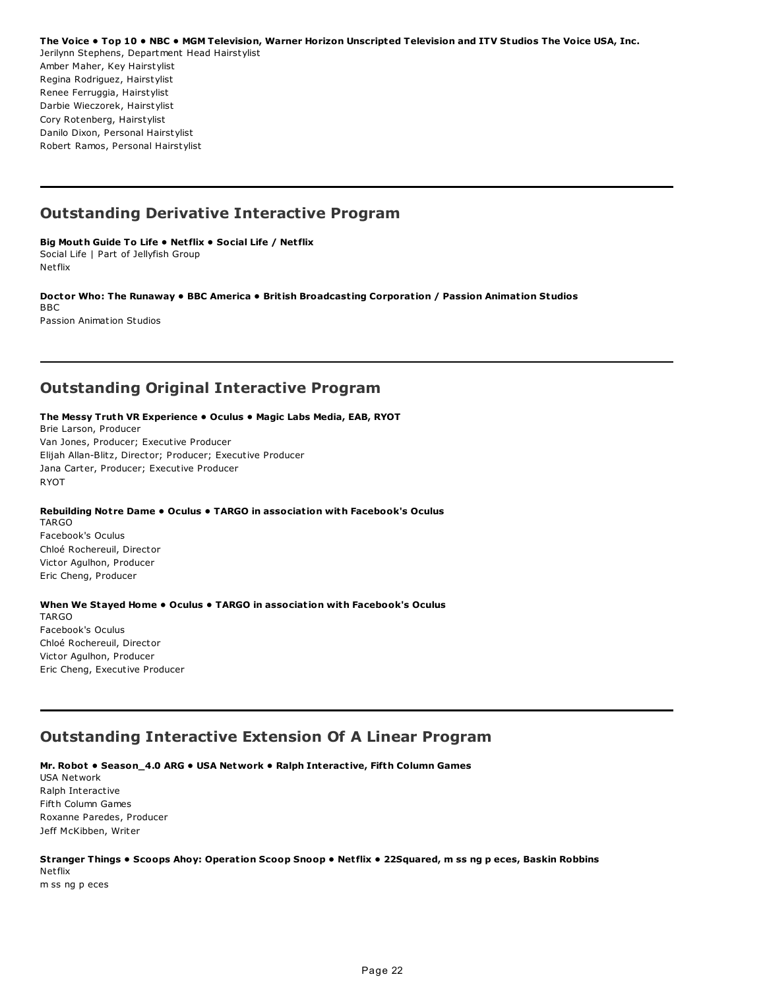The Voice . Top 10 . NBC . MGM Television, Warner Horizon Unscripted Television and ITV Studios The Voice USA, Inc. Jerilynn Stephens, Department Head Hairstylist Amber Maher, Key Hairstylist Regina Rodriguez, Hairstylist Renee Ferruggia, Hairstylist Darbie Wieczorek, Hairstylist Cory Rotenberg, Hairstylist Danilo Dixon, Personal Hairstylist

## **Outstanding Derivative Interactive Program**

**Big Mouth Guide To Life • Netflix • Social Life / Netflix**

Social Life | Part of Jellyfish Group Netflix

**Doctor Who: The Runaway • BBC America • British Broadcasting Corporation / Passion Animation Studios** BBC

Passion Animation Studios

Robert Ramos, Personal Hairstylist

# **Outstanding Original Interactive Program**

### **The Messy Truth VR Experience • Oculus • Magic Labs Media, EAB, RYOT**

Brie Larson, Producer Van Jones, Producer; Executive Producer Elijah Allan-Blitz, Director; Producer; Executive Producer Jana Carter, Producer; Executive Producer RYOT

### **Rebuilding Notre Dame • Oculus • TARGO in association with Facebook's Oculus**

TARGO Facebook's Oculus Chloé Rochereuil, Director Victor Agulhon, Producer Eric Cheng, Producer

### **When We Stayed Home • Oculus • TARGO in association with Facebook's Oculus**

TARGO Facebook's Oculus Chloé Rochereuil, Director Victor Agulhon, Producer Eric Cheng, Executive Producer

# **Outstanding Interactive Extension Of A Linear Program**

**Mr. Robot • Season\_4.0 ARG • USA Network • Ralph Interactive, Fifth Column Games**

USA Network Ralph Interactive Fifth Column Games Roxanne Paredes, Producer Jeff McKibben, Writer

## Stranger Things . Scoops Ahoy: Operation Scoop Snoop . Netflix . 22Squared, m ss ng p eces, Baskin Robbins

Netflix m ss ng p eces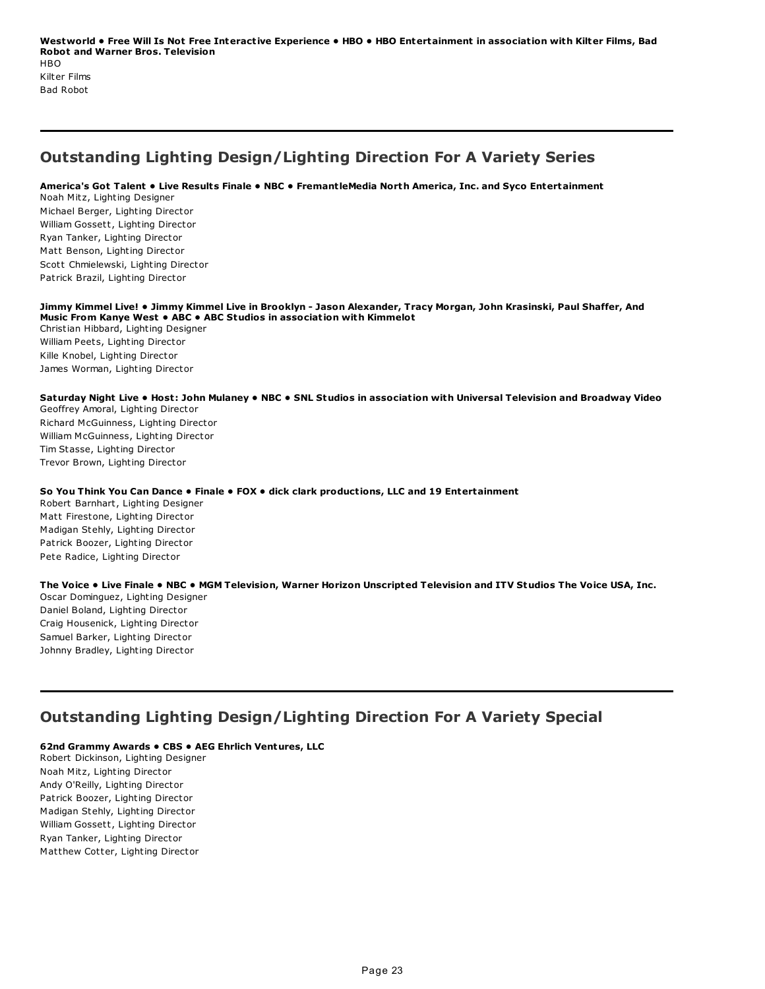```
Kilter Films
Bad Robot
```
# **Outstanding Lighting Design/Lighting Direction For A Variety Series**

#### America's Got Talent . Live Results Finale . NBC . FremantleMedia North America, Inc. and Syco Entertainment

Noah Mitz, Lighting Designer Michael Berger, Lighting Director William Gossett, Lighting Director Ryan Tanker, Lighting Director Matt Benson, Lighting Director Scott Chmielewski, Lighting Director Patrick Brazil, Lighting Director

#### Jimmy Kimmel Live! . Jimmy Kimmel Live in Brooklyn - Jason Alexander, Tracy Morgan, John Krasinski, Paul Shaffer, And **Music From Kanye West • ABC • ABC Studios in association with Kimmelot**

Christian Hibbard, Lighting Designer William Peets, Lighting Director Kille Knobel, Lighting Director James Worman, Lighting Director

### Saturday Night Live . Host: John Mulaney . NBC . SNL Studios in association with Universal Television and Broadway Video

Geoffrey Amoral, Lighting Director Richard McGuinness, Lighting Director William McGuinness, Lighting Director Tim Stasse, Lighting Director Trevor Brown, Lighting Director

### **So You Think You Can Dance • Finale • FOX • dick clark productions, LLC and 19 Entertainment**

Robert Barnhart, Lighting Designer Matt Firestone, Lighting Director Madigan Stehly, Lighting Director Patrick Boozer, Lighting Director Pete Radice, Lighting Director

### The Voice . Live Finale . NBC . MGM Television, Warner Horizon Unscripted Television and ITV Studios The Voice USA, Inc.

Oscar Dominguez, Lighting Designer Daniel Boland, Lighting Director Craig Housenick, Lighting Director Samuel Barker, Lighting Director Johnny Bradley, Lighting Director

# **Outstanding Lighting Design/Lighting Direction For A Variety Special**

### **62nd Grammy Awards • CBS • AEG Ehrlich Ventures, LLC**

Robert Dickinson, Lighting Designer Noah Mitz, Lighting Director Andy O'Reilly, Lighting Director Patrick Boozer, Lighting Director Madigan Stehly, Lighting Director William Gossett, Lighting Director Ryan Tanker, Lighting Director Matthew Cotter, Lighting Director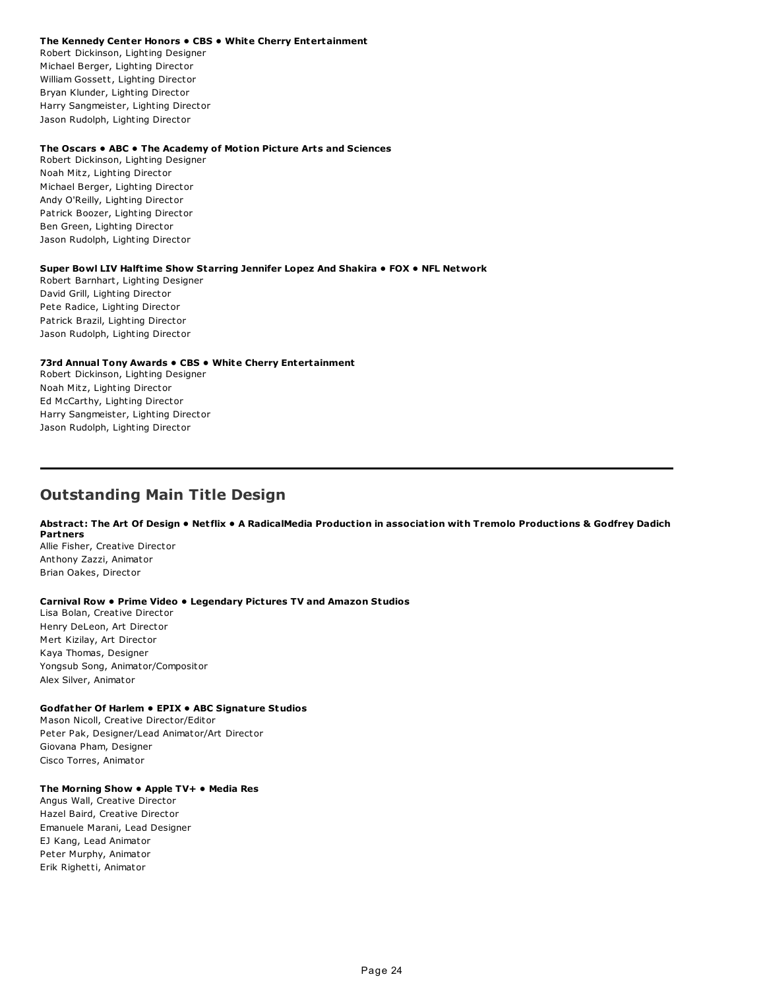### **The Kennedy Center Honors • CBS • White Cherry Entertainment**

Robert Dickinson, Lighting Designer Michael Berger, Lighting Director William Gossett, Lighting Director Bryan Klunder, Lighting Director Harry Sangmeister, Lighting Director Jason Rudolph, Lighting Director

#### **The Oscars • ABC • The Academy of Motion Picture Arts and Sciences**

Robert Dickinson, Lighting Designer Noah Mitz, Lighting Director Michael Berger, Lighting Director Andy O'Reilly, Lighting Director Patrick Boozer, Lighting Director Ben Green, Lighting Director Jason Rudolph, Lighting Director

#### **Super Bowl LIV Halftime Show Starring Jennifer Lopez And Shakira • FOX • NFL Network**

Robert Barnhart, Lighting Designer David Grill, Lighting Director Pete Radice, Lighting Director Patrick Brazil, Lighting Director Jason Rudolph, Lighting Director

#### **73rd Annual Tony Awards • CBS • White Cherry Entertainment**

Robert Dickinson, Lighting Designer Noah Mitz, Lighting Director Ed McCarthy, Lighting Director Harry Sangmeister, Lighting Director Jason Rudolph, Lighting Director

## **Outstanding Main Title Design**

#### Abstract: The Art Of Design • Netflix • A RadicalMedia Production in association with Tremolo Productions & Godfrey Dadich **Partners** Allie Fisher, Creative Director

Anthony Zazzi, Animator Brian Oakes, Director

### **Carnival Row • Prime Video • Legendary Pictures TV and Amazon Studios**

Lisa Bolan, Creative Director Henry DeLeon, Art Director Mert Kizilay, Art Director Kaya Thomas, Designer Yongsub Song, Animator/Compositor Alex Silver, Animator

### **Godfather Of Harlem • EPIX • ABC Signature Studios**

Mason Nicoll, Creative Director/Editor Peter Pak, Designer/Lead Animator/Art Director Giovana Pham, Designer Cisco Torres, Animator

## **The Morning Show • Apple TV+ • Media Res**

Angus Wall, Creative Director Hazel Baird, Creative Director Emanuele Marani, Lead Designer EJ Kang, Lead Animator Peter Murphy, Animator Erik Righetti, Animator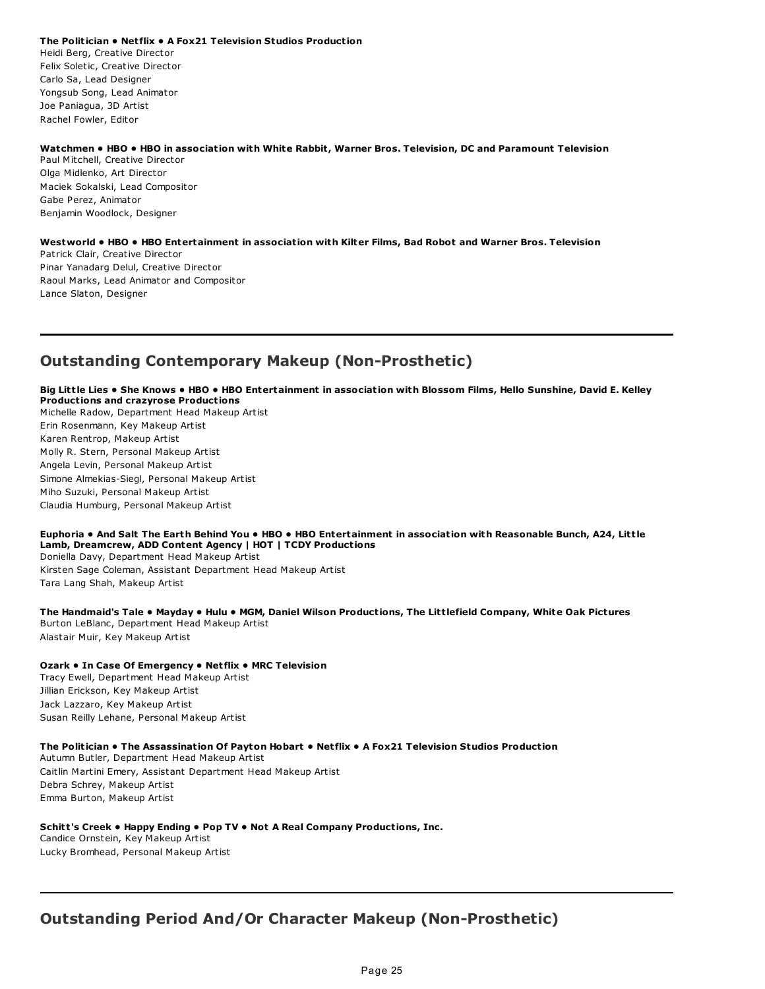#### **The Politician • Netflix • A Fox21 Television Studios Production**

Heidi Berg, Creative Director Felix Soletic, Creative Director Carlo Sa, Lead Designer Yongsub Song, Lead Animator Joe Paniagua, 3D Artist Rachel Fowler, Editor

#### Watchmen • HBO • HBO in association with White Rabbit, Warner Bros. Television, DC and Paramount Television

Paul Mitchell, Creative Director Olga Midlenko, Art Director Maciek Sokalski, Lead Compositor Gabe Perez, Animator Benjamin Woodlock, Designer

#### Westworld . HBO . HBO Entertainment in association with Kilter Films, Bad Robot and Warner Bros. Television

Patrick Clair, Creative Director Pinar Yanadarg Delul, Creative Director Raoul Marks, Lead Animator and Compositor Lance Slaton, Designer

# **Outstanding Contemporary Makeup (Non-Prosthetic)**

Big Little Lies . She Knows . HBO . HBO Entertainment in association with Blossom Films, Hello Sunshine, David E. Kelley **Productions and crazyrose Productions** Michelle Radow, Department Head Makeup Artist Erin Rosenmann, Key Makeup Artist Karen Rent rop, Makeup Artist Molly R. Stern, Personal Makeup Artist Angela Levin, Personal Makeup Artist Simone Almekias-Siegl, Personal Makeup Artist Miho Suzuki, Personal Makeup Artist Claudia Humburg, Personal Makeup Artist Euphoria • And Salt The Earth Behind You • HBO • HBO Entertainment in association with Reasonable Bunch, A24, Little

**Lamb, Dreamcrew, ADD Content Agency | HOT | TCDY Productions** Doniella Davy, Department Head Makeup Artist Kirsten Sage Coleman, Assistant Department Head Makeup Artist Tara Lang Shah, Makeup Artist

#### The Handmaid's Tale . Mayday . Hulu . MGM, Daniel Wilson Productions, The Littlefield Company, White Oak Pictures Burton LeBlanc, Department Head Makeup Artist

Alastair Muir, Key Makeup Artist

### **Ozark • In Case Of Emergency • Netflix • MRC Television**

Tracy Ewell, Department Head Makeup Artist Jillian Erickson, Key Makeup Artist Jack Lazzaro, Key Makeup Artist Susan Reilly Lehane, Personal Makeup Artist

### **The Politician • The Assassination Of Payton Hobart • Netflix • A Fox21 Television Studios Production**

Autumn Butler, Department Head Makeup Artist Caitlin Martini Emery, Assistant Department Head Makeup Artist Debra Schrey, Makeup Artist Emma Burton, Makeup Artist

### **Schitt's Creek • Happy Ending • Pop TV • Not A Real Company Productions, Inc.**

Candice Ornstein, Key Makeup Artist Lucky Bromhead, Personal Makeup Artist

# **Outstanding Period And/Or Character Makeup (Non-Prosthetic)**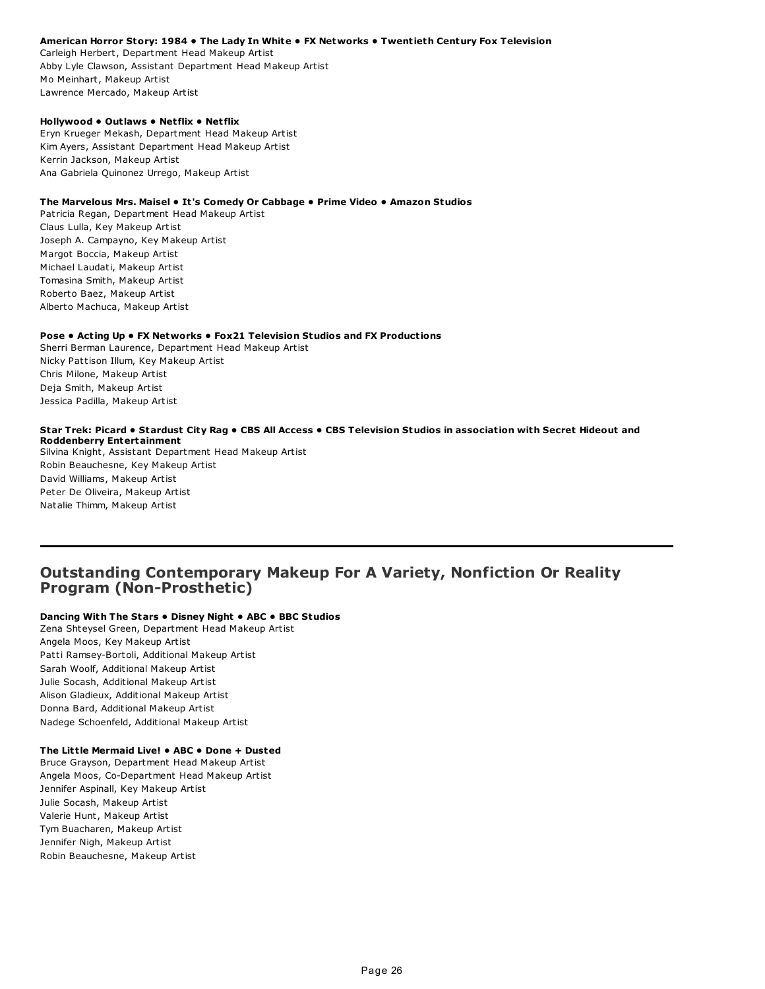#### **American Horror Story: 1984 • The Lady In White • FX Networks • Twentieth Century Fox Television**

Carleigh Herbert, Department Head Makeup Artist Abby Lyle Clawson, Assistant Department Head Makeup Artist Mo Meinhart, Makeup Artist Lawrence Mercado, Makeup Artist

### **Hollywood • Outlaws • Netflix • Netflix**

Eryn Krueger Mekash, Department Head Makeup Artist Kim Ayers, Assistant Department Head Makeup Artist Kerrin Jackson, Makeup Artist Ana Gabriela Quinonez Urrego, Makeup Artist

### **The Marvelous Mrs. Maisel • It's Comedy Or Cabbage • Prime Video • Amazon Studios**

Patricia Regan, Department Head Makeup Artist Claus Lulla, Key Makeup Artist Joseph A. Campayno, Key Makeup Artist Margot Boccia, Makeup Artist Michael Laudati, Makeup Artist Tomasina Smith, Makeup Artist Roberto Baez, Makeup Artist Alberto Machuca, Makeup Artist

### **Pose • Acting Up • FX Networks • Fox21 Television Studios and FX Productions**

Sherri Berman Laurence, Department Head Makeup Artist Nicky Pattison Illum, Key Makeup Artist Chris Milone, Makeup Artist Deja Smith, Makeup Artist Jessica Padilla, Makeup Artist

#### Star Trek: Picard • Stardust City Rag • CBS All Access • CBS Television Studios in association with Secret Hideout and **Roddenberry Entertainment**

Silvina Knight, Assistant Department Head Makeup Artist Robin Beauchesne, Key Makeup Artist David Williams, Makeup Artist Peter De Oliveira, Makeup Artist Natalie Thimm, Makeup Artist

## **Outstanding Contemporary Makeup For A Variety, Nonfiction Or Reality Program (Non-Prosthetic)**

## **Dancing With The Stars • Disney Night • ABC • BBC Studios**

Zena Shteysel Green, Department Head Makeup Artist Angela Moos, Key Makeup Artist Patti Ramsey-Bortoli, Additional Makeup Artist Sarah Woolf, Additional Makeup Artist Julie Socash, Additional Makeup Artist Alison Gladieux, Additional Makeup Artist Donna Bard, Additional Makeup Artist Nadege Schoenfeld, Additional Makeup Artist

### **The Little Mermaid Live! • ABC • Done + Dusted**

Bruce Grayson, Department Head Makeup Artist Angela Moos, Co-Department Head Makeup Artist Jennifer Aspinall, Key Makeup Artist Julie Socash, Makeup Artist Valerie Hunt, Makeup Artist Tym Buacharen, Makeup Artist Jennifer Nigh, Makeup Artist Robin Beauchesne, Makeup Artist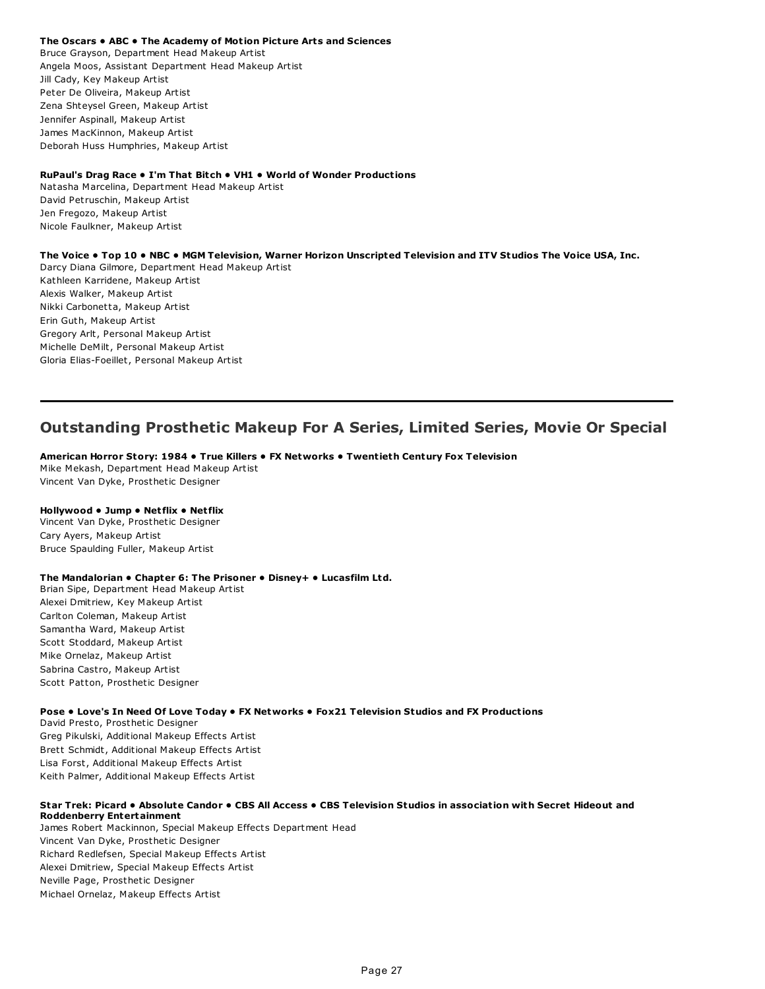#### **The Oscars • ABC • The Academy of Motion Picture Arts and Sciences**

Bruce Grayson, Department Head Makeup Artist Angela Moos, Assistant Department Head Makeup Artist Jill Cady, Key Makeup Artist Peter De Oliveira, Makeup Artist Zena Shteysel Green, Makeup Artist Jennifer Aspinall, Makeup Artist James MacKinnon, Makeup Artist Deborah Huss Humphries, Makeup Artist

#### **RuPaul's Drag Race • I'm That Bitch • VH1 • World of Wonder Productions**

Natasha Marcelina, Department Head Makeup Artist David Pet ruschin, Makeup Artist Jen Fregozo, Makeup Artist Nicole Faulkner, Makeup Artist

#### The Voice . Top 10 . NBC . MGM Television, Warner Horizon Unscripted Television and ITV Studios The Voice USA, Inc.

Darcy Diana Gilmore, Department Head Makeup Artist Kathleen Karridene, Makeup Artist Alexis Walker, Makeup Artist Nikki Carbonetta, Makeup Artist Erin Guth, Makeup Artist Gregory Arlt, Personal Makeup Artist Michelle DeMilt, Personal Makeup Artist Gloria Elias-Foeillet, Personal Makeup Artist

# **Outstanding Prosthetic Makeup For A Series, Limited Series, Movie Or Special**

**American Horror Story: 1984 • True Killers • FX Networks • Twentieth Century Fox Television**

Mike Mekash, Department Head Makeup Artist Vincent Van Dyke, Prosthetic Designer

### **Hollywood • Jump • Netflix • Netflix**

Vincent Van Dyke, Prosthetic Designer Cary Ayers, Makeup Artist Bruce Spaulding Fuller, Makeup Artist

#### **The Mandalorian • Chapter 6: The Prisoner • Disney+ • Lucasfilm Ltd.**

Brian Sipe, Department Head Makeup Artist Alexei Dmit riew, Key Makeup Artist Carlton Coleman, Makeup Artist Samantha Ward, Makeup Artist Scott Stoddard, Makeup Artist Mike Ornelaz, Makeup Artist Sabrina Castro, Makeup Artist Scott Patton, Prosthetic Designer

### **Pose • Love's In Need Of Love Today • FX Networks • Fox21 Television Studios and FX Productions**

David Presto, Prosthetic Designer Greg Pikulski, Additional Makeup Effects Artist Brett Schmidt, Additional Makeup Effects Artist Lisa Forst, Additional Makeup Effects Artist Keith Palmer, Additional Makeup Effects Artist

#### Star Trek: Picard • Absolute Candor • CBS All Access • CBS Television Studios in association with Secret Hideout and **Roddenberry Entertainment**

James Robert Mackinnon, Special Makeup Effects Department Head Vincent Van Dyke, Prosthetic Designer Richard Redlefsen, Special Makeup Effects Artist Alexei Dmit riew, Special Makeup Effects Artist Neville Page, Prosthetic Designer Michael Ornelaz, Makeup Effects Artist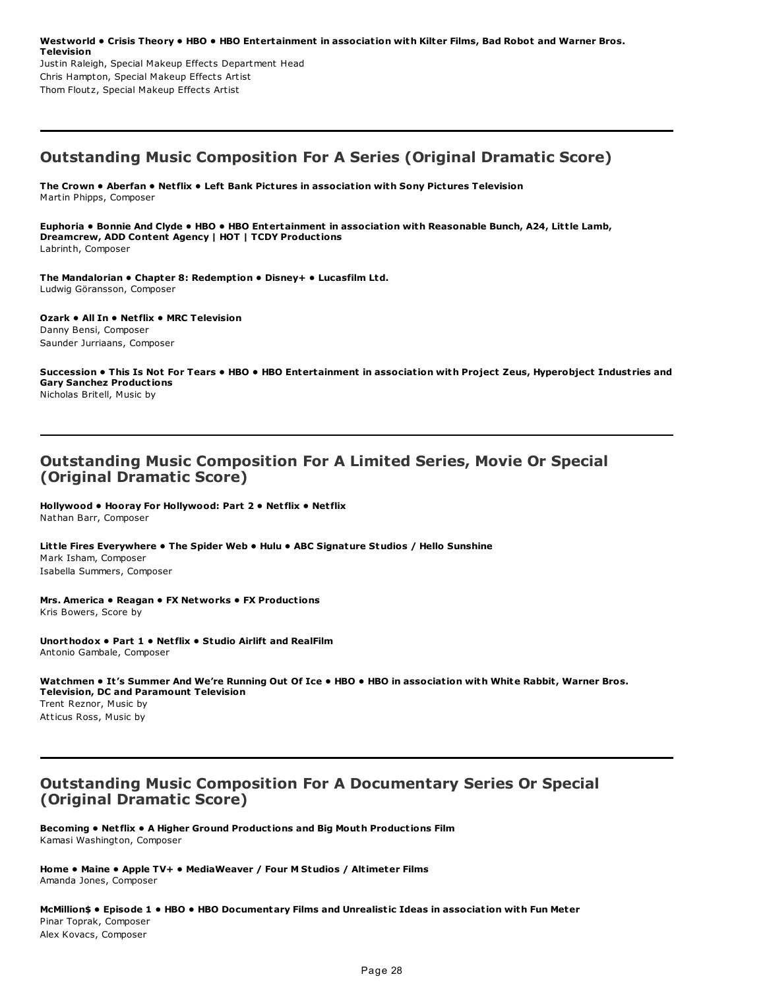Westworld . Crisis Theory . HBO . HBO Entertainment in association with Kilter Films, Bad Robot and Warner Bros. **Television**

Justin Raleigh, Special Makeup Effects Department Head Chris Hampton, Special Makeup Effects Artist Thom Floutz, Special Makeup Effects Artist

## **Outstanding Music Composition For A Series (Original Dramatic Score)**

**The Crown • Aberfan • Netflix • Left Bank Pictures in association with Sony Pictures Television** Martin Phipps, Composer

Euphoria . Bonnie And Clyde . HBO . HBO Entertainment in association with Reasonable Bunch, A24, Little Lamb, **Dreamcrew, ADD Content Agency | HOT | TCDY Productions** Labrinth, Composer

**The Mandalorian • Chapter 8: Redemption • Disney+ • Lucasfilm Ltd.** Ludwig Göransson, Composer

**Ozark • All In • Netflix • MRC Television** Danny Bensi, Composer Saunder Jurriaans, Composer

Succession . This Is Not For Tears . HBO . HBO Entertainment in association with Project Zeus, Hyperobject Industries and **Gary Sanchez Productions** Nicholas Britell, Music by

## **Outstanding Music Composition For A Limited Series, Movie Or Special (Original Dramatic Score)**

**Hollywood • Hooray For Hollywood: Part 2 • Netflix • Netflix** Nathan Barr, Composer

**Little Fires Everywhere • The Spider Web • Hulu • ABC Signature Studios / Hello Sunshine** Mark Isham, Composer Isabella Summers, Composer

**Mrs. America • Reagan • FX Networks • FX Productions** Kris Bowers, Score by

**Unorthodox • Part 1 • Netflix • Studio Airlift and RealFilm** Antonio Gambale, Composer

Watchmen . It's Summer And We're Running Out Of Ice . HBO . HBO in association with White Rabbit, Warner Bros. **Television, DC and Paramount Television**

Trent Reznor, Music by Atticus Ross, Music by

## **Outstanding Music Composition For A Documentary Series Or Special (Original Dramatic Score)**

**Becoming • Netflix • A Higher Ground Productions and Big Mouth Productions Film** Kamasi Washington, Composer

**Home • Maine • Apple TV+ • MediaWeaver / Four M Studios / Altimeter Films** Amanda Jones, Composer

McMillion\$ . Episode 1 . HBO . HBO Documentary Films and Unrealistic Ideas in association with Fun Meter Pinar Toprak, Composer Alex Kovacs, Composer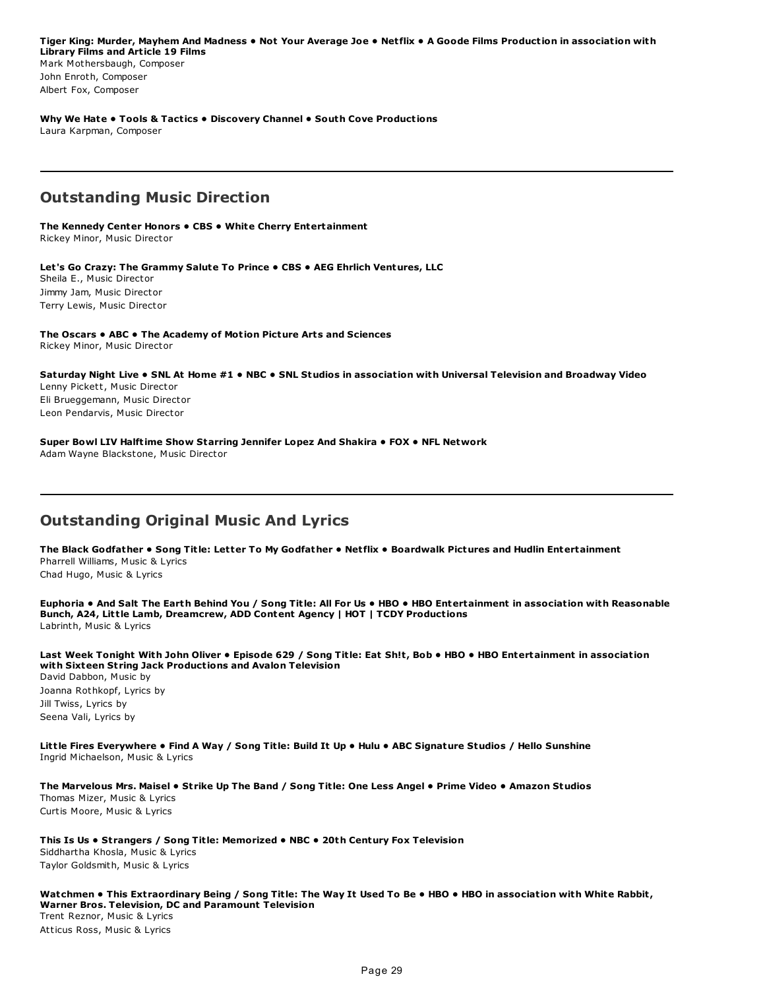Tiger King: Murder, Mayhem And Madness . Not Your Average Joe . Netflix . A Goode Films Production in association with **Library Films and Article 19 Films** Mark Mothersbaugh, Composer John Enroth, Composer Albert Fox, Composer

**Why We Hate • Tools & Tactics • Discovery Channel • South Cove Productions** Laura Karpman, Composer

# **Outstanding Music Direction**

**The Kennedy Center Honors • CBS • White Cherry Entertainment** Rickey Minor, Music Director

**Let's Go Crazy: The Grammy Salute To Prince • CBS • AEG Ehrlich Ventures, LLC** Sheila E., Music Director Jimmy Jam, Music Director Terry Lewis, Music Director

**The Oscars • ABC • The Academy of Motion Picture Arts and Sciences** Rickey Minor, Music Director

Saturday Night Live . SNL At Home #1 . NBC . SNL Studios in association with Universal Television and Broadway Video Lenny Pickett, Music Director Eli Brueggemann, Music Director Leon Pendarvis, Music Director

**Super Bowl LIV Halftime Show Starring Jennifer Lopez And Shakira • FOX • NFL Network** Adam Wayne Blackstone, Music Director

# **Outstanding Original Music And Lyrics**

The Black Godfather . Song Title: Letter To My Godfather . Netflix . Boardwalk Pictures and Hudlin Entertainment Pharrell Williams, Music & Lyrics Chad Hugo, Music & Lyrics

Euphoria • And Salt The Earth Behind You / Song Title: All For Us • HBO • HBO Entertainment in association with Reasonable **Bunch, A24, Little Lamb, Dreamcrew, ADD Content Agency | HOT | TCDY Productions** Labrinth, Music & Lyrics

Last Week Tonight With John Oliver • Episode 629 / Song Title: Eat Sh!t, Bob • HBO • HBO Entertainment in association **with Sixteen String Jack Productions and Avalon Television** David Dabbon, Music by

Joanna Rothkopf, Lyrics by Jill Twiss, Lyrics by Seena Vali, Lyrics by

Little Fires Everywhere . Find A Way / Song Title: Build It Up . Hulu . ABC Signature Studios / Hello Sunshine Ingrid Michaelson, Music & Lyrics

The Marvelous Mrs. Maisel • Strike Up The Band / Song Title: One Less Angel • Prime Video • Amazon Studios Thomas Mizer, Music & Lyrics Curtis Moore, Music & Lyrics

**This Is Us • Strangers / Song Title: Memorized • NBC • 20th Century Fox Television** Siddhartha Khosla, Music & Lyrics Taylor Goldsmith, Music & Lyrics

Watchmen • This Extraordinary Being / Song Title: The Way It Used To Be • HBO • HBO in association with White Rabbit, **Warner Bros. Television, DC and Paramount Television** Trent Reznor, Music & Lyrics Atticus Ross, Music & Lyrics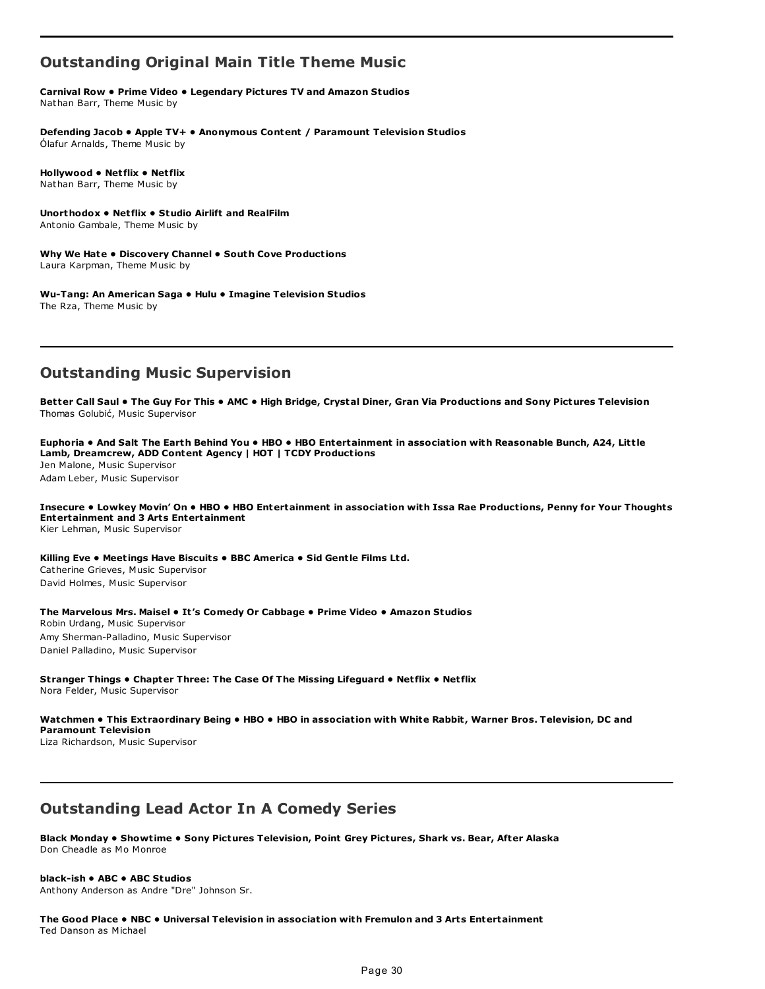# **Outstanding Original Main Title Theme Music**

**Carnival Row • Prime Video • Legendary Pictures TV and Amazon Studios** Nathan Barr, Theme Music by

**Defending Jacob • Apple TV+ • Anonymous Content / Paramount Television Studios** Ólafur Arnalds, Theme Music by

**Hollywood • Netflix • Netflix** Nathan Barr, Theme Music by

**Unorthodox • Netflix • Studio Airlift and RealFilm** Antonio Gambale, Theme Music by

**Why We Hate • Discovery Channel • South Cove Productions** Laura Karpman, Theme Music by

**Wu-Tang: An American Saga • Hulu • Imagine Television Studios** The Rza, Theme Music by

# **Outstanding Music Supervision**

Better Call Saul . The Guy For This . AMC . High Bridge, Crystal Diner, Gran Via Productions and Sony Pictures Television Thomas Golubić, Music Supervisor

Euphoria . And Salt The Earth Behind You . HBO . HBO Entertainment in association with Reasonable Bunch, A24, Little **Lamb, Dreamcrew, ADD Content Agency | HOT | TCDY Productions** Jen Malone, Music Supervisor Adam Leber, Music Supervisor

Insecure . Lowkey Movin' On . HBO . HBO Entertainment in association with Issa Rae Productions, Penny for Your Thoughts **Entertainment and 3 Arts Entertainment** Kier Lehman, Music Supervisor

**Killing Eve • Meetings Have Biscuits • BBC America • Sid Gentle Films Ltd.** Catherine Grieves, Music Supervisor David Holmes, Music Supervisor

**The Marvelous Mrs. Maisel • It's Comedy Or Cabbage • Prime Video • Amazon Studios**

Robin Urdang, Music Supervisor Amy Sherman-Palladino, Music Supervisor Daniel Palladino, Music Supervisor

**Stranger Things • Chapter Three: The Case Of The Missing Lifeguard • Netflix • Netflix** Nora Felder, Music Supervisor

Watchmen . This Extraordinary Being . HBO . HBO in association with White Rabbit, Warner Bros. Television, DC and **Paramount Television** Liza Richardson, Music Supervisor

## **Outstanding Lead Actor In A Comedy Series**

**Black Monday • Showtime • Sony Pictures Television, Point Grey Pictures, Shark vs. Bear, After Alaska** Don Cheadle as Mo Monroe

**black-ish • ABC • ABC Studios**

Anthony Anderson as Andre "Dre" Johnson Sr.

**The Good Place • NBC • Universal Television in association with Fremulon and 3 Arts Entertainment** Ted Danson as Michael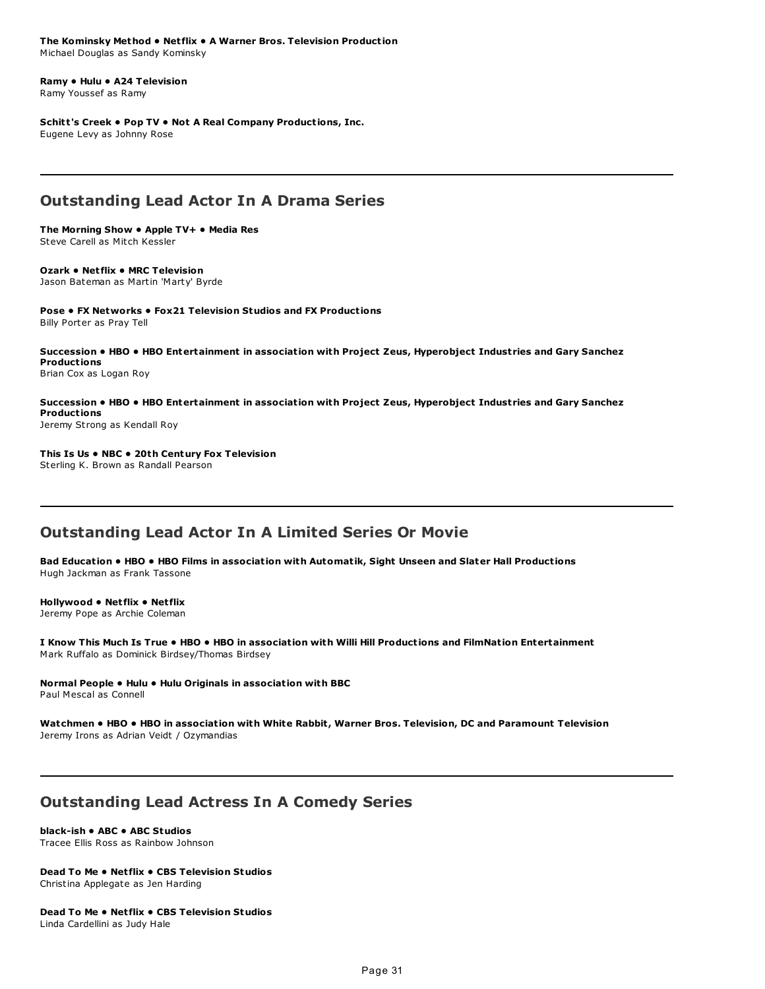#### **The Kominsky Method • Netflix • A Warner Bros. Television Production** Michael Douglas as Sandy Kominsky

## **Ramy • Hulu • A24 Television**

Ramy Youssef as Ramy

### **Schitt's Creek • Pop TV • Not A Real Company Productions, Inc.**

Eugene Levy as Johnny Rose

## **Outstanding Lead Actor In A Drama Series**

**The Morning Show • Apple TV+ • Media Res** Steve Carell as Mitch Kessler

**Ozark • Netflix • MRC Television** Jason Bateman as Martin 'Marty' Byrde

**Pose • FX Networks • Fox21 Television Studios and FX Productions** Billy Porter as Pray Tell

**Succession • HBO • HBO Entertainment in association with Project Zeus, Hyperobject Industries and Gary Sanchez Productions** Brian Cox as Logan Roy

**Succession • HBO • HBO Entertainment in association with Project Zeus, Hyperobject Industries and Gary Sanchez Productions**

Jeremy Strong as Kendall Roy

**This Is Us • NBC • 20th Century Fox Television** Sterling K. Brown as Randall Pearson

## **Outstanding Lead Actor In A Limited Series Or Movie**

**Bad Education • HBO • HBO Films in association with Automatik, Sight Unseen and Slater Hall Productions** Hugh Jackman as Frank Tassone

#### **Hollywood • Netflix • Netflix**

Jeremy Pope as Archie Coleman

I Know This Much Is True . HBO . HBO in association with Willi Hill Productions and FilmNation Entertainment Mark Ruffalo as Dominick Birdsey/Thomas Birdsey

**Normal People • Hulu • Hulu Originals in association with BBC** Paul Mescal as Connell

Watchmen . HBO . HBO in association with White Rabbit, Warner Bros. Television, DC and Paramount Television Jeremy Irons as Adrian Veidt / Ozymandias

# **Outstanding Lead Actress In A Comedy Series**

### **black-ish • ABC • ABC Studios**

Tracee Ellis Ross as Rainbow Johnson

#### **Dead To Me • Netflix • CBS Television Studios** Christina Applegate as Jen Harding

**Dead To Me • Netflix • CBS Television Studios** Linda Cardellini as Judy Hale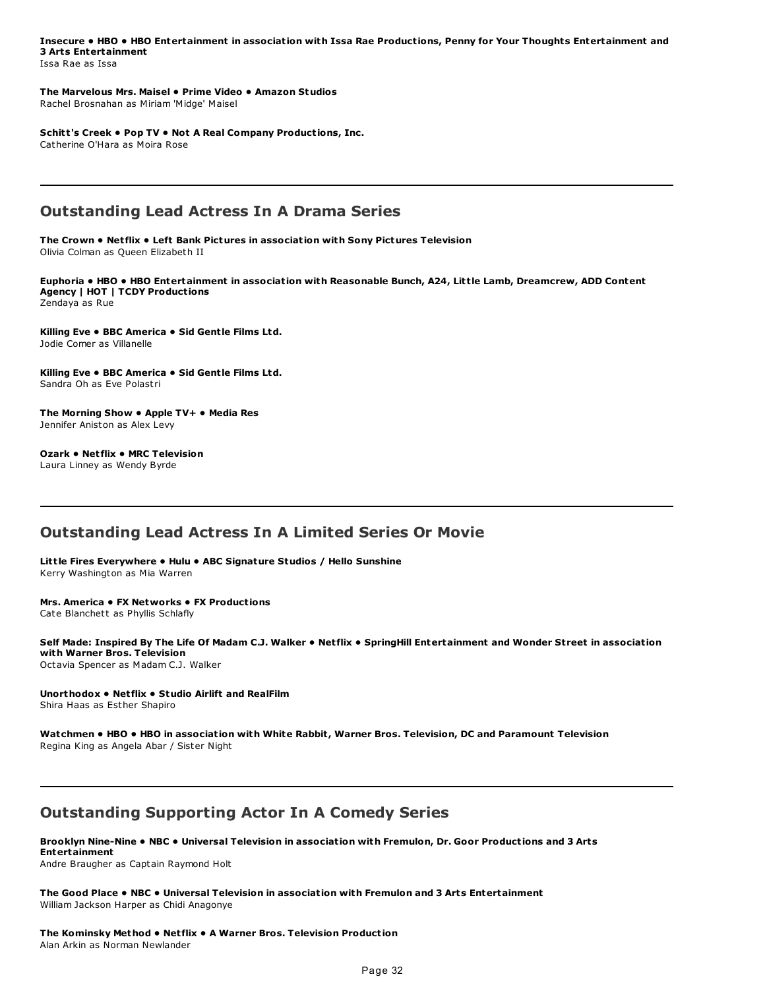Insecure • HBO • HBO Entertainment in association with Issa Rae Productions, Penny for Your Thoughts Entertainment and **3 Arts Entertainment** Issa Rae as Issa

#### **The Marvelous Mrs. Maisel • Prime Video • Amazon Studios** Rachel Brosnahan as Miriam 'Midge' Maisel

**Schitt's Creek • Pop TV • Not A Real Company Productions, Inc.**

Catherine O'Hara as Moira Rose

## **Outstanding Lead Actress In A Drama Series**

**The Crown • Netflix • Left Bank Pictures in association with Sony Pictures Television** Olivia Colman as Queen Elizabeth II

Euphoria • HBO • HBO Entertainment in association with Reasonable Bunch, A24, Little Lamb, Dreamcrew, ADD Content **Agency | HOT | TCDY Productions** Zendaya as Rue

**Killing Eve • BBC America • Sid Gentle Films Ltd.** Jodie Comer as Villanelle

**Killing Eve • BBC America • Sid Gentle Films Ltd.** Sandra Oh as Eve Polastri

**The Morning Show • Apple TV+ • Media Res** Jennifer Aniston as Alex Levy

**Ozark • Netflix • MRC Television** Laura Linney as Wendy Byrde

## **Outstanding Lead Actress In A Limited Series Or Movie**

**Little Fires Everywhere • Hulu • ABC Signature Studios / Hello Sunshine** Kerry Washington as Mia Warren

### **Mrs. America • FX Networks • FX Productions**

Cate Blanchett as Phyllis Schlafly

Self Made: Inspired By The Life Of Madam C.J. Walker . Netflix . SpringHill Entertainment and Wonder Street in association **with Warner Bros. Television** Octavia Spencer as Madam C.J. Walker

**Unorthodox • Netflix • Studio Airlift and RealFilm**

Shira Haas as Esther Shapiro

Watchmen . HBO . HBO in association with White Rabbit, Warner Bros. Television, DC and Paramount Television Regina King as Angela Abar / Sister Night

## **Outstanding Supporting Actor In A Comedy Series**

Brooklyn Nine-Nine . NBC . Universal Television in association with Fremulon, Dr. Goor Productions and 3 Arts **Entertainment**

Andre Braugher as Captain Raymond Holt

**The Good Place • NBC • Universal Television in association with Fremulon and 3 Arts Entertainment** William Jackson Harper as Chidi Anagonye

**The Kominsky Method • Netflix • A Warner Bros. Television Production** Alan Arkin as Norman Newlander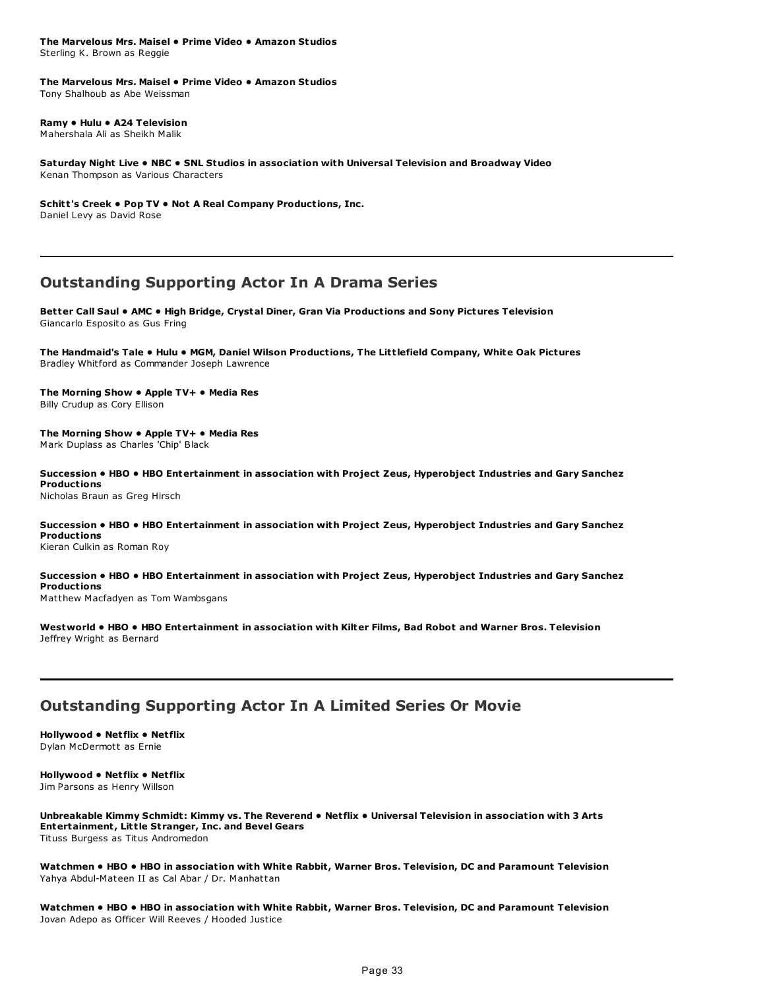**The Marvelous Mrs. Maisel • Prime Video • Amazon Studios** Sterling K. Brown as Reggie

**The Marvelous Mrs. Maisel • Prime Video • Amazon Studios** Tony Shalhoub as Abe Weissman

**Ramy • Hulu • A24 Television** Mahershala Ali as Sheikh Malik

**Saturday Night Live • NBC • SNL Studios in association with Universal Television and Broadway Video** Kenan Thompson as Various Characters

**Schitt's Creek • Pop TV • Not A Real Company Productions, Inc.** Daniel Levy as David Rose

# **Outstanding Supporting Actor In A Drama Series**

**Better Call Saul • AMC • High Bridge, Crystal Diner, Gran Via Productions and Sony Pictures Television** Giancarlo Esposito as Gus Fring

**The Handmaid's Tale • Hulu • MGM, Daniel Wilson Productions, The Littlefield Company, White Oak Pictures** Bradley Whitford as Commander Joseph Lawrence

**The Morning Show • Apple TV+ • Media Res** Billy Crudup as Cory Ellison

**The Morning Show • Apple TV+ • Media Res**

Mark Duplass as Charles 'Chip' Black

**Succession • HBO • HBO Entertainment in association with Project Zeus, Hyperobject Industries and Gary Sanchez Productions**

Nicholas Braun as Greg Hirsch

**Succession • HBO • HBO Entertainment in association with Project Zeus, Hyperobject Industries and Gary Sanchez Productions**

Kieran Culkin as Roman Roy

**Succession • HBO • HBO Entertainment in association with Project Zeus, Hyperobject Industries and Gary Sanchez Productions** Matthew Macfadyen as Tom Wambsgans

Westworld . HBO . HBO Entertainment in association with Kilter Films, Bad Robot and Warner Bros. Television Jeffrey Wright as Bernard

# **Outstanding Supporting Actor In A Limited Series Or Movie**

**Hollywood • Netflix • Netflix** Dylan McDermott as Ernie

**Hollywood • Netflix • Netflix**

Jim Parsons as Henry Willson

Unbreakable Kimmy Schmidt: Kimmy vs. The Reverend • Netflix • Universal Television in association with 3 Arts **Entertainment, Little Stranger, Inc. and Bevel Gears** Tituss Burgess as Titus Andromedon

Watchmen . HBO . HBO in association with White Rabbit, Warner Bros. Television, DC and Paramount Television Yahya Abdul-Mateen II as Cal Abar / Dr. Manhattan

Watchmen . HBO . HBO in association with White Rabbit, Warner Bros. Television, DC and Paramount Television Jovan Adepo as Officer Will Reeves / Hooded Justice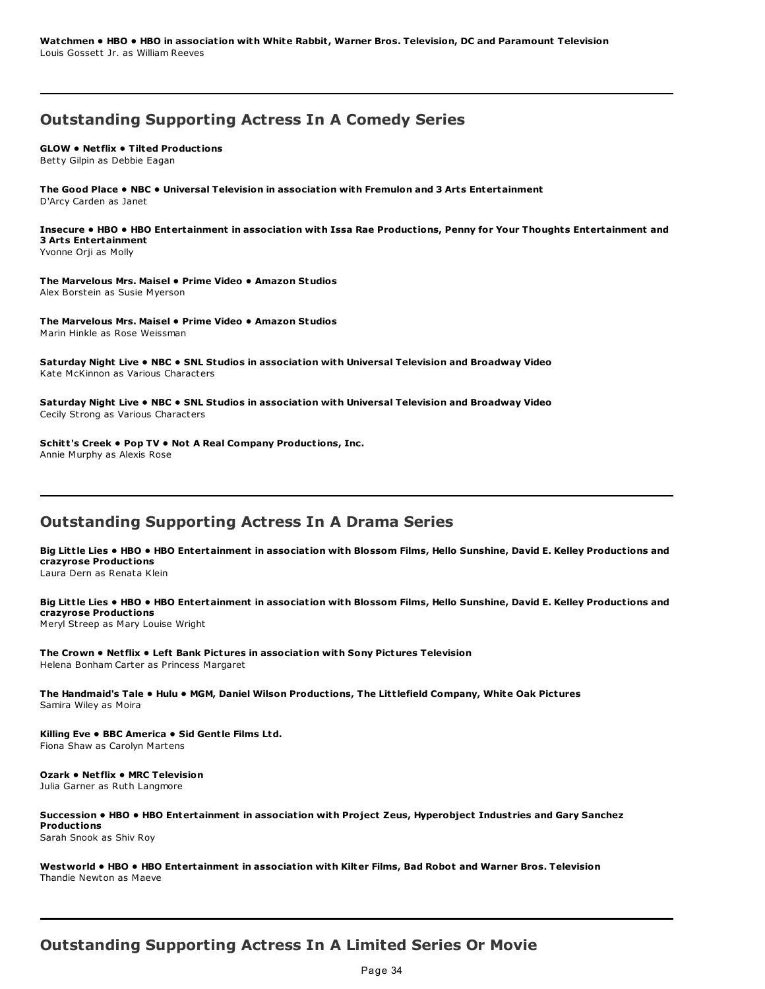## **Outstanding Supporting Actress In A Comedy Series**

#### **GLOW • Netflix • Tilted Productions**

Betty Gilpin as Debbie Eagan

**The Good Place • NBC • Universal Television in association with Fremulon and 3 Arts Entertainment** D'Arcy Carden as Janet

Insecure . HBO . HBO Entertainment in association with Issa Rae Productions, Penny for Your Thoughts Entertainment and **3 Arts Entertainment**

Yvonne Orii as Molly

**The Marvelous Mrs. Maisel • Prime Video • Amazon Studios** Alex Borstein as Susie Myerson

**The Marvelous Mrs. Maisel • Prime Video • Amazon Studios** Marin Hinkle as Rose Weissman

**Saturday Night Live • NBC • SNL Studios in association with Universal Television and Broadway Video** Kate McKinnon as Various Characters

**Saturday Night Live • NBC • SNL Studios in association with Universal Television and Broadway Video** Cecily Strong as Various Characters

**Schitt's Creek • Pop TV • Not A Real Company Productions, Inc.** Annie Murphy as Alexis Rose

## **Outstanding Supporting Actress In A Drama Series**

Big Little Lies . HBO . HBO Entertainment in association with Blossom Films, Hello Sunshine, David E. Kelley Productions and **crazyrose Productions**

Laura Dern as Renata Klein

Big Little Lies . HBO . HBO Entertainment in association with Blossom Films, Hello Sunshine, David E. Kelley Productions and **crazyrose Productions** Meryl Streep as Mary Louise Wright

**The Crown • Netflix • Left Bank Pictures in association with Sony Pictures Television**

Helena Bonham Carter as Princess Margaret

**The Handmaid's Tale • Hulu • MGM, Daniel Wilson Productions, The Littlefield Company, White Oak Pictures** Samira Wiley as Moira

**Killing Eve • BBC America • Sid Gentle Films Ltd.** Fiona Shaw as Carolyn Martens

**Ozark • Netflix • MRC Television**

Julia Garner as Ruth Langmore

**Succession • HBO • HBO Entertainment in association with Project Zeus, Hyperobject Industries and Gary Sanchez Productions** Sarah Snook as Shiv Roy

Westworld . HBO . HBO Entertainment in association with Kilter Films, Bad Robot and Warner Bros. Television Thandie Newton as Maeve

## **Outstanding Supporting Actress In A Limited Series Or Movie**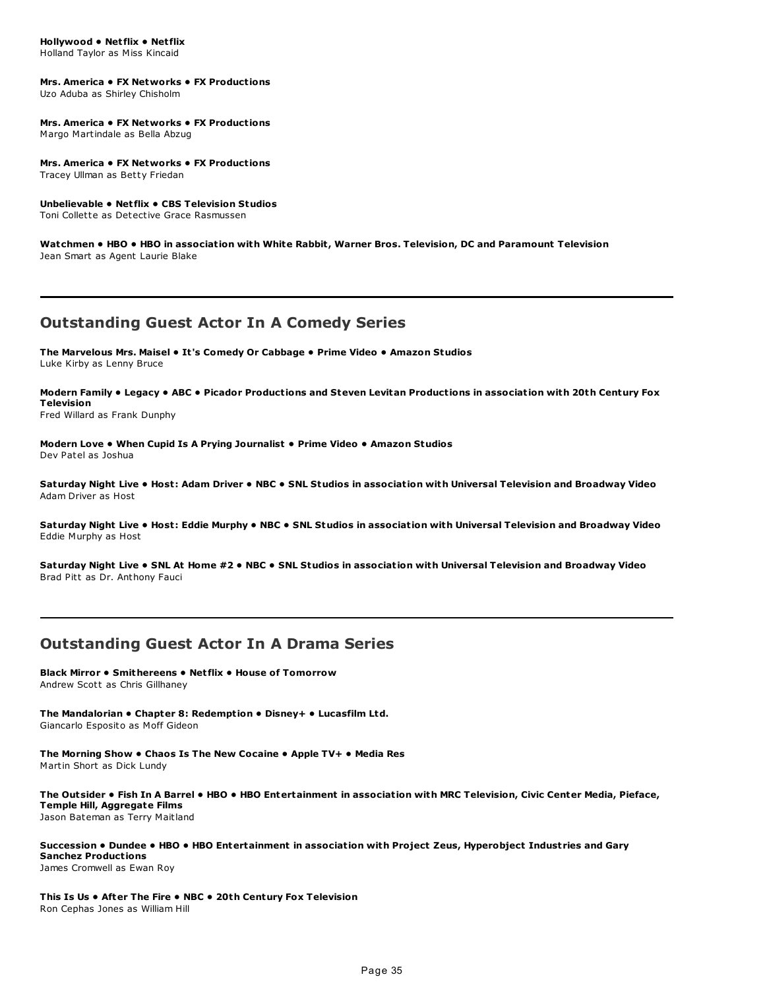#### **Hollywood • Netflix • Netflix**

Holland Taylor as Miss Kincaid

## **Mrs. America • FX Networks • FX Productions**

Uzo Aduba as Shirley Chisholm

#### **Mrs. America • FX Networks • FX Productions** Margo Martindale as Bella Abzug

**Mrs. America • FX Networks • FX Productions** Tracey Ullman as Betty Friedan

#### **Unbelievable • Netflix • CBS Television Studios** Toni Collette as Detective Grace Rasmussen

Watchmen . HBO . HBO in association with White Rabbit, Warner Bros. Television, DC and Paramount Television Jean Smart as Agent Laurie Blake

## **Outstanding Guest Actor In A Comedy Series**

**The Marvelous Mrs. Maisel • It's Comedy Or Cabbage • Prime Video • Amazon Studios** Luke Kirby as Lenny Bruce

Modern Family . Legacy . ABC . Picador Productions and Steven Levitan Productions in association with 20th Century Fox **Television**

Fred Willard as Frank Dunphy

**Modern Love • When Cupid Is A Prying Journalist • Prime Video • Amazon Studios** Dev Patel as Joshua

Saturday Night Live . Host: Adam Driver . NBC . SNL Studios in association with Universal Television and Broadway Video Adam Driver as Host

Saturday Night Live . Host: Eddie Murphy . NBC . SNL Studios in association with Universal Television and Broadway Video Eddie Murphy as Host

Saturday Night Live . SNL At Home #2 . NBC . SNL Studios in association with Universal Television and Broadway Video Brad Pitt as Dr. Anthony Fauci

## **Outstanding Guest Actor In A Drama Series**

**Black Mirror • Smithereens • Netflix • House of Tomorrow**

Andrew Scott as Chris Gillhaney

**The Mandalorian • Chapter 8: Redemption • Disney+ • Lucasfilm Ltd.** Giancarlo Esposito as Moff Gideon

#### **The Morning Show • Chaos Is The New Cocaine • Apple TV+ • Media Res** Martin Short as Dick Lundy

The Outsider . Fish In A Barrel . HBO . HBO Entertainment in association with MRC Television, Civic Center Media, Pieface, **Temple Hill, Aggregate Films** Jason Bateman as Terry Maitland

Succession • Dundee • HBO • HBO Entertainment in association with Project Zeus, Hyperobject Industries and Gary **Sanchez Productions** James Cromwell as Ewan Roy

**This Is Us • After The Fire • NBC • 20th Century Fox Television** Ron Cephas Jones as William Hill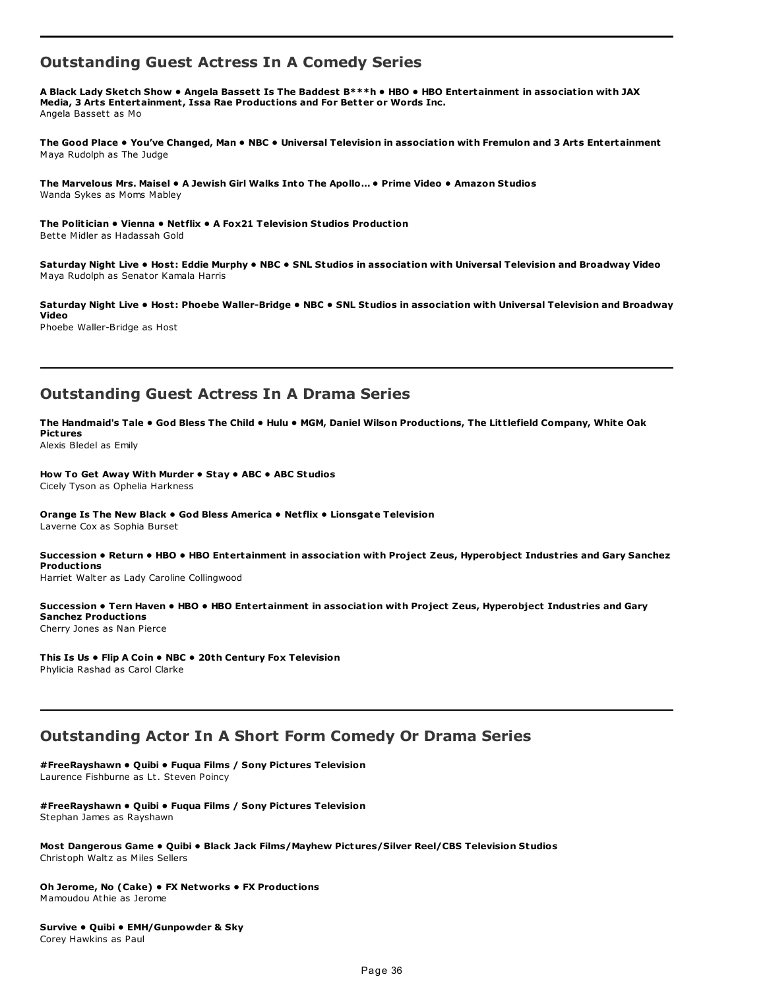# **Outstanding Guest Actress In A Comedy Series**

A Black Lady Sketch Show • Angela Bassett Is The Baddest B\*\*\*h • HBO • HBO Entertainment in association with JAX **Media, 3 Arts Entertainment, Issa Rae Productions and For Better or Words Inc.** Angela Bassett as Mo

The Good Place . You've Changed, Man . NBC . Universal Television in association with Fremulon and 3 Arts Entertainment Maya Rudolph as The Judge

**The Marvelous Mrs. Maisel • A Jewish Girl Walks Into The Apollo… • Prime Video • Amazon Studios** Wanda Sykes as Moms Mabley

**The Politician • Vienna • Netflix • A Fox21 Television Studios Production** Bette Midler as Hadassah Gold

Saturday Night Live . Host: Eddie Murphy . NBC . SNL Studios in association with Universal Television and Broadway Video Maya Rudolph as Senator Kamala Harris

Saturday Night Live . Host: Phoebe Waller-Bridge . NBC . SNL Studios in association with Universal Television and Broadway **Video** Phoebe Waller-Bridge as Host

# **Outstanding Guest Actress In A Drama Series**

The Handmaid's Tale . God Bless The Child . Hulu . MGM, Daniel Wilson Productions, The Littlefield Company, White Oak **Pictures** Alexis Bledel as Emily

**How To Get Away With Murder • Stay • ABC • ABC Studios** Cicely Tyson as Ophelia Harkness

**Orange Is The New Black • God Bless America • Netflix • Lionsgate Television** Laverne Cox as Sophia Burset

Succession • Return • HBO • HBO Entertainment in association with Project Zeus, Hyperobject Industries and Gary Sanchez **Productions**

Harriet Walter as Lady Caroline Collingwood

Succession • Tern Haven • HBO • HBO Entertainment in association with Project Zeus, Hyperobject Industries and Gary **Sanchez Productions** Cherry Jones as Nan Pierce

**This Is Us • Flip A Coin • NBC • 20th Century Fox Television** Phylicia Rashad as Carol Clarke

## **Outstanding Actor In A Short Form Comedy Or Drama Series**

**#FreeRayshawn • Quibi • Fuqua Films / Sony Pictures Television** Laurence Fishburne as Lt. Steven Poincy

**#FreeRayshawn • Quibi • Fuqua Films / Sony Pictures Television** Stephan James as Rayshawn

**Most Dangerous Game • Quibi • Black Jack Films/Mayhew Pictures/Silver Reel/CBS Television Studios** Christoph Waltz as Miles Sellers

**Oh Jerome, No (Cake) • FX Networks • FX Productions** Mamoudou Athie as Jerome

## **Survive • Quibi • EMH/Gunpowder & Sky**

Corey Hawkins as Paul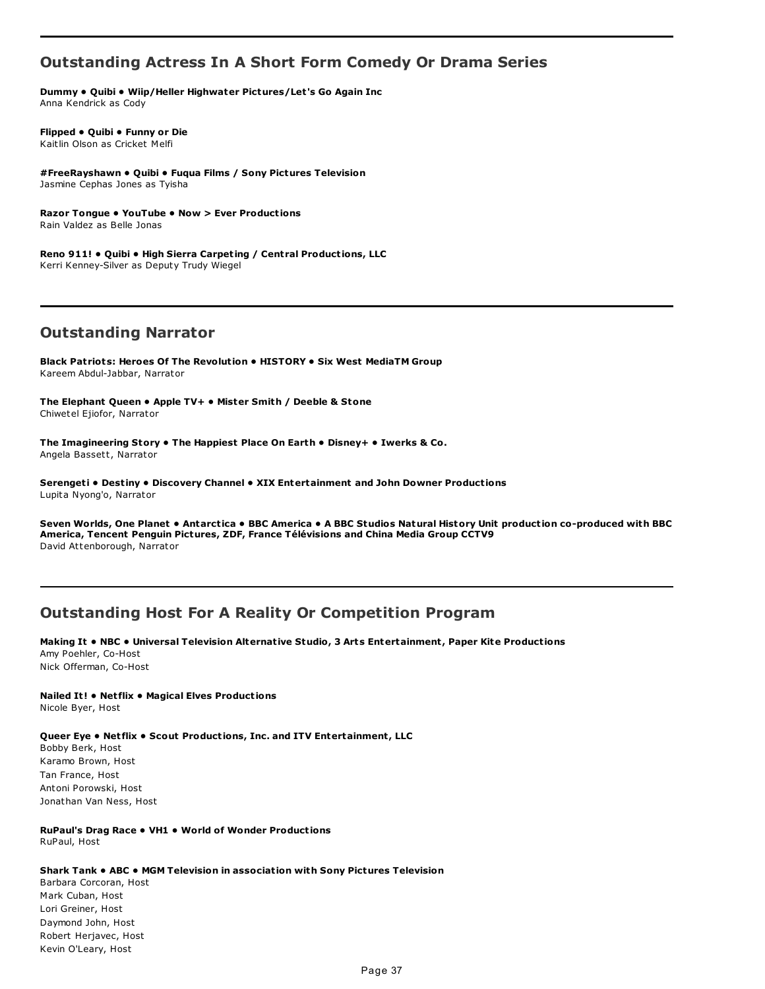## **Outstanding Actress In A Short Form Comedy Or Drama Series**

**Dummy • Quibi • Wiip/Heller Highwater Pictures/Let's Go Again Inc** Anna Kendrick as Cody

**Flipped • Quibi • Funny or Die** Kaitlin Olson as Cricket Melfi

**#FreeRayshawn • Quibi • Fuqua Films / Sony Pictures Television** Jasmine Cephas Jones as Tyisha

**Razor Tongue • YouTube • Now > Ever Productions** Rain Valdez as Belle Jonas

**Reno 911! • Quibi • High Sierra Carpeting / Central Productions, LLC** Kerri Kenney-Silver as Deputy Trudy Wiegel

## **Outstanding Narrator**

**Black Patriots: Heroes Of The Revolution • HISTORY • Six West MediaTM Group** Kareem Abdul-Jabbar, Narrator

**The Elephant Queen • Apple TV+ • Mister Smith / Deeble & Stone** Chiwetel Ejiofor, Narrator

**The Imagineering Story • The Happiest Place On Earth • Disney+ • Iwerks & Co.** Angela Bassett, Narrator

**Serengeti • Destiny • Discovery Channel • XIX Entertainment and John Downer Productions** Lupita Nyong'o, Narrator

Seven Worlds, One Planet . Antarctica . BBC America . A BBC Studios Natural History Unit production co-produced with BBC **America, Tencent Penguin Pictures, ZDF, France Télévisions and China Media Group CCTV9** David Attenborough, Narrator

# **Outstanding Host For A Reality Or Competition Program**

**Making It • NBC • Universal Television Alternative Studio, 3 Arts Entertainment, Paper Kite Productions** Amy Poehler, Co-Host Nick Offerman, Co-Host

### **Nailed It! • Netflix • Magical Elves Productions**

Nicole Byer, Host

### **Queer Eye • Netflix • Scout Productions, Inc. and ITV Entertainment, LLC**

Bobby Berk, Host Karamo Brown, Host Tan France, Host Antoni Porowski, Host Jonathan Van Ness, Host

**RuPaul's Drag Race • VH1 • World of Wonder Productions** RuPaul, Host

#### **Shark Tank • ABC • MGM Television in association with Sony Pictures Television**

Barbara Corcoran, Host Mark Cuban, Host Lori Greiner, Host Daymond John, Host Robert Herjavec, Host Kevin O'Leary, Host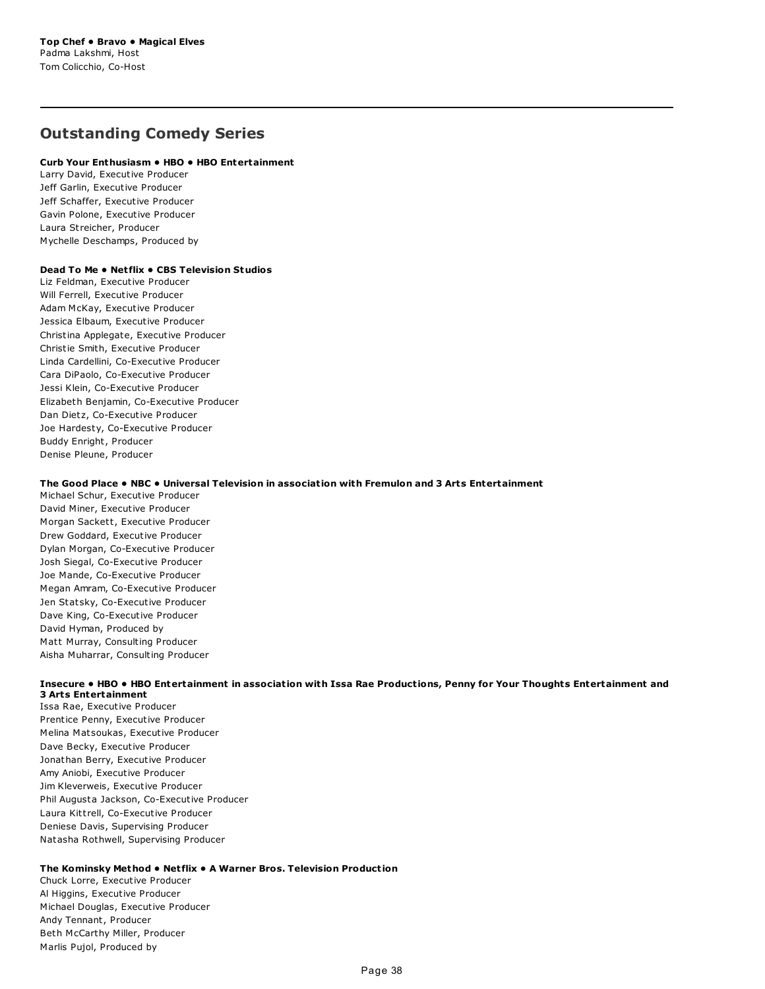# **Outstanding Comedy Series**

#### **Curb Your Enthusiasm • HBO • HBO Entertainment**

Larry David, Executive Producer Jeff Garlin, Executive Producer Jeff Schaffer, Executive Producer Gavin Polone, Executive Producer Laura Streicher, Producer Mychelle Deschamps, Produced by

#### **Dead To Me • Netflix • CBS Television Studios**

Liz Feldman, Executive Producer Will Ferrell, Executive Producer Adam McKay, Executive Producer Jessica Elbaum, Executive Producer Christina Applegate, Executive Producer Christie Smith, Executive Producer Linda Cardellini, Co-Executive Producer Cara DiPaolo, Co-Executive Producer Jessi Klein, Co-Executive Producer Elizabeth Benjamin, Co-Executive Producer Dan Dietz, Co-Executive Producer Joe Hardesty, Co-Executive Producer Buddy Enright, Producer Denise Pleune, Producer

#### **The Good Place • NBC • Universal Television in association with Fremulon and 3 Arts Entertainment**

Michael Schur, Executive Producer David Miner, Executive Producer Morgan Sackett, Executive Producer Drew Goddard, Executive Producer Dylan Morgan, Co-Executive Producer Josh Siegal, Co-Executive Producer Joe Mande, Co-Executive Producer Megan Amram, Co-Executive Producer Jen Statsky, Co-Executive Producer Dave King, Co-Executive Producer David Hyman, Produced by Matt Murray, Consulting Producer Aisha Muharrar, Consulting Producer

#### Insecure . HBO . HBO Entertainment in association with Issa Rae Productions, Penny for Your Thoughts Entertainment and **3 Arts Entertainment**

Issa Rae, Executive Producer Prentice Penny, Executive Producer Melina Matsoukas, Executive Producer Dave Becky, Executive Producer Jonathan Berry, Executive Producer Amy Aniobi, Executive Producer Jim Kleverweis, Executive Producer Phil Augusta Jackson, Co-Executive Producer Laura Kittrell, Co-Executive Producer Deniese Davis, Supervising Producer Natasha Rothwell, Supervising Producer

### **The Kominsky Method • Netflix • A Warner Bros. Television Production**

Chuck Lorre, Executive Producer Al Higgins, Executive Producer Michael Douglas, Executive Producer Andy Tennant, Producer Beth McCarthy Miller, Producer Marlis Pujol, Produced by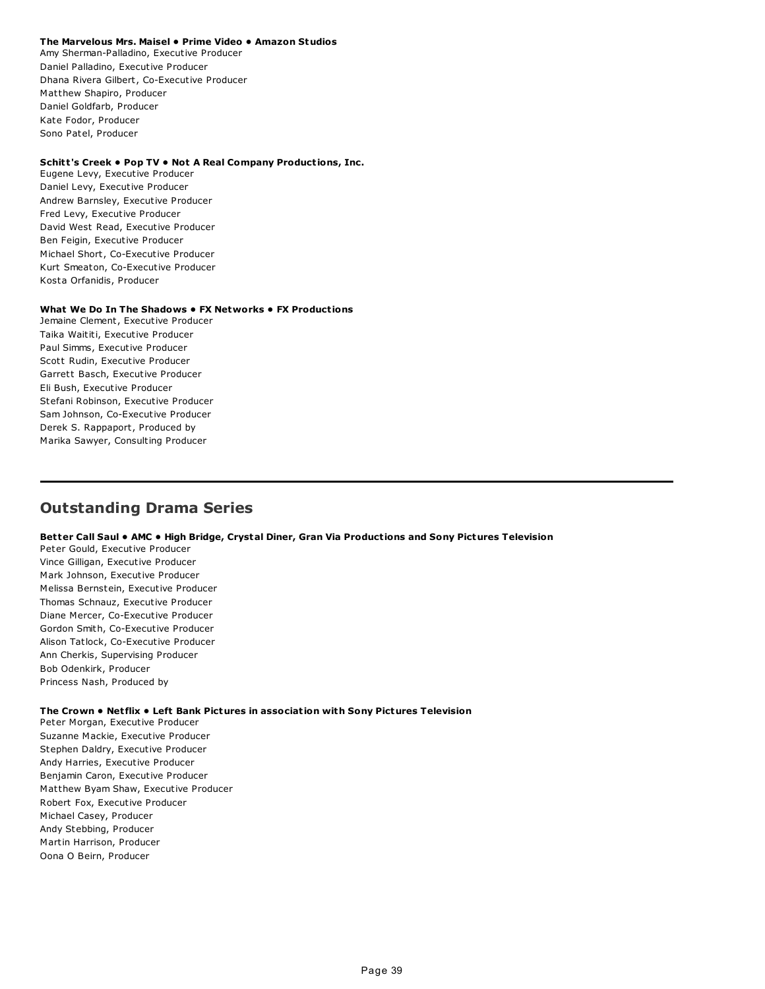#### **The Marvelous Mrs. Maisel • Prime Video • Amazon Studios**

Amy Sherman-Palladino, Executive Producer Daniel Palladino, Executive Producer Dhana Rivera Gilbert, Co-Executive Producer Matthew Shapiro, Producer Daniel Goldfarb, Producer Kate Fodor, Producer Sono Patel, Producer

### **Schitt's Creek • Pop TV • Not A Real Company Productions, Inc.**

Eugene Levy, Executive Producer Daniel Levy, Executive Producer Andrew Barnsley, Executive Producer Fred Levy, Executive Producer David West Read, Executive Producer Ben Feigin, Executive Producer Michael Short, Co-Executive Producer Kurt Smeaton, Co-Executive Producer Kosta Orfanidis, Producer

#### **What We Do In The Shadows • FX Networks • FX Productions**

Jemaine Clement, Executive Producer Taika Waititi, Executive Producer Paul Simms, Executive Producer Scott Rudin, Executive Producer Garrett Basch, Executive Producer Eli Bush, Executive Producer Stefani Robinson, Executive Producer Sam Johnson, Co-Executive Producer Derek S. Rappaport, Produced by Marika Sawyer, Consulting Producer

## **Outstanding Drama Series**

### **Better Call Saul • AMC • High Bridge, Crystal Diner, Gran Via Productions and Sony Pictures Television**

Peter Gould, Executive Producer Vince Gilligan, Executive Producer Mark Johnson, Executive Producer Melissa Bernstein, Executive Producer Thomas Schnauz, Executive Producer Diane Mercer, Co-Executive Producer Gordon Smith, Co-Executive Producer Alison Tatlock, Co-Executive Producer Ann Cherkis, Supervising Producer Bob Odenkirk, Producer Princess Nash, Produced by

### **The Crown • Netflix • Left Bank Pictures in association with Sony Pictures Television**

Peter Morgan, Executive Producer Suzanne Mackie, Executive Producer Stephen Daldry, Executive Producer Andy Harries, Executive Producer Benjamin Caron, Executive Producer Matthew Byam Shaw, Executive Producer Robert Fox, Executive Producer Michael Casey, Producer Andy Stebbing, Producer Martin Harrison, Producer Oona O Beirn, Producer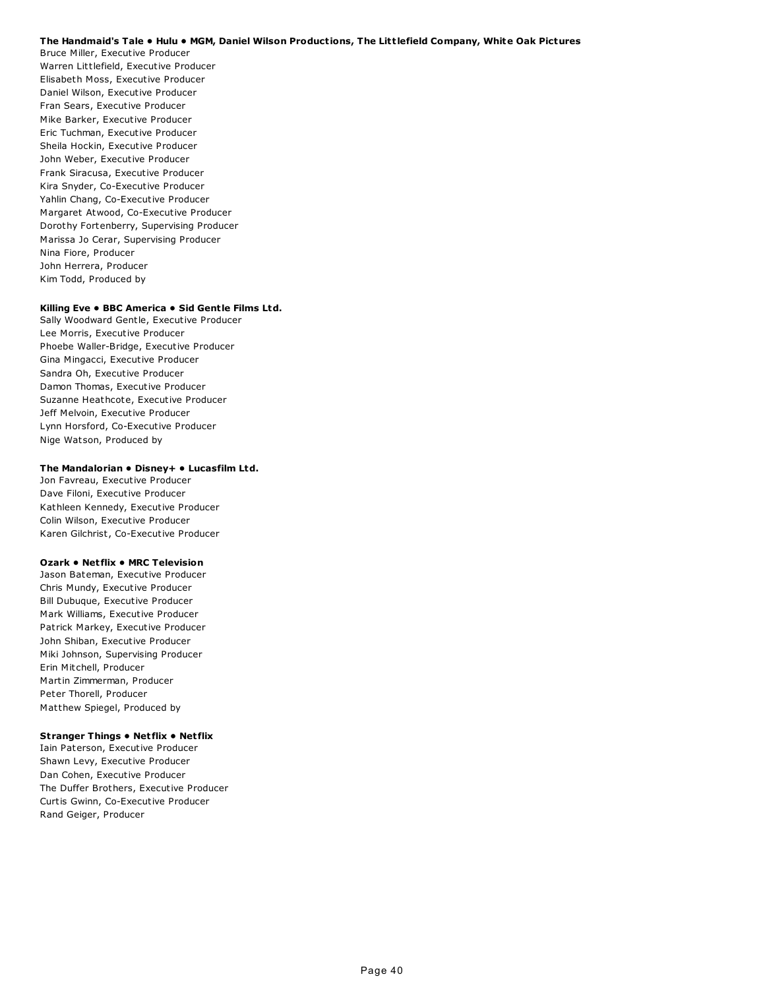#### **The Handmaid's Tale • Hulu • MGM, Daniel Wilson Productions, The Littlefield Company, White Oak Pictures**

Bruce Miller, Executive Producer Warren Littlefield, Executive Producer Elisabeth Moss, Executive Producer Daniel Wilson, Executive Producer Fran Sears, Executive Producer Mike Barker, Executive Producer Eric Tuchman, Executive Producer Sheila Hockin, Executive Producer John Weber, Executive Producer Frank Siracusa, Executive Producer Kira Snyder, Co-Executive Producer Yahlin Chang, Co-Executive Producer Margaret Atwood, Co-Executive Producer Dorothy Fortenberry, Supervising Producer Marissa Jo Cerar, Supervising Producer Nina Fiore, Producer John Herrera, Producer Kim Todd, Produced by

### **Killing Eve • BBC America • Sid Gentle Films Ltd.**

Sally Woodward Gentle, Executive Producer Lee Morris, Executive Producer Phoebe Waller-Bridge, Executive Producer Gina Mingacci, Executive Producer Sandra Oh, Executive Producer Damon Thomas, Executive Producer Suzanne Heathcote, Executive Producer Jeff Melvoin, Executive Producer Lynn Horsford, Co-Executive Producer Nige Watson, Produced by

#### **The Mandalorian • Disney+ • Lucasfilm Ltd.**

Jon Favreau, Executive Producer Dave Filoni, Executive Producer Kathleen Kennedy, Executive Producer Colin Wilson, Executive Producer Karen Gilchrist, Co-Executive Producer

#### **Ozark • Netflix • MRC Television**

Jason Bateman, Executive Producer Chris Mundy, Executive Producer Bill Dubuque, Executive Producer Mark Williams, Executive Producer Patrick Markey, Executive Producer John Shiban, Executive Producer Miki Johnson, Supervising Producer Erin Mitchell, Producer Martin Zimmerman, Producer Peter Thorell, Producer Matthew Spiegel, Produced by

#### **Stranger Things • Netflix • Netflix**

Iain Paterson, Executive Producer Shawn Levy, Executive Producer Dan Cohen, Executive Producer The Duffer Brothers, Executive Producer Curtis Gwinn, Co-Executive Producer Rand Geiger, Producer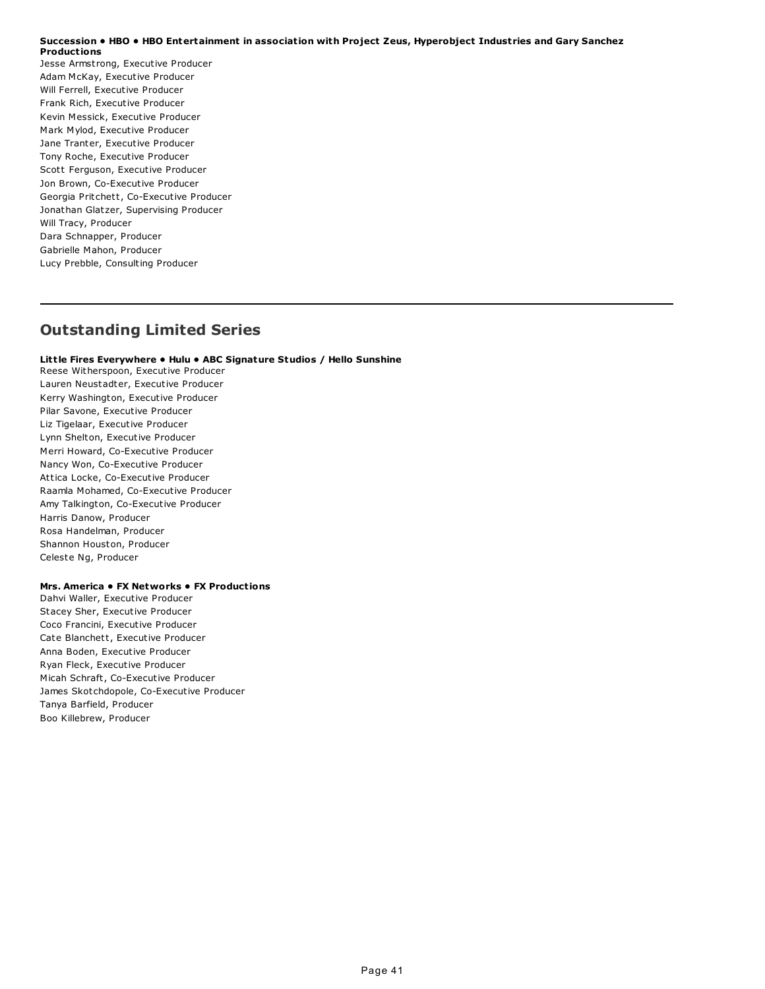## **Succession • HBO • HBO Entertainment in association with Project Zeus, Hyperobject Industries and Gary Sanchez**

**Productions** Jesse Armstrong, Executive Producer Adam McKay, Executive Producer Will Ferrell, Executive Producer Frank Rich, Executive Producer Kevin Messick, Executive Producer Mark Mylod, Executive Producer Jane Tranter, Executive Producer Tony Roche, Executive Producer Scott Ferguson, Executive Producer Jon Brown, Co-Executive Producer Georgia Pritchett, Co-Executive Producer Jonathan Glatzer, Supervising Producer Will Tracy, Producer Dara Schnapper, Producer Gabrielle Mahon, Producer Lucy Prebble, Consulting Producer

# **Outstanding Limited Series**

## **Little Fires Everywhere • Hulu • ABC Signature Studios / Hello Sunshine**

Reese Witherspoon, Executive Producer Lauren Neustadter, Executive Producer Kerry Washington, Executive Producer Pilar Savone, Executive Producer Liz Tigelaar, Executive Producer Lynn Shelton, Executive Producer Merri Howard, Co-Executive Producer Nancy Won, Co-Executive Producer Attica Locke, Co-Executive Producer Raamla Mohamed, Co-Executive Producer Amy Talkington, Co-Executive Producer Harris Danow, Producer Rosa Handelman, Producer Shannon Houston, Producer Celeste Ng, Producer

## **Mrs. America • FX Networks • FX Productions**

Dahvi Waller, Executive Producer Stacey Sher, Executive Producer Coco Francini, Executive Producer Cate Blanchett, Executive Producer Anna Boden, Executive Producer Ryan Fleck, Executive Producer Micah Schraft, Co-Executive Producer James Skotchdopole, Co-Executive Producer Tanya Barfield, Producer Boo Killebrew, Producer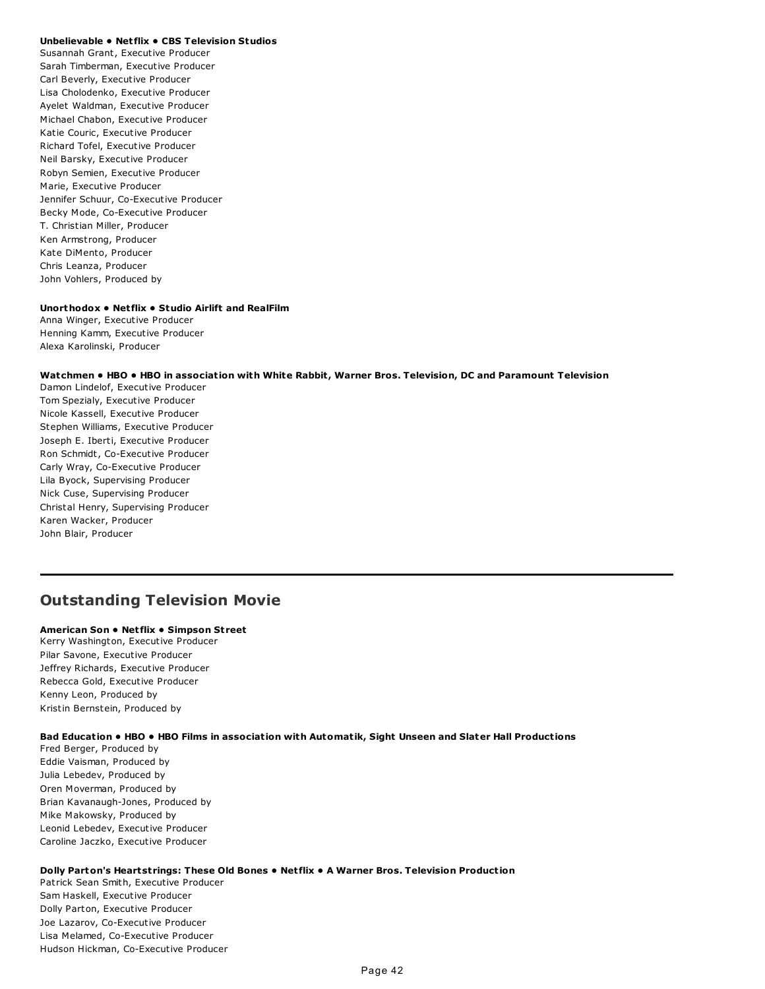#### **Unbelievable • Netflix • CBS Television Studios**

Susannah Grant, Executive Producer Sarah Timberman, Executive Producer Carl Beverly, Executive Producer Lisa Cholodenko, Executive Producer Ayelet Waldman, Executive Producer Michael Chabon, Executive Producer Katie Couric, Executive Producer Richard Tofel, Executive Producer Neil Barsky, Executive Producer Robyn Semien, Executive Producer Marie, Executive Producer Jennifer Schuur, Co-Executive Producer Becky Mode, Co-Executive Producer T. Christian Miller, Producer Ken Armstrong, Producer Kate DiMento, Producer Chris Leanza, Producer John Vohlers, Produced by

## **Unorthodox • Netflix • Studio Airlift and RealFilm**

Anna Winger, Executive Producer Henning Kamm, Executive Producer Alexa Karolinski, Producer

#### Watchmen . HBO . HBO in association with White Rabbit, Warner Bros. Television, DC and Paramount Television

Damon Lindelof, Executive Producer Tom Spezialy, Executive Producer Nicole Kassell, Executive Producer Stephen Williams, Executive Producer Joseph E. Iberti, Executive Producer Ron Schmidt, Co-Executive Producer Carly Wray, Co-Executive Producer Lila Byock, Supervising Producer Nick Cuse, Supervising Producer Christal Henry, Supervising Producer Karen Wacker, Producer John Blair, Producer

## **Outstanding Television Movie**

#### **American Son • Netflix • Simpson Street**

Kerry Washington, Executive Producer Pilar Savone, Executive Producer Jeffrey Richards, Executive Producer Rebecca Gold, Executive Producer Kenny Leon, Produced by Kristin Bernstein, Produced by

#### **Bad Education • HBO • HBO Films in association with Automatik, Sight Unseen and Slater Hall Productions**

Fred Berger, Produced by Eddie Vaisman, Produced by Julia Lebedev, Produced by Oren Moverman, Produced by Brian Kavanaugh-Jones, Produced by Mike Makowsky, Produced by Leonid Lebedev, Executive Producer Caroline Jaczko, Executive Producer

## **Dolly Parton's Heartstrings: These Old Bones • Netflix • A Warner Bros. Television Production**

Patrick Sean Smith, Executive Producer Sam Haskell, Executive Producer Dolly Parton, Executive Producer Joe Lazarov, Co-Executive Producer Lisa Melamed, Co-Executive Producer Hudson Hickman, Co-Executive Producer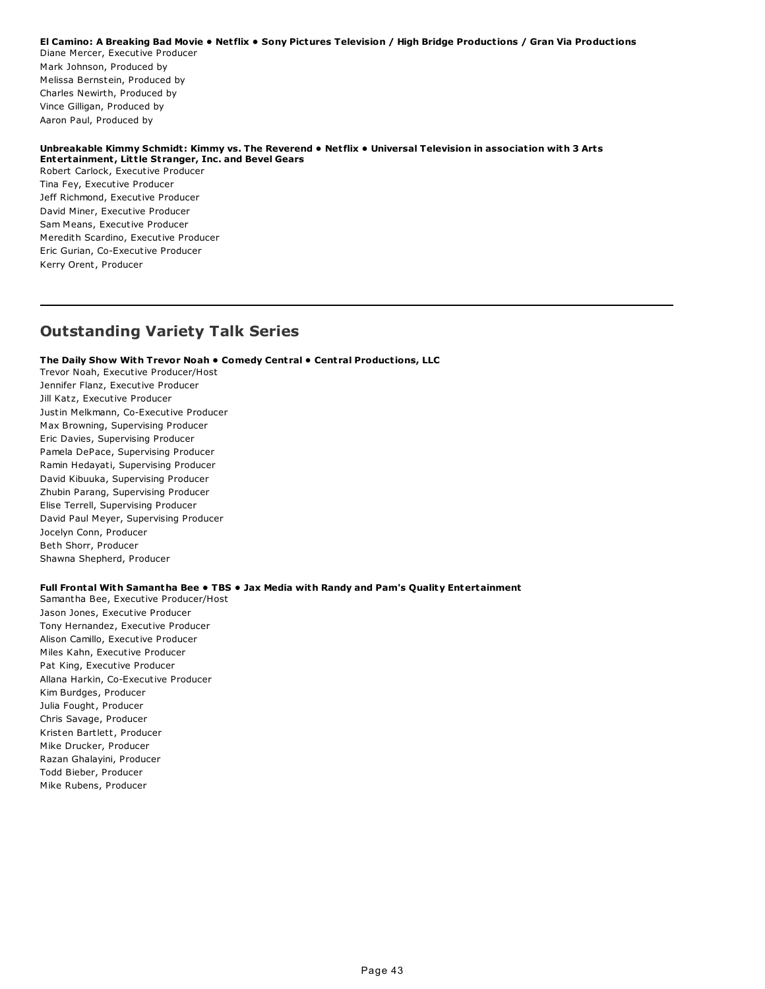El Camino: A Breaking Bad Movie . Netflix . Sony Pictures Television / High Bridge Productions / Gran Via Productions

Diane Mercer, Executive Producer Mark Johnson, Produced by Melissa Bernstein, Produced by Charles Newirth, Produced by Vince Gilligan, Produced by Aaron Paul, Produced by

#### Unbreakable Kimmy Schmidt: Kimmy vs. The Reverend . Netflix . Universal Television in association with 3 Arts **Entertainment, Little Stranger, Inc. and Bevel Gears**

Robert Carlock, Executive Producer Tina Fey, Executive Producer Jeff Richmond, Executive Producer David Miner, Executive Producer Sam Means, Executive Producer Meredith Scardino, Executive Producer Eric Gurian, Co-Executive Producer Kerry Orent, Producer

# **Outstanding Variety Talk Series**

### **The Daily Show With Trevor Noah • Comedy Central • Central Productions, LLC**

Trevor Noah, Executive Producer/Host Jennifer Flanz, Executive Producer Jill Katz, Executive Producer Justin Melkmann, Co-Executive Producer Max Browning, Supervising Producer Eric Davies, Supervising Producer Pamela DePace, Supervising Producer Ramin Hedayati, Supervising Producer David Kibuuka, Supervising Producer Zhubin Parang, Supervising Producer Elise Terrell, Supervising Producer David Paul Meyer, Supervising Producer Jocelyn Conn, Producer Beth Shorr, Producer Shawna Shepherd, Producer

### **Full Frontal With Samantha Bee • TBS • Jax Media with Randy and Pam's Quality Entertainment**

Samantha Bee, Executive Producer/Host Jason Jones, Executive Producer Tony Hernandez, Executive Producer Alison Camillo, Executive Producer Miles Kahn, Executive Producer Pat King, Executive Producer Allana Harkin, Co-Executive Producer Kim Burdges, Producer Julia Fought, Producer Chris Savage, Producer Kristen Bartlett, Producer Mike Drucker, Producer Razan Ghalayini, Producer Todd Bieber, Producer Mike Rubens, Producer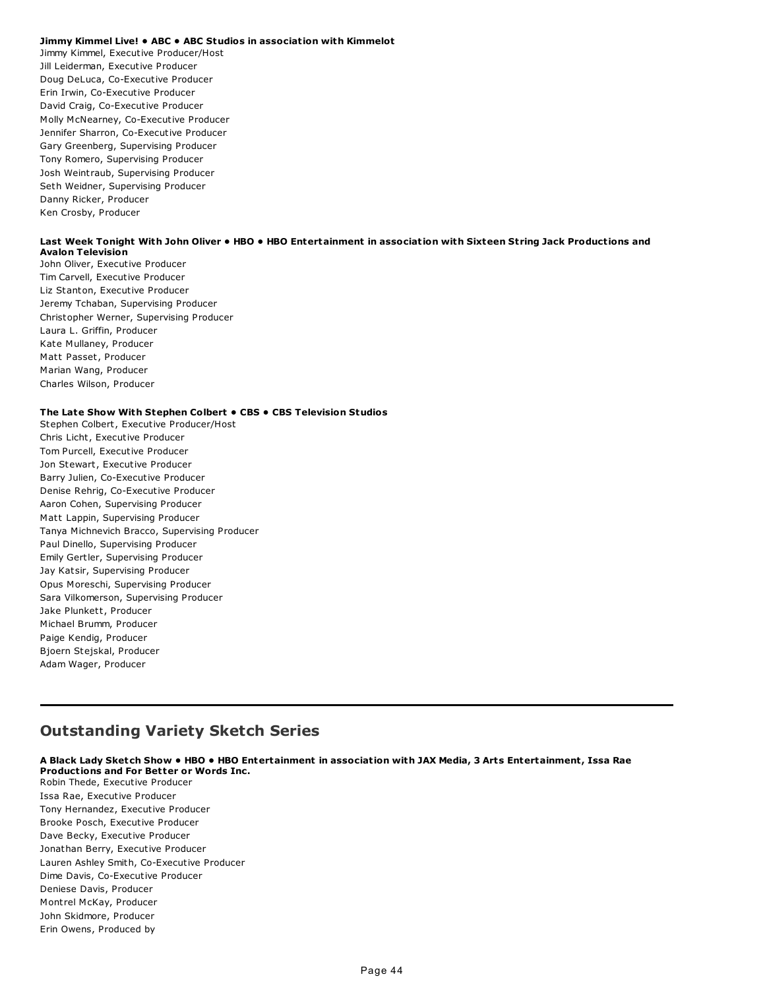### **Jimmy Kimmel Live! • ABC • ABC Studios in association with Kimmelot**

Jimmy Kimmel, Executive Producer/Host Jill Leiderman, Executive Producer Doug DeLuca, Co-Executive Producer Erin Irwin, Co-Executive Producer David Craig, Co-Executive Producer Molly McNearney, Co-Executive Producer Jennifer Sharron, Co-Executive Producer Gary Greenberg, Supervising Producer Tony Romero, Supervising Producer Josh Weint raub, Supervising Producer Seth Weidner, Supervising Producer Danny Ricker, Producer Ken Crosby, Producer

#### Last Week Tonight With John Oliver • HBO • HBO Entertainment in association with Sixteen String Jack Productions and **Avalon Television**

John Oliver, Executive Producer Tim Carvell, Executive Producer Liz Stanton, Executive Producer Jeremy Tchaban, Supervising Producer Christopher Werner, Supervising Producer Laura L. Griffin, Producer Kate Mullaney, Producer Matt Passet, Producer Marian Wang, Producer Charles Wilson, Producer

#### **The Late Show With Stephen Colbert • CBS • CBS Television Studios**

Stephen Colbert, Executive Producer/Host Chris Licht, Executive Producer Tom Purcell, Executive Producer Jon Stewart, Executive Producer Barry Julien, Co-Executive Producer Denise Rehrig, Co-Executive Producer Aaron Cohen, Supervising Producer Matt Lappin, Supervising Producer Tanya Michnevich Bracco, Supervising Producer Paul Dinello, Supervising Producer Emily Gertler, Supervising Producer Jay Katsir, Supervising Producer Opus Moreschi, Supervising Producer Sara Vilkomerson, Supervising Producer Jake Plunkett, Producer Michael Brumm, Producer Paige Kendig, Producer Bjoern Stejskal, Producer Adam Wager, Producer

## **Outstanding Variety Sketch Series**

A Black Lady Sketch Show ● HBO ● HBO Entertainment in association with JAX Media, 3 Arts Entertainment, Issa Rae **Productions and For Better or Words Inc.** Robin Thede, Executive Producer Issa Rae, Executive Producer Tony Hernandez, Executive Producer Brooke Posch, Executive Producer Dave Becky, Executive Producer Jonathan Berry, Executive Producer Lauren Ashley Smith, Co-Executive Producer Dime Davis, Co-Executive Producer Deniese Davis, Producer Mont rel McKay, Producer John Skidmore, Producer Erin Owens, Produced by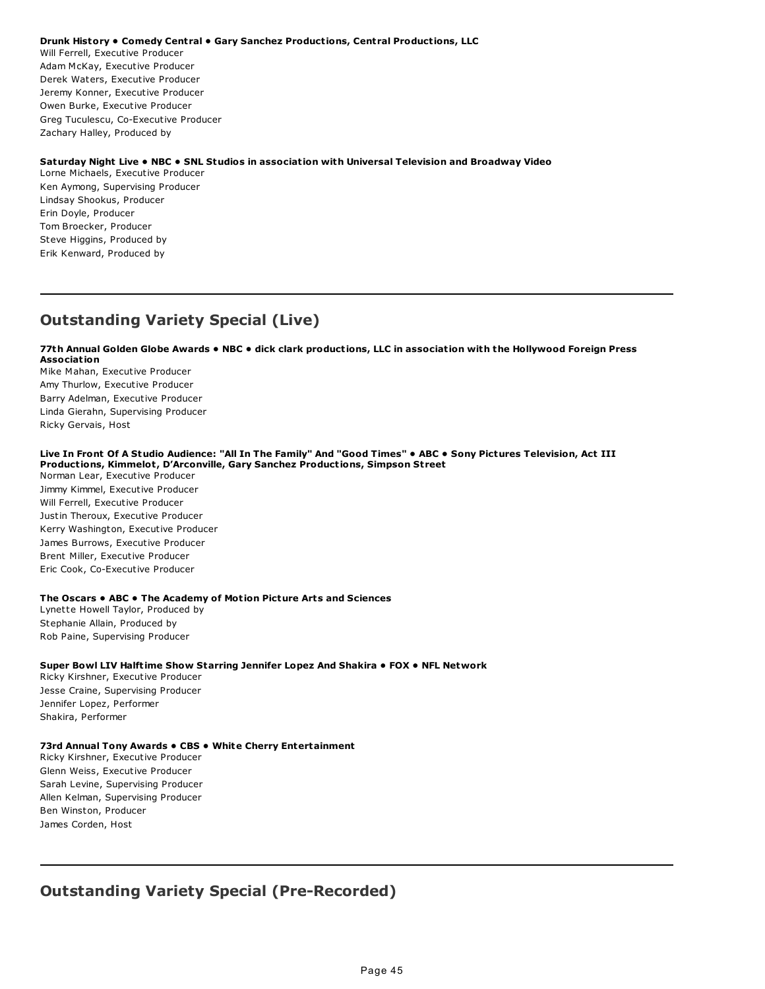#### **Drunk History • Comedy Central • Gary Sanchez Productions, Central Productions, LLC**

Will Ferrell, Executive Producer Adam McKay, Executive Producer Derek Waters, Executive Producer Jeremy Konner, Executive Producer Owen Burke, Executive Producer Greg Tuculescu, Co-Executive Producer Zachary Halley, Produced by

#### **Saturday Night Live • NBC • SNL Studios in association with Universal Television and Broadway Video**

Lorne Michaels, Executive Producer Ken Aymong, Supervising Producer Lindsay Shookus, Producer Erin Doyle, Producer Tom Broecker, Producer Steve Higgins, Produced by Erik Kenward, Produced by

# **Outstanding Variety Special (Live)**

77th Annual Golden Globe Awards • NBC • dick clark productions, LLC in association with the Hollywood Foreign Press **Association** Mike Mahan, Executive Producer Amy Thurlow, Executive Producer Barry Adelman, Executive Producer Linda Gierahn, Supervising Producer Ricky Gervais, Host

#### Live In Front Of A Studio Audience: "All In The Family" And "Good Times" . ABC . Sony Pictures Television, Act III **Productions, Kimmelot, D'Arconville, Gary Sanchez Productions, Simpson Street**

Norman Lear, Executive Producer Jimmy Kimmel, Executive Producer Will Ferrell, Executive Producer Justin Theroux, Executive Producer Kerry Washington, Executive Producer James Burrows, Executive Producer Brent Miller, Executive Producer Eric Cook, Co-Executive Producer

#### **The Oscars • ABC • The Academy of Motion Picture Arts and Sciences**

Lynette Howell Taylor, Produced by Stephanie Allain, Produced by Rob Paine, Supervising Producer

### **Super Bowl LIV Halftime Show Starring Jennifer Lopez And Shakira • FOX • NFL Network**

Ricky Kirshner, Executive Producer Jesse Craine, Supervising Producer Jennifer Lopez, Performer Shakira, Performer

### **73rd Annual Tony Awards • CBS • White Cherry Entertainment**

Ricky Kirshner, Executive Producer Glenn Weiss, Executive Producer Sarah Levine, Supervising Producer Allen Kelman, Supervising Producer Ben Winston, Producer James Corden, Host

## **Outstanding Variety Special (Pre-Recorded)**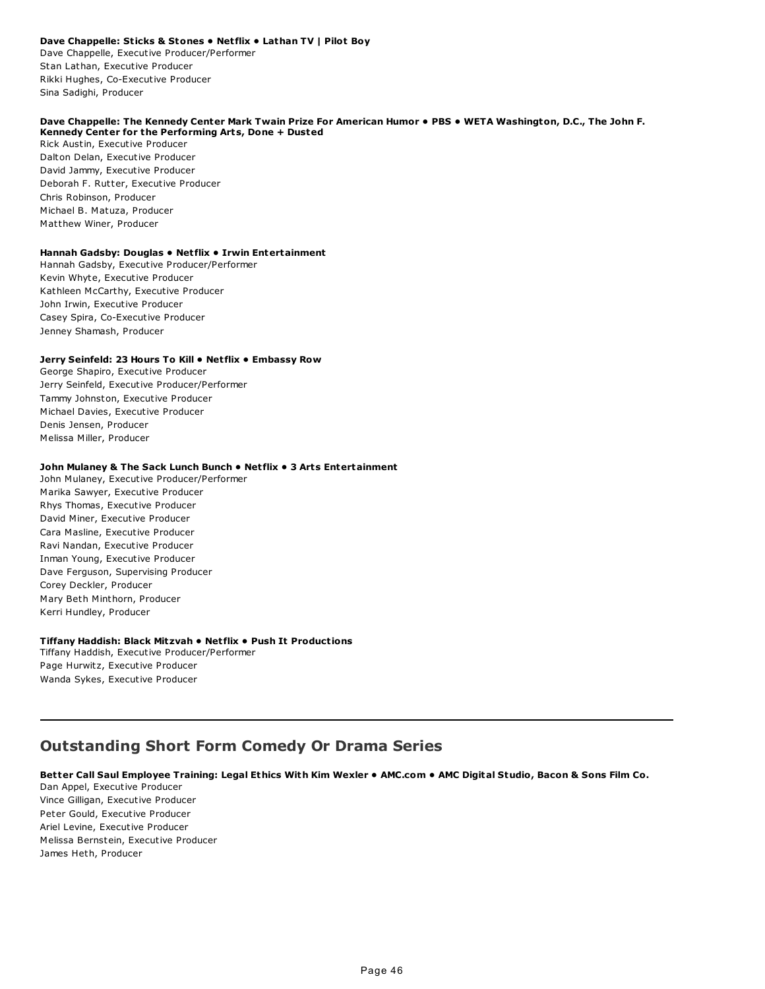#### **Dave Chappelle: Sticks & Stones • Netflix • Lathan TV | Pilot Boy**

Dave Chappelle, Executive Producer/Performer Stan Lathan, Executive Producer Rikki Hughes, Co-Executive Producer Sina Sadighi, Producer

#### Dave Chappelle: The Kennedy Center Mark Twain Prize For American Humor . PBS . WETA Washington, D.C., The John F. **Kennedy Center for the Performing Arts, Done + Dusted**

Rick Austin, Executive Producer Dalton Delan, Executive Producer David Jammy, Executive Producer Deborah F. Rutter, Executive Producer Chris Robinson, Producer Michael B. Matuza, Producer Matthew Winer, Producer

### **Hannah Gadsby: Douglas • Netflix • Irwin Entertainment**

Hannah Gadsby, Executive Producer/Performer Kevin Whyte, Executive Producer Kathleen McCarthy, Executive Producer John Irwin, Executive Producer Casey Spira, Co-Executive Producer Jenney Shamash, Producer

### **Jerry Seinfeld: 23 Hours To Kill • Netflix • Embassy Row**

George Shapiro, Executive Producer Jerry Seinfeld, Executive Producer/Performer Tammy Johnston, Executive Producer Michael Davies, Executive Producer Denis Jensen, Producer Melissa Miller, Producer

### **John Mulaney & The Sack Lunch Bunch • Netflix • 3 Arts Entertainment**

John Mulaney, Executive Producer/Performer Marika Sawyer, Executive Producer Rhys Thomas, Executive Producer David Miner, Executive Producer Cara Masline, Executive Producer Ravi Nandan, Executive Producer Inman Young, Executive Producer Dave Ferguson, Supervising Producer Corey Deckler, Producer Mary Beth Minthorn, Producer Kerri Hundley, Producer

## **Tiffany Haddish: Black Mitzvah • Netflix • Push It Productions**

Tiffany Haddish, Executive Producer/Performer Page Hurwitz, Executive Producer Wanda Sykes, Executive Producer

# **Outstanding Short Form Comedy Or Drama Series**

## Better Call Saul Employee Training: Legal Ethics With Kim Wexler . AMC.com . AMC Digital Studio, Bacon & Sons Film Co.

Dan Appel, Executive Producer Vince Gilligan, Executive Producer Peter Gould, Executive Producer Ariel Levine, Executive Producer Melissa Bernstein, Executive Producer James Heth, Producer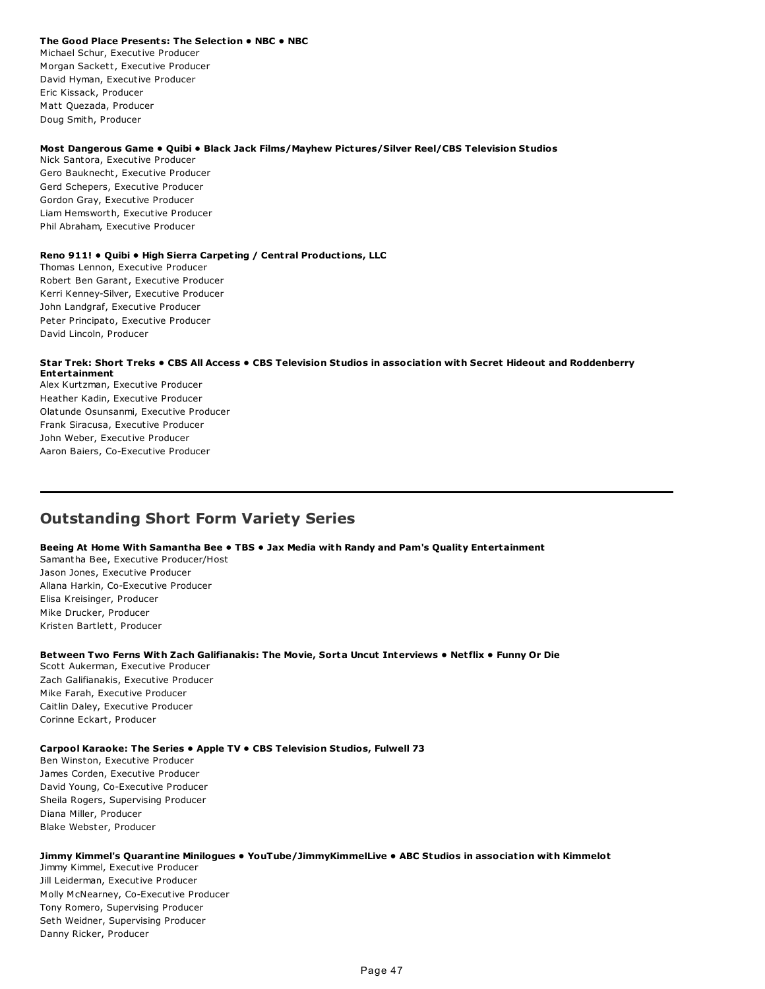### **The Good Place Presents: The Selection • NBC • NBC**

Michael Schur, Executive Producer Morgan Sackett, Executive Producer David Hyman, Executive Producer Eric Kissack, Producer Matt Quezada, Producer Doug Smith, Producer

#### **Most Dangerous Game • Quibi • Black Jack Films/Mayhew Pictures/Silver Reel/CBS Television Studios**

Nick Santora, Executive Producer Gero Bauknecht, Executive Producer Gerd Schepers, Executive Producer Gordon Gray, Executive Producer Liam Hemsworth, Executive Producer Phil Abraham, Executive Producer

#### **Reno 911! • Quibi • High Sierra Carpeting / Central Productions, LLC**

Thomas Lennon, Executive Producer Robert Ben Garant, Executive Producer Kerri Kenney-Silver, Executive Producer John Landgraf, Executive Producer Peter Principato, Executive Producer David Lincoln, Producer

#### Star Trek: Short Treks . CBS All Access . CBS Television Studios in association with Secret Hideout and Roddenberry **Entertainment**

Alex Kurtzman, Executive Producer Heather Kadin, Executive Producer Olatunde Osunsanmi, Executive Producer Frank Siracusa, Executive Producer John Weber, Executive Producer Aaron Baiers, Co-Executive Producer

# **Outstanding Short Form Variety Series**

#### **Beeing At Home With Samantha Bee • TBS • Jax Media with Randy and Pam's Quality Entertainment**

Samantha Bee, Executive Producer/Host Jason Jones, Executive Producer Allana Harkin, Co-Executive Producer Elisa Kreisinger, Producer Mike Drucker, Producer Kristen Bartlett, Producer

### **Between Two Ferns With Zach Galifianakis: The Movie, Sorta Uncut Interviews • Netflix • Funny Or Die**

Scott Aukerman, Executive Producer Zach Galifianakis, Executive Producer Mike Farah, Executive Producer Caitlin Daley, Executive Producer Corinne Eckart, Producer

### **Carpool Karaoke: The Series • Apple TV • CBS Television Studios, Fulwell 73**

Ben Winston, Executive Producer James Corden, Executive Producer David Young, Co-Executive Producer Sheila Rogers, Supervising Producer Diana Miller, Producer Blake Webster, Producer

### **Jimmy Kimmel's Quarantine Minilogues • YouTube/JimmyKimmelLive • ABC Studios in association with Kimmelot**

Jimmy Kimmel, Executive Producer Jill Leiderman, Executive Producer Molly McNearney, Co-Executive Producer Tony Romero, Supervising Producer Seth Weidner, Supervising Producer Danny Ricker, Producer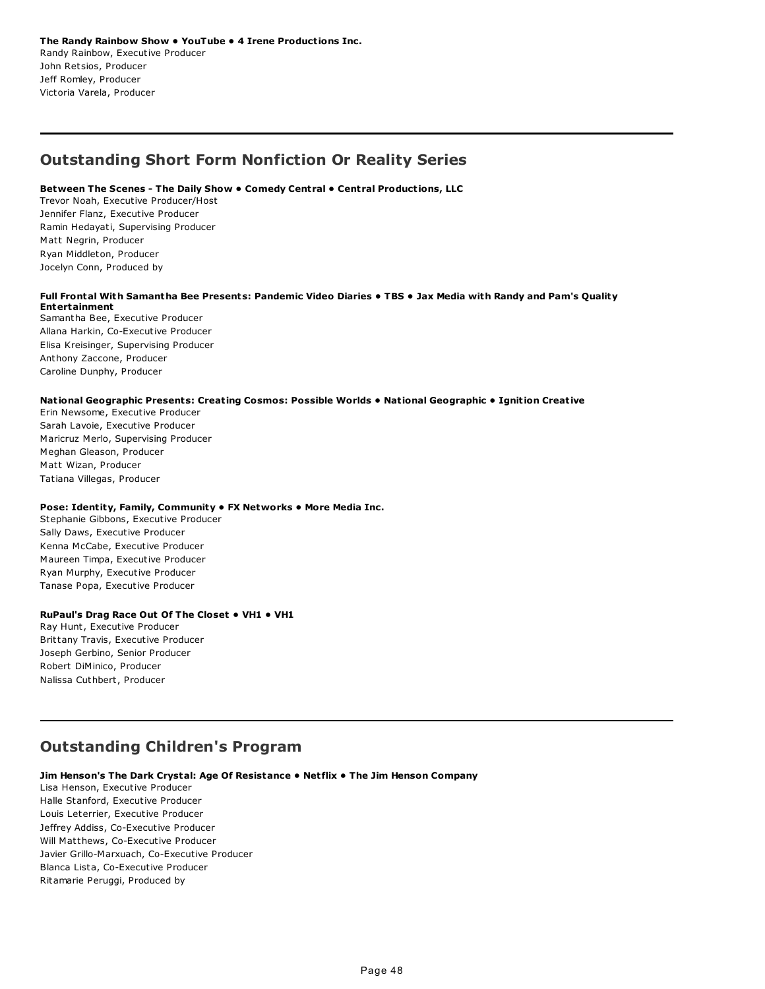# **Outstanding Short Form Nonfiction Or Reality Series**

## **Between The Scenes - The Daily Show • Comedy Central • Central Productions, LLC**

Trevor Noah, Executive Producer/Host Jennifer Flanz, Executive Producer Ramin Hedayati, Supervising Producer Matt Negrin, Producer Ryan Middleton, Producer Jocelyn Conn, Produced by

#### Full Frontal With Samantha Bee Presents: Pandemic Video Diaries . TBS . Jax Media with Randy and Pam's Quality **Entertainment**

Samantha Bee, Executive Producer Allana Harkin, Co-Executive Producer Elisa Kreisinger, Supervising Producer Anthony Zaccone, Producer Caroline Dunphy, Producer

### **National Geographic Presents: Creating Cosmos: Possible Worlds • National Geographic • Ignition Creative**

Erin Newsome, Executive Producer Sarah Lavoie, Executive Producer Maricruz Merlo, Supervising Producer Meghan Gleason, Producer Matt Wizan, Producer Tatiana Villegas, Producer

#### **Pose: Identity, Family, Community • FX Networks • More Media Inc.**

Stephanie Gibbons, Executive Producer Sally Daws, Executive Producer Kenna McCabe, Executive Producer Maureen Timpa, Executive Producer Ryan Murphy, Executive Producer Tanase Popa, Executive Producer

### **RuPaul's Drag Race Out Of The Closet • VH1 • VH1**

Ray Hunt, Executive Producer Brittany Travis, Executive Producer Joseph Gerbino, Senior Producer Robert DiMinico, Producer Nalissa Cuthbert, Producer

# **Outstanding Children's Program**

## **Jim Henson's The Dark Crystal: Age Of Resistance • Netflix • The Jim Henson Company**

Lisa Henson, Executive Producer Halle Stanford, Executive Producer Louis Leterrier, Executive Producer Jeffrey Addiss, Co-Executive Producer Will Matthews, Co-Executive Producer Javier Grillo-Marxuach, Co-Executive Producer Blanca Lista, Co-Executive Producer Ritamarie Peruggi, Produced by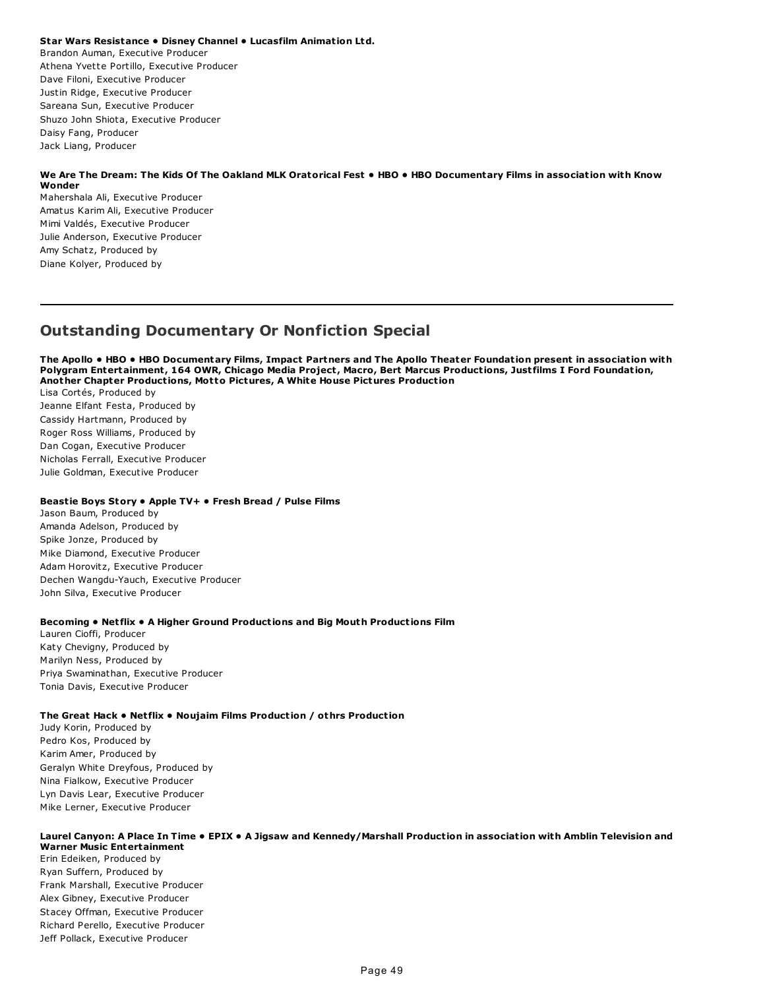#### **Star Wars Resistance • Disney Channel • Lucasfilm Animation Ltd.**

Brandon Auman, Executive Producer Athena Yvette Portillo, Executive Producer Dave Filoni, Executive Producer Justin Ridge, Executive Producer Sareana Sun, Executive Producer Shuzo John Shiota, Executive Producer Daisy Fang, Producer Jack Liang, Producer

### We Are The Dream: The Kids Of The Oakland MLK Oratorical Fest . HBO . HBO Documentary Films in association with Know **Wonder**

Mahershala Ali, Executive Producer Amatus Karim Ali, Executive Producer Mimi Valdés, Executive Producer Julie Anderson, Executive Producer Amy Schatz, Produced by Diane Kolyer, Produced by

## **Outstanding Documentary Or Nonfiction Special**

The Apollo . HBO . HBO Documentary Films, Impact Partners and The Apollo Theater Foundation present in association with **Polygram Entertainment, 164 OWR, Chicago Media Project, Macro, Bert Marcus Productions, Justfilms I Ford Foundation, Another Chapter Productions, Motto Pictures, A White House Pictures Production**

Lisa Cortés, Produced by Jeanne Elfant Festa, Produced by Cassidy Hartmann, Produced by Roger Ross Williams, Produced by Dan Cogan, Executive Producer Nicholas Ferrall, Executive Producer Julie Goldman, Executive Producer

### **Beastie Boys Story • Apple TV+ • Fresh Bread / Pulse Films**

Jason Baum, Produced by Amanda Adelson, Produced by Spike Jonze, Produced by Mike Diamond, Executive Producer Adam Horovitz, Executive Producer Dechen Wangdu-Yauch, Executive Producer John Silva, Executive Producer

### **Becoming • Netflix • A Higher Ground Productions and Big Mouth Productions Film**

Lauren Cioffi, Producer Katy Chevigny, Produced by Marilyn Ness, Produced by Priya Swaminathan, Executive Producer Tonia Davis, Executive Producer

### **The Great Hack • Netflix • Noujaim Films Production / othrs Production**

Judy Korin, Produced by Pedro Kos, Produced by Karim Amer, Produced by Geralyn White Dreyfous, Produced by Nina Fialkow, Executive Producer Lyn Davis Lear, Executive Producer Mike Lerner, Executive Producer

#### Laurel Canyon: A Place In Time . EPIX . A Jigsaw and Kennedy/Marshall Production in association with Amblin Television and **Warner Music Entertainment**

Erin Edeiken, Produced by Ryan Suffern, Produced by Frank Marshall, Executive Producer Alex Gibney, Executive Producer Stacey Offman, Executive Producer Richard Perello, Executive Producer Jeff Pollack, Executive Producer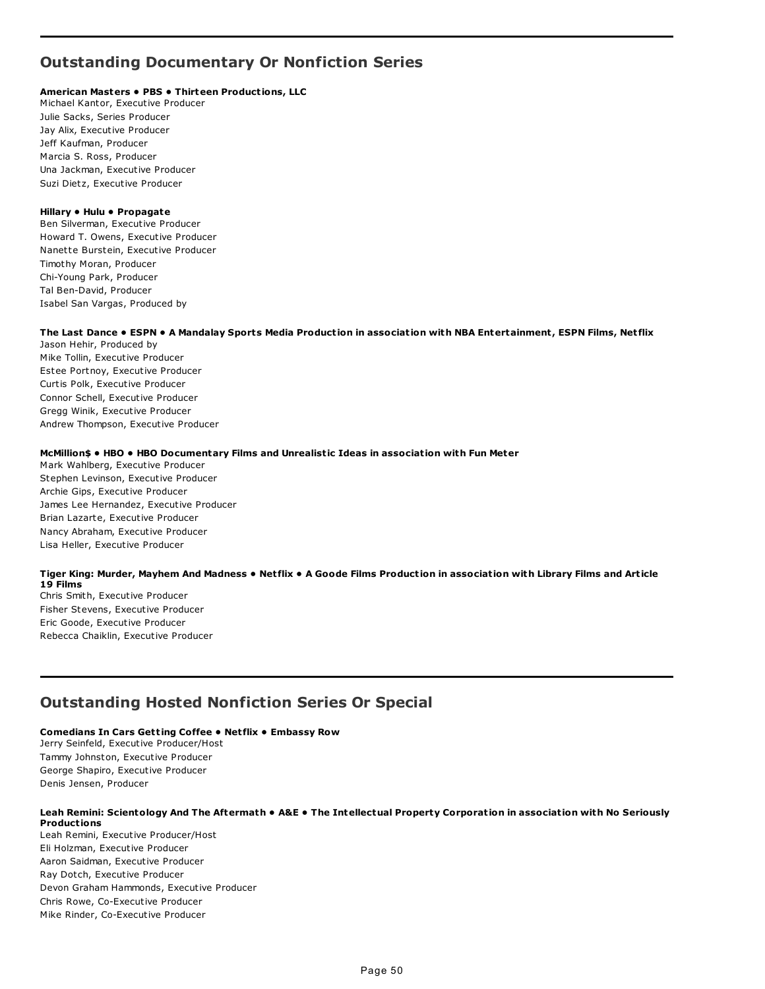# **Outstanding Documentary Or Nonfiction Series**

### **American Masters • PBS • Thirteen Productions, LLC**

Michael Kantor, Executive Producer Julie Sacks, Series Producer Jay Alix, Executive Producer Jeff Kaufman, Producer Marcia S. Ross, Producer Una Jackman, Executive Producer Suzi Dietz, Executive Producer

## **Hillary • Hulu • Propagate**

Ben Silverman, Executive Producer Howard T. Owens, Executive Producer Nanette Burstein, Executive Producer Timothy Moran, Producer Chi-Young Park, Producer Tal Ben-David, Producer Isabel San Vargas, Produced by

### The Last Dance . ESPN . A Mandalay Sports Media Production in association with NBA Entertainment, ESPN Films, Netflix

Jason Hehir, Produced by Mike Tollin, Executive Producer Estee Portnoy, Executive Producer Curtis Polk, Executive Producer Connor Schell, Executive Producer Gregg Winik, Executive Producer Andrew Thompson, Executive Producer

### **McMillion\$ • HBO • HBO Documentary Films and Unrealistic Ideas in association with Fun Meter**

Mark Wahlberg, Executive Producer Stephen Levinson, Executive Producer Archie Gips, Executive Producer James Lee Hernandez, Executive Producer Brian Lazarte, Executive Producer Nancy Abraham, Executive Producer Lisa Heller, Executive Producer

#### Tiger King: Murder, Mayhem And Madness . Netflix . A Goode Films Production in association with Library Films and Article **19 Films**

Chris Smith, Executive Producer Fisher Stevens, Executive Producer Eric Goode, Executive Producer Rebecca Chaiklin, Executive Producer

# **Outstanding Hosted Nonfiction Series Or Special**

### **Comedians In Cars Getting Coffee • Netflix • Embassy Row**

Jerry Seinfeld, Executive Producer/Host Tammy Johnston, Executive Producer George Shapiro, Executive Producer Denis Jensen, Producer

### Leah Remini: Scientology And The Aftermath . A&E . The Intellectual Property Corporation in association with No Seriously **Productions**

Leah Remini, Executive Producer/Host Eli Holzman, Executive Producer Aaron Saidman, Executive Producer Ray Dotch, Executive Producer Devon Graham Hammonds, Executive Producer Chris Rowe, Co-Executive Producer Mike Rinder, Co-Executive Producer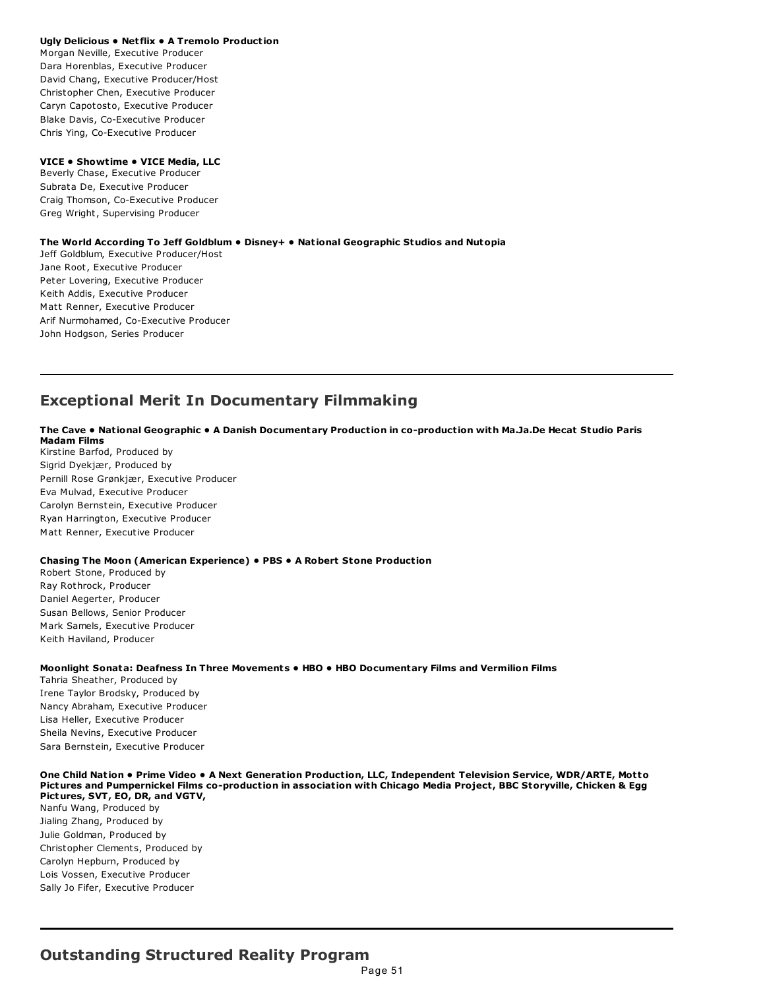#### **Ugly Delicious • Netflix • A Tremolo Production**

Morgan Neville, Executive Producer Dara Horenblas, Executive Producer David Chang, Executive Producer/Host Christopher Chen, Executive Producer Caryn Capotosto, Executive Producer Blake Davis, Co-Executive Producer Chris Ying, Co-Executive Producer

## **VICE • Showtime • VICE Media, LLC**

Beverly Chase, Executive Producer Subrata De, Executive Producer Craig Thomson, Co-Executive Producer Greg Wright, Supervising Producer

#### **The World According To Jeff Goldblum • Disney+ • National Geographic Studios and Nutopia**

Jeff Goldblum, Executive Producer/Host Jane Root, Executive Producer Peter Lovering, Executive Producer Keith Addis, Executive Producer Matt Renner, Executive Producer Arif Nurmohamed, Co-Executive Producer John Hodgson, Series Producer

## **Exceptional Merit In Documentary Filmmaking**

### The Cave • National Geographic • A Danish Documentary Production in co-production with Ma.Ja.De Hecat Studio Paris

**Madam Films** Kirstine Barfod, Produced by Sigrid Dyekjær, Produced by Pernill Rose Grønkjær, Executive Producer Eva Mulvad, Executive Producer Carolyn Bernstein, Executive Producer Ryan Harrington, Executive Producer Matt Renner, Executive Producer

#### **Chasing The Moon (American Experience) • PBS • A Robert Stone Production**

Robert Stone, Produced by Ray Rothrock, Producer Daniel Aegerter, Producer Susan Bellows, Senior Producer Mark Samels, Executive Producer Keith Haviland, Producer

### **Moonlight Sonata: Deafness In Three Movements • HBO • HBO Documentary Films and Vermilion Films**

Tahria Sheather, Produced by Irene Taylor Brodsky, Produced by Nancy Abraham, Executive Producer Lisa Heller, Executive Producer Sheila Nevins, Executive Producer Sara Bernstein, Executive Producer

#### One Child Nation • Prime Video • A Next Generation Production, LLC, Independent Television Service, WDR/ARTE, Motto Pictures and Pumpernickel Films co-production in association with Chicago Media Project, BBC Storyville, Chicken & Egg **Pictures, SVT, EO, DR, and VGTV,**

Nanfu Wang, Produced by Jialing Zhang, Produced by Julie Goldman, Produced by Christopher Clements, Produced by Carolyn Hepburn, Produced by Lois Vossen, Executive Producer Sally Jo Fifer, Executive Producer

## **Outstanding Structured Reality Program**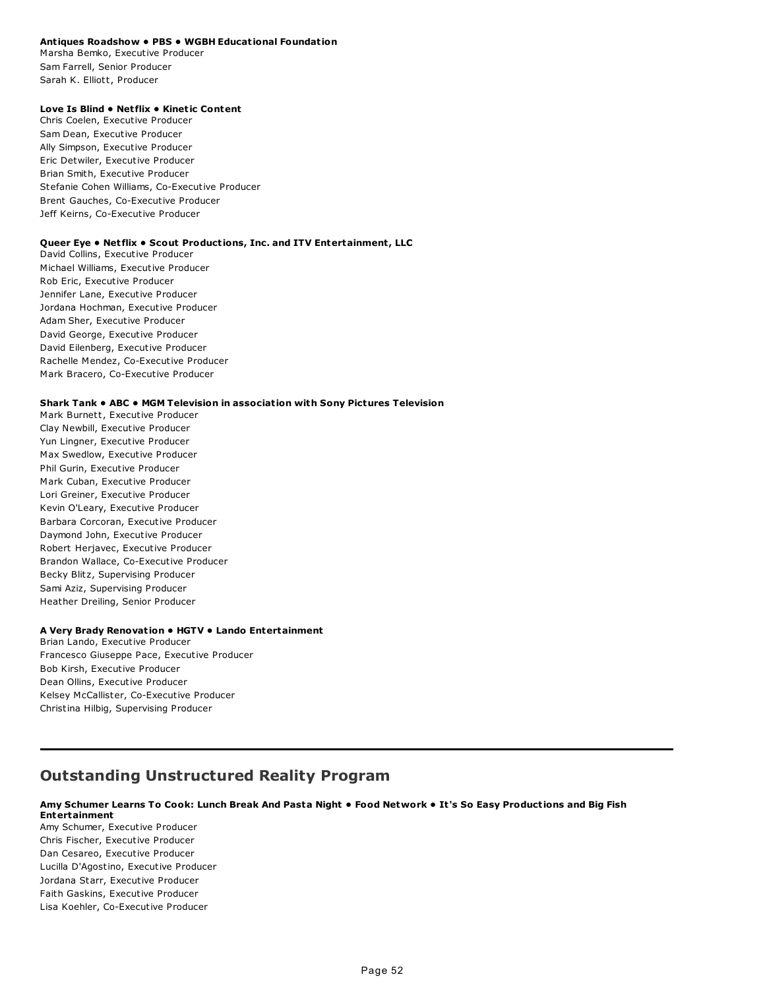#### **Antiques Roadshow • PBS • WGBH Educational Foundation**

Marsha Bemko, Executive Producer Sam Farrell, Senior Producer Sarah K. Elliott, Producer

### **Love Is Blind • Netflix • Kinetic Content**

Chris Coelen, Executive Producer Sam Dean, Executive Producer Ally Simpson, Executive Producer Eric Detwiler, Executive Producer Brian Smith, Executive Producer Stefanie Cohen Williams, Co-Executive Producer Brent Gauches, Co-Executive Producer Jeff Keirns, Co-Executive Producer

#### **Queer Eye • Netflix • Scout Productions, Inc. and ITV Entertainment, LLC**

David Collins, Executive Producer Michael Williams, Executive Producer Rob Eric, Executive Producer Jennifer Lane, Executive Producer Jordana Hochman, Executive Producer Adam Sher, Executive Producer David George, Executive Producer David Eilenberg, Executive Producer Rachelle Mendez, Co-Executive Producer Mark Bracero, Co-Executive Producer

#### **Shark Tank • ABC • MGM Television in association with Sony Pictures Television**

Mark Burnett, Executive Producer Clay Newbill, Executive Producer Yun Lingner, Executive Producer Max Swedlow, Executive Producer Phil Gurin, Executive Producer Mark Cuban, Executive Producer Lori Greiner, Executive Producer Kevin O'Leary, Executive Producer Barbara Corcoran, Executive Producer Daymond John, Executive Producer Robert Herjavec, Executive Producer Brandon Wallace, Co-Executive Producer Becky Blitz, Supervising Producer Sami Aziz, Supervising Producer Heather Dreiling, Senior Producer

### **A Very Brady Renovation • HGTV • Lando Entertainment**

Brian Lando, Executive Producer Francesco Giuseppe Pace, Executive Producer Bob Kirsh, Executive Producer Dean Ollins, Executive Producer Kelsey McCallister, Co-Executive Producer Christina Hilbig, Supervising Producer

## **Outstanding Unstructured Reality Program**

### Amy Schumer Learns To Cook: Lunch Break And Pasta Night . Food Network . It's So Easy Productions and Big Fish **Entertainment**

Amy Schumer, Executive Producer Chris Fischer, Executive Producer Dan Cesareo, Executive Producer Lucilla D'Agostino, Executive Producer Jordana Starr, Executive Producer Faith Gaskins, Executive Producer Lisa Koehler, Co-Executive Producer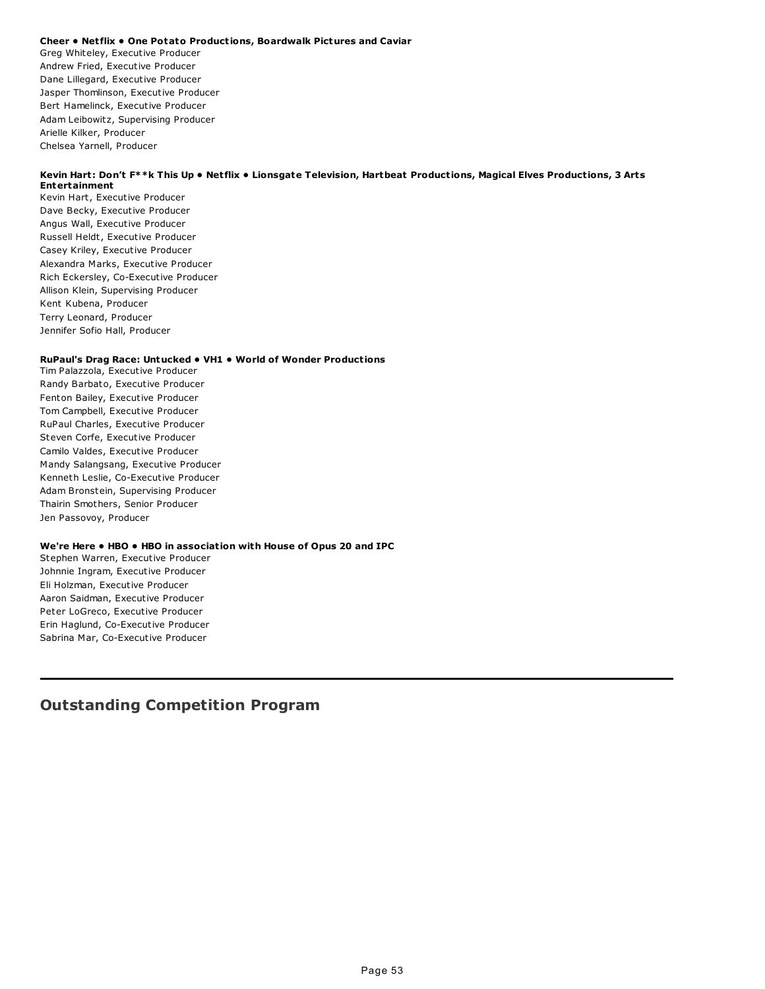#### **Cheer • Netflix • One Potato Productions, Boardwalk Pictures and Caviar**

Greg Whiteley, Executive Producer Andrew Fried, Executive Producer Dane Lillegard, Executive Producer Jasper Thomlinson, Executive Producer Bert Hamelinck, Executive Producer Adam Leibowitz, Supervising Producer Arielle Kilker, Producer Chelsea Yarnell, Producer

#### Kevin Hart: Don't F\*\*k This Up . Netflix . Lionsgate Television, Hartbeat Productions, Magical Elves Productions, 3 Arts **Entertainment**

Kevin Hart, Executive Producer Dave Becky, Executive Producer Angus Wall, Executive Producer Russell Heldt, Executive Producer Casey Kriley, Executive Producer Alexandra Marks, Executive Producer Rich Eckersley, Co-Executive Producer Allison Klein, Supervising Producer Kent Kubena, Producer Terry Leonard, Producer Jennifer Sofio Hall, Producer

### **RuPaul's Drag Race: Untucked • VH1 • World of Wonder Productions**

Tim Palazzola, Executive Producer Randy Barbato, Executive Producer Fenton Bailey, Executive Producer Tom Campbell, Executive Producer RuPaul Charles, Executive Producer Steven Corfe, Executive Producer Camilo Valdes, Executive Producer Mandy Salangsang, Executive Producer Kenneth Leslie, Co-Executive Producer Adam Bronstein, Supervising Producer Thairin Smothers, Senior Producer Jen Passovoy, Producer

### **We're Here • HBO • HBO in association with House of Opus 20 and IPC**

Stephen Warren, Executive Producer Johnnie Ingram, Executive Producer Eli Holzman, Executive Producer Aaron Saidman, Executive Producer Peter LoGreco, Executive Producer Erin Haglund, Co-Executive Producer Sabrina Mar, Co-Executive Producer

## **Outstanding Competition Program**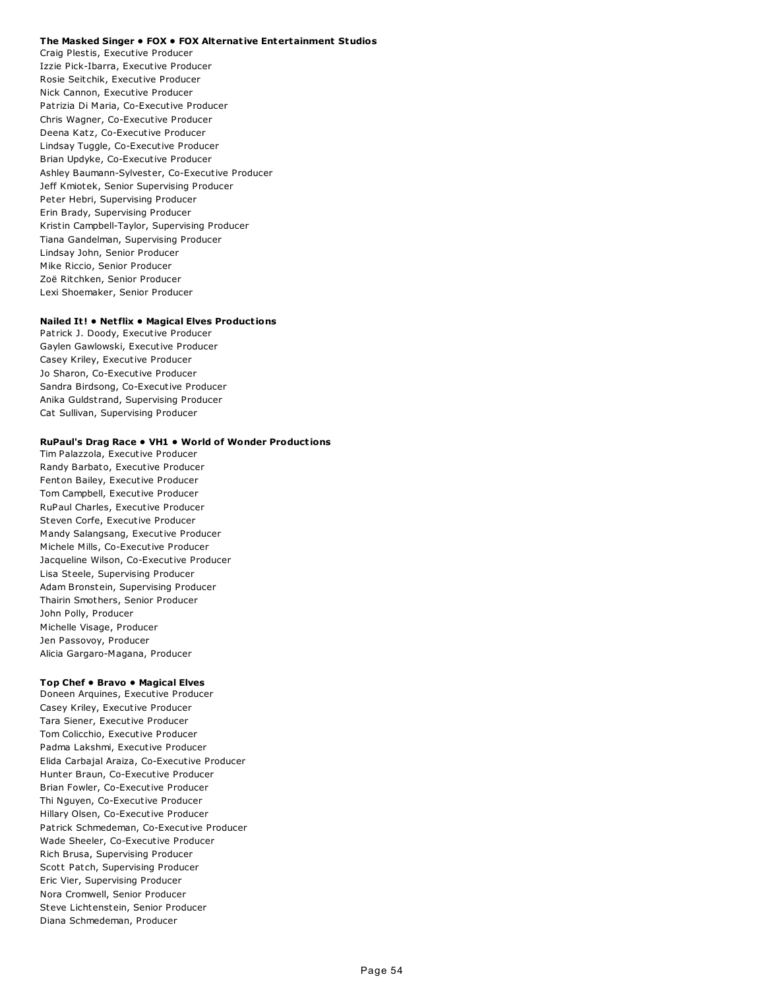#### **The Masked Singer • FOX • FOX Alternative Entertainment Studios**

Craig Plestis, Executive Producer Izzie Pick-Ibarra, Executive Producer Rosie Seitchik, Executive Producer Nick Cannon, Executive Producer Patrizia Di Maria, Co-Executive Producer Chris Wagner, Co-Executive Producer Deena Katz, Co-Executive Producer Lindsay Tuggle, Co-Executive Producer Brian Updyke, Co-Executive Producer Ashley Baumann-Sylvester, Co-Executive Producer Jeff Kmiotek, Senior Supervising Producer Peter Hebri, Supervising Producer Erin Brady, Supervising Producer Kristin Campbell-Taylor, Supervising Producer Tiana Gandelman, Supervising Producer Lindsay John, Senior Producer Mike Riccio, Senior Producer Zoë Ritchken, Senior Producer Lexi Shoemaker, Senior Producer

#### **Nailed It! • Netflix • Magical Elves Productions**

Patrick J. Doody, Executive Producer Gaylen Gawlowski, Executive Producer Casey Kriley, Executive Producer Jo Sharon, Co-Executive Producer Sandra Birdsong, Co-Executive Producer Anika Guldstrand, Supervising Producer Cat Sullivan, Supervising Producer

#### **RuPaul's Drag Race • VH1 • World of Wonder Productions**

Tim Palazzola, Executive Producer Randy Barbato, Executive Producer Fenton Bailey, Executive Producer Tom Campbell, Executive Producer RuPaul Charles, Executive Producer Steven Corfe, Executive Producer Mandy Salangsang, Executive Producer Michele Mills, Co-Executive Producer Jacqueline Wilson, Co-Executive Producer Lisa Steele, Supervising Producer Adam Bronstein, Supervising Producer Thairin Smothers, Senior Producer John Polly, Producer Michelle Visage, Producer Jen Passovoy, Producer Alicia Gargaro-Magana, Producer

#### **Top Chef • Bravo • Magical Elves**

Doneen Arquines, Executive Producer Casey Kriley, Executive Producer Tara Siener, Executive Producer Tom Colicchio, Executive Producer Padma Lakshmi, Executive Producer Elida Carbajal Araiza, Co-Executive Producer Hunter Braun, Co-Executive Producer Brian Fowler, Co-Executive Producer Thi Nguyen, Co-Executive Producer Hillary Olsen, Co-Executive Producer Patrick Schmedeman, Co-Executive Producer Wade Sheeler, Co-Executive Producer Rich Brusa, Supervising Producer Scott Patch, Supervising Producer Eric Vier, Supervising Producer Nora Cromwell, Senior Producer Steve Lichtenstein, Senior Producer Diana Schmedeman, Producer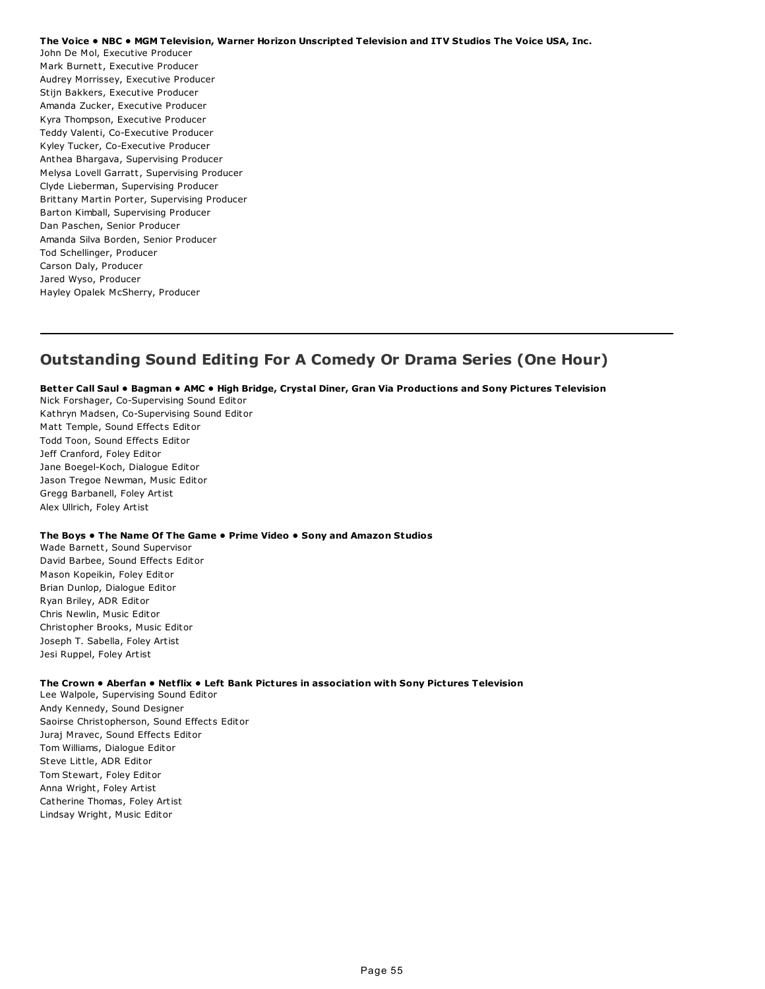The Voice . NBC . MGM Television, Warner Horizon Unscripted Television and ITV Studios The Voice USA, Inc.

John De Mol, Executive Producer Mark Burnett, Executive Producer Audrey Morrissey, Executive Producer Stijn Bakkers, Executive Producer Amanda Zucker, Executive Producer Kyra Thompson, Executive Producer Teddy Valenti, Co-Executive Producer Kyley Tucker, Co-Executive Producer Anthea Bhargava, Supervising Producer Melysa Lovell Garratt, Supervising Producer Clyde Lieberman, Supervising Producer Brittany Martin Porter, Supervising Producer Barton Kimball, Supervising Producer Dan Paschen, Senior Producer Amanda Silva Borden, Senior Producer Tod Schellinger, Producer Carson Daly, Producer Jared Wyso, Producer Hayley Opalek McSherry, Producer

## **Outstanding Sound Editing For A Comedy Or Drama Series (One Hour)**

Better Call Saul . Bagman . AMC . High Bridge, Crystal Diner, Gran Via Productions and Sony Pictures Television

Nick Forshager, Co-Supervising Sound Editor Kathryn Madsen, Co-Supervising Sound Editor Matt Temple, Sound Effects Editor Todd Toon, Sound Effects Editor Jeff Cranford, Foley Editor Jane Boegel-Koch, Dialogue Editor Jason Tregoe Newman, Music Editor Gregg Barbanell, Foley Artist Alex Ullrich, Foley Artist

#### **The Boys • The Name Of The Game • Prime Video • Sony and Amazon Studios**

Wade Barnett, Sound Supervisor David Barbee, Sound Effects Editor Mason Kopeikin, Foley Editor Brian Dunlop, Dialogue Editor Ryan Briley, ADR Editor Chris Newlin, Music Editor Christopher Brooks, Music Editor Joseph T. Sabella, Foley Artist Jesi Ruppel, Foley Artist

#### **The Crown • Aberfan • Netflix • Left Bank Pictures in association with Sony Pictures Television**

Lee Walpole, Supervising Sound Editor Andy Kennedy, Sound Designer Saoirse Christopherson, Sound Effects Editor Juraj Mravec, Sound Effects Editor Tom Williams, Dialogue Editor Steve Little, ADR Editor Tom Stewart, Foley Editor Anna Wright, Foley Artist Catherine Thomas, Foley Artist Lindsay Wright, Music Editor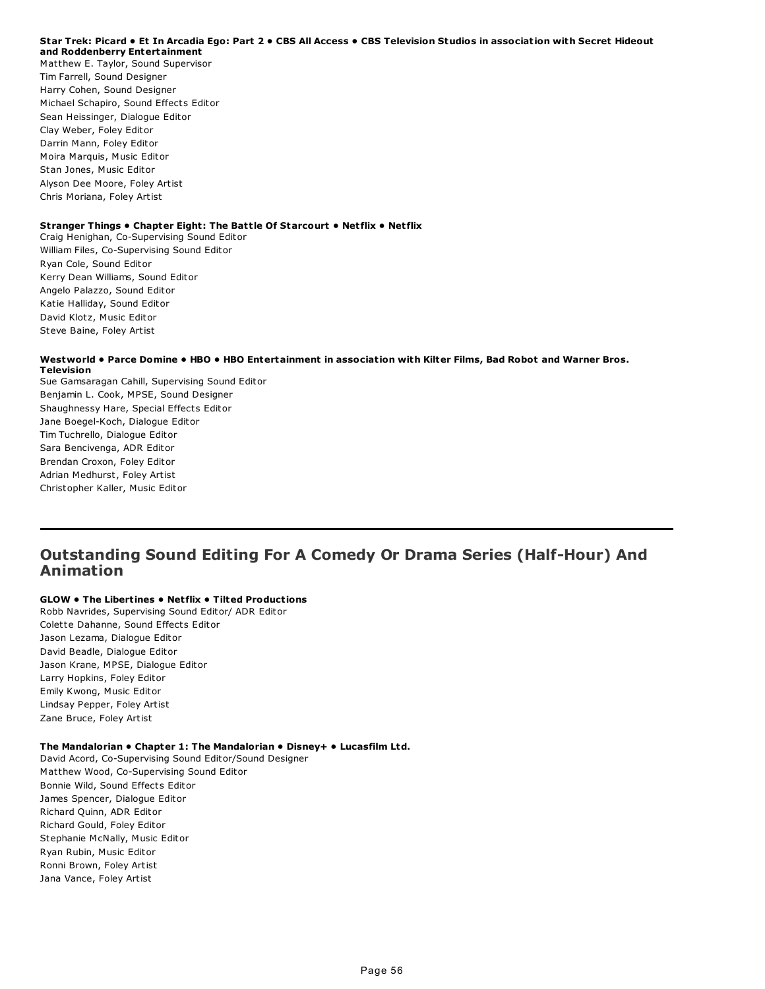## Star Trek: Picard . Et In Arcadia Ego: Part 2 . CBS All Access . CBS Television Studios in association with Secret Hideout

**and Roddenberry Entertainment** Matthew E. Taylor, Sound Supervisor Tim Farrell, Sound Designer Harry Cohen, Sound Designer Michael Schapiro, Sound Effects Editor Sean Heissinger, Dialogue Editor Clay Weber, Foley Editor Darrin Mann, Foley Editor Moira Marquis, Music Editor Stan Jones, Music Editor Alyson Dee Moore, Foley Artist Chris Moriana, Foley Artist

### **Stranger Things • Chapter Eight: The Battle Of Starcourt • Netflix • Netflix**

Craig Henighan, Co-Supervising Sound Editor William Files, Co-Supervising Sound Editor Ryan Cole, Sound Editor Kerry Dean Williams, Sound Editor Angelo Palazzo, Sound Editor Katie Halliday, Sound Editor David Klotz, Music Editor Steve Baine, Foley Artist

#### Westworld . Parce Domine . HBO . HBO Entertainment in association with Kilter Films, Bad Robot and Warner Bros. **Television**

Sue Gamsaragan Cahill, Supervising Sound Editor Benjamin L. Cook, MPSE, Sound Designer Shaughnessy Hare, Special Effects Editor Jane Boegel-Koch, Dialogue Editor Tim Tuchrello, Dialogue Editor Sara Bencivenga, ADR Editor Brendan Croxon, Foley Editor Adrian Medhurst, Foley Artist Christopher Kaller, Music Editor

## **Outstanding Sound Editing For A Comedy Or Drama Series (Half-Hour) And Animation**

## **GLOW • The Libertines • Netflix • Tilted Productions**

Robb Navrides, Supervising Sound Editor/ ADR Editor Colette Dahanne, Sound Effects Editor Jason Lezama, Dialogue Editor David Beadle, Dialogue Editor Jason Krane, MPSE, Dialogue Editor Larry Hopkins, Foley Editor Emily Kwong, Music Editor Lindsay Pepper, Foley Artist Zane Bruce, Foley Artist

### **The Mandalorian • Chapter 1: The Mandalorian • Disney+ • Lucasfilm Ltd.**

David Acord, Co-Supervising Sound Editor/Sound Designer Matthew Wood, Co-Supervising Sound Editor Bonnie Wild, Sound Effects Editor James Spencer, Dialogue Editor Richard Quinn, ADR Editor Richard Gould, Foley Editor Stephanie McNally, Music Editor Ryan Rubin, Music Editor Ronni Brown, Foley Artist Jana Vance, Foley Artist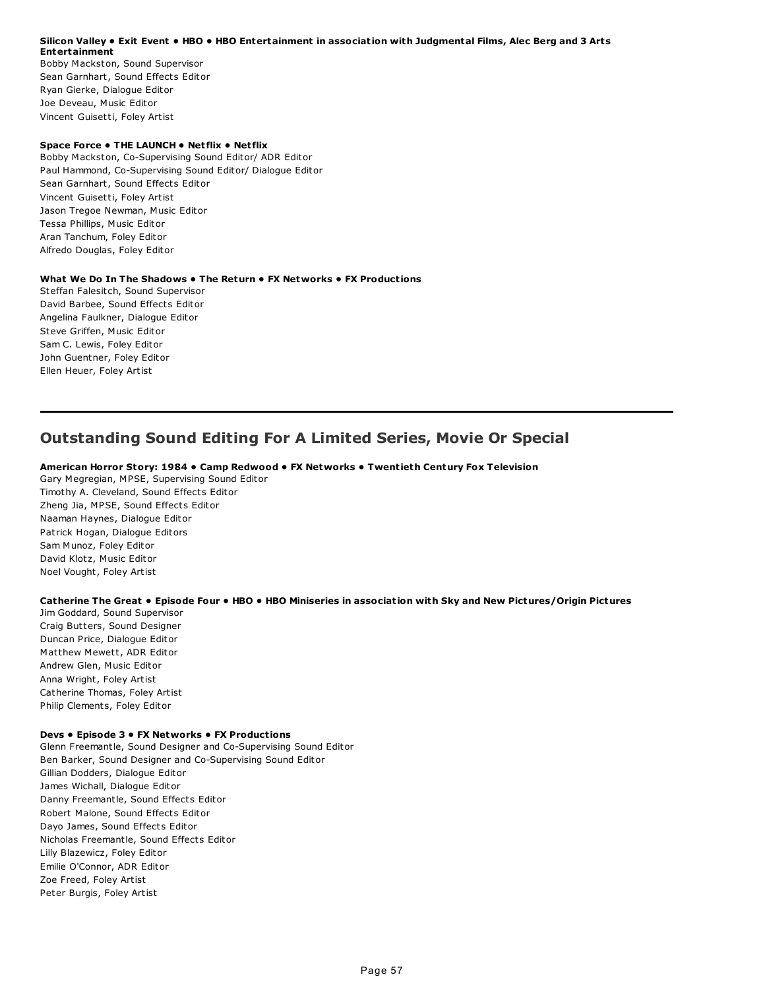Silicon Valley . Exit Event . HBO . HBO Entertainment in association with Judgmental Films, Alec Berg and 3 Arts **Entertainment**

Bobby Mackston, Sound Supervisor Sean Garnhart, Sound Effects Editor Ryan Gierke, Dialogue Editor Joe Deveau, Music Editor Vincent Guisetti, Foley Artist

#### **Space Force • THE LAUNCH • Netflix • Netflix**

Bobby Mackston, Co-Supervising Sound Editor/ ADR Editor Paul Hammond, Co-Supervising Sound Editor/ Dialogue Editor Sean Garnhart, Sound Effects Editor Vincent Guisetti, Foley Artist Jason Tregoe Newman, Music Editor Tessa Phillips, Music Editor Aran Tanchum, Foley Editor Alfredo Douglas, Foley Editor

### **What We Do In The Shadows • The Return • FX Networks • FX Productions**

Steffan Falesitch, Sound Supervisor David Barbee, Sound Effects Editor Angelina Faulkner, Dialogue Editor Steve Griffen, Music Editor Sam C. Lewis, Foley Editor John Guentner, Foley Editor Ellen Heuer, Foley Artist

## **Outstanding Sound Editing For A Limited Series, Movie Or Special**

#### **American Horror Story: 1984 • Camp Redwood • FX Networks • Twentieth Century Fox Television**

Gary Megregian, MPSE, Supervising Sound Editor Timothy A. Cleveland, Sound Effects Editor Zheng Jia, MPSE, Sound Effects Editor Naaman Haynes, Dialogue Editor Patrick Hogan, Dialogue Editors Sam Munoz, Foley Editor David Klotz, Music Editor Noel Vought, Foley Artist

### Catherine The Great . Episode Four . HBO . HBO Miniseries in association with Sky and New Pictures/Origin Pictures

Jim Goddard, Sound Supervisor Craig Butters, Sound Designer Duncan Price, Dialogue Editor Matthew Mewett, ADR Editor Andrew Glen, Music Editor Anna Wright, Foley Artist Catherine Thomas, Foley Artist Philip Clements, Foley Editor

#### **Devs • Episode 3 • FX Networks • FX Productions**

Glenn Freemantle, Sound Designer and Co-Supervising Sound Editor Ben Barker, Sound Designer and Co-Supervising Sound Editor Gillian Dodders, Dialogue Editor James Wichall, Dialogue Editor Danny Freemantle, Sound Effects Editor Robert Malone, Sound Effects Editor Dayo James, Sound Effects Editor Nicholas Freemantle, Sound Effects Editor Lilly Blazewicz, Foley Editor Emilie O'Connor, ADR Editor Zoe Freed, Foley Artist Peter Burgis, Foley Artist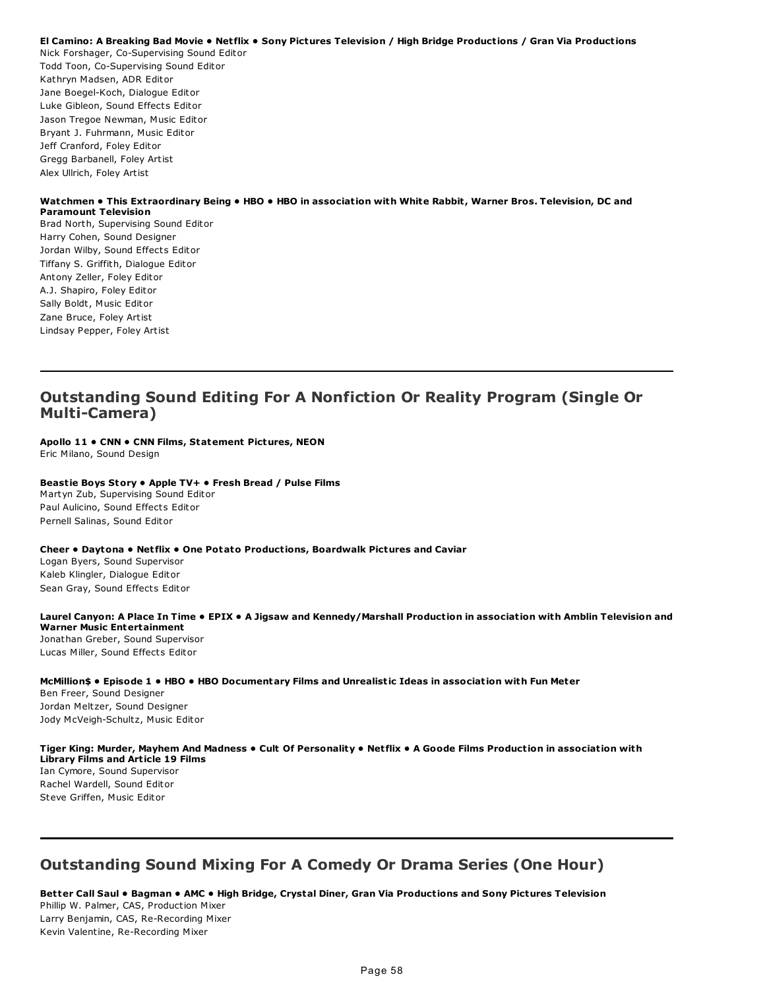El Camino: A Breaking Bad Movie . Netflix . Sony Pictures Television / High Bridge Productions / Gran Via Productions

Nick Forshager, Co-Supervising Sound Editor Todd Toon, Co-Supervising Sound Editor Kathryn Madsen, ADR Editor Jane Boegel-Koch, Dialogue Editor Luke Gibleon, Sound Effects Editor Jason Tregoe Newman, Music Editor Bryant J. Fuhrmann, Music Editor Jeff Cranford, Foley Editor Gregg Barbanell, Foley Artist Alex Ullrich, Foley Artist

#### Watchmen . This Extraordinary Being . HBO . HBO in association with White Rabbit, Warner Bros. Television, DC and **Paramount Television**

Brad North, Supervising Sound Editor Harry Cohen, Sound Designer Jordan Wilby, Sound Effects Editor Tiffany S. Griffith, Dialogue Editor Antony Zeller, Foley Editor A.J. Shapiro, Foley Editor Sally Boldt, Music Editor Zane Bruce, Foley Artist Lindsay Pepper, Foley Artist

## **Outstanding Sound Editing For A Nonfiction Or Reality Program (Single Or Multi-Camera)**

**Apollo 11 • CNN • CNN Films, Statement Pictures, NEON** Eric Milano, Sound Design

## **Beastie Boys Story • Apple TV+ • Fresh Bread / Pulse Films**

Martyn Zub, Supervising Sound Editor Paul Aulicino, Sound Effects Editor Pernell Salinas, Sound Editor

### **Cheer • Daytona • Netflix • One Potato Productions, Boardwalk Pictures and Caviar**

Logan Byers, Sound Supervisor Kaleb Klingler, Dialogue Editor Sean Gray, Sound Effects Editor

#### Laurel Canyon: A Place In Time . EPIX . A Jigsaw and Kennedy/Marshall Production in association with Amblin Television and **Warner Music Entertainment**

Jonathan Greber, Sound Supervisor Lucas Miller, Sound Effects Editor

### McMillion\$ . Episode 1 . HBO . HBO Documentary Films and Unrealistic Ideas in association with Fun Meter

Ben Freer, Sound Designer Jordan Meltzer, Sound Designer Jody McVeigh-Schultz, Music Editor

## Tiger King: Murder, Mayhem And Madness . Cult Of Personality . Netflix . A Goode Films Production in association with

**Library Films and Article 19 Films** Ian Cymore, Sound Supervisor Rachel Wardell, Sound Editor Steve Griffen, Music Editor

# **Outstanding Sound Mixing For A Comedy Or Drama Series (One Hour)**

Better Call Saul . Bagman . AMC . High Bridge, Crystal Diner, Gran Via Productions and Sony Pictures Television Phillip W. Palmer, CAS, Production Mixer Larry Benjamin, CAS, Re-Recording Mixer Kevin Valentine, Re-Recording Mixer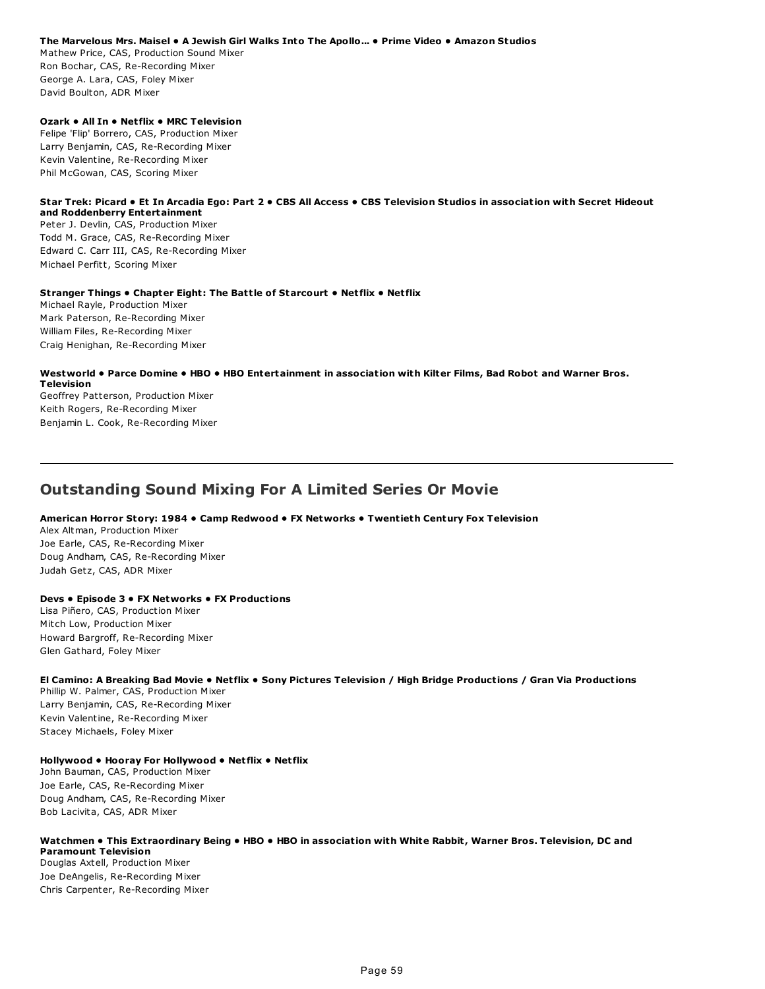#### **The Marvelous Mrs. Maisel • A Jewish Girl Walks Into The Apollo... • Prime Video • Amazon Studios**

Mathew Price, CAS, Production Sound Mixer Ron Bochar, CAS, Re-Recording Mixer George A. Lara, CAS, Foley Mixer David Boulton, ADR Mixer

## **Ozark • All In • Netflix • MRC Television**

Felipe 'Flip' Borrero, CAS, Production Mixer Larry Benjamin, CAS, Re-Recording Mixer Kevin Valentine, Re-Recording Mixer Phil McGowan, CAS, Scoring Mixer

#### Star Trek: Picard . Et In Arcadia Ego: Part 2 . CBS All Access . CBS Television Studios in association with Secret Hideout **and Roddenberry Entertainment**

Peter J. Devlin, CAS, Production Mixer Todd M. Grace, CAS, Re-Recording Mixer Edward C. Carr III, CAS, Re-Recording Mixer Michael Perfitt, Scoring Mixer

## **Stranger Things • Chapter Eight: The Battle of Starcourt • Netflix • Netflix**

Michael Rayle, Production Mixer Mark Paterson, Re-Recording Mixer William Files, Re-Recording Mixer Craig Henighan, Re-Recording Mixer

Westworld . Parce Domine . HBO . HBO Entertainment in association with Kilter Films, Bad Robot and Warner Bros. **Television** Geoffrey Patterson, Production Mixer

Keith Rogers, Re-Recording Mixer Benjamin L. Cook, Re-Recording Mixer

# **Outstanding Sound Mixing For A Limited Series Or Movie**

### **American Horror Story: 1984 • Camp Redwood • FX Networks • Twentieth Century Fox Television**

Alex Altman, Production Mixer Joe Earle, CAS, Re-Recording Mixer Doug Andham, CAS, Re-Recording Mixer Judah Getz, CAS, ADR Mixer

## **Devs • Episode 3 • FX Networks • FX Productions**

Lisa Piñero, CAS, Production Mixer Mitch Low, Production Mixer Howard Bargroff, Re-Recording Mixer Glen Gathard, Foley Mixer

### El Camino: A Breaking Bad Movie • Netflix • Sony Pictures Television / High Bridge Productions / Gran Via Productions

Phillip W. Palmer, CAS, Production Mixer Larry Benjamin, CAS, Re-Recording Mixer Kevin Valentine, Re-Recording Mixer Stacey Michaels, Foley Mixer

### **Hollywood • Hooray For Hollywood • Netflix • Netflix**

John Bauman, CAS, Production Mixer Joe Earle, CAS, Re-Recording Mixer Doug Andham, CAS, Re-Recording Mixer Bob Lacivita, CAS, ADR Mixer

## Watchmen • This Extraordinary Being • HBO • HBO in association with White Rabbit, Warner Bros. Television, DC and

**Paramount Television** Douglas Axtell, Production Mixer Joe DeAngelis, Re-Recording Mixer Chris Carpenter, Re-Recording Mixer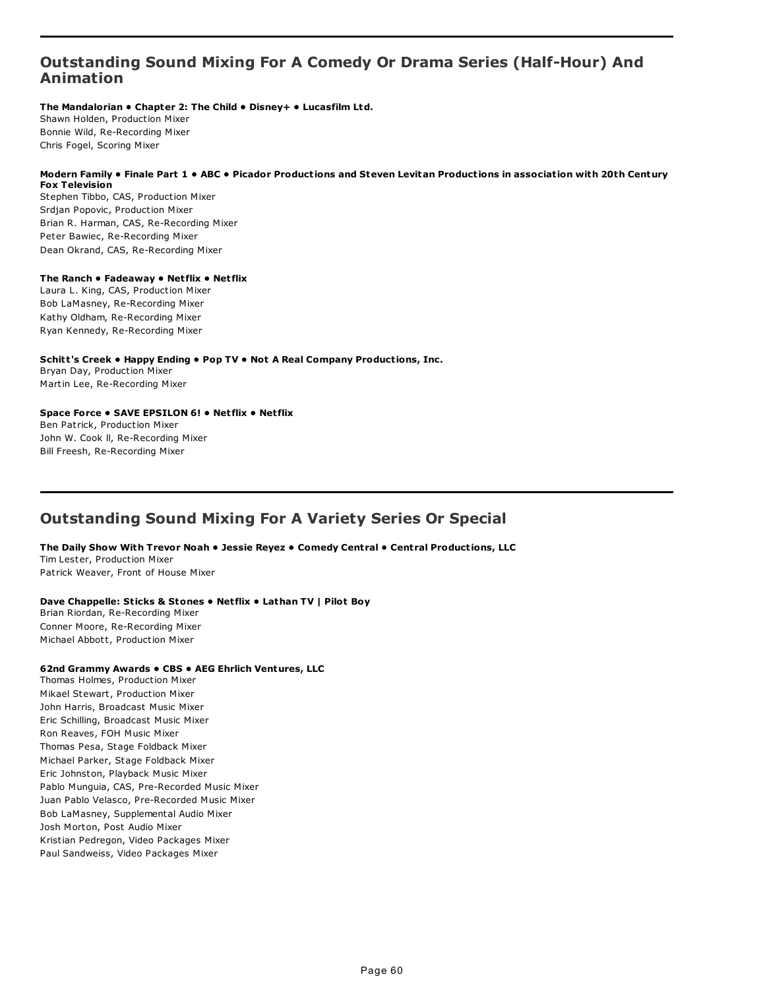## **Outstanding Sound Mixing For A Comedy Or Drama Series (Half-Hour) And Animation**

**The Mandalorian • Chapter 2: The Child • Disney+ • Lucasfilm Ltd.**

Shawn Holden, Production Mixer Bonnie Wild, Re-Recording Mixer Chris Fogel, Scoring Mixer

Modern Family . Finale Part 1 . ABC . Picador Productions and Steven Levitan Productions in association with 20th Century **Fox Television**

Stephen Tibbo, CAS, Production Mixer Srdjan Popovic, Production Mixer Brian R. Harman, CAS, Re-Recording Mixer Peter Bawiec, Re-Recording Mixer Dean Okrand, CAS, Re-Recording Mixer

**The Ranch • Fadeaway • Netflix • Netflix**

Laura L. King, CAS, Production Mixer Bob LaMasney, Re-Recording Mixer Kathy Oldham, Re-Recording Mixer Ryan Kennedy, Re-Recording Mixer

**Schitt's Creek • Happy Ending • Pop TV • Not A Real Company Productions, Inc.** Bryan Day, Production Mixer Martin Lee, Re-Recording Mixer

# **Space Force • SAVE EPSILON 6! • Netflix • Netflix**

Ben Pat rick, Production Mixer John W. Cook ll, Re-Recording Mixer Bill Freesh, Re-Recording Mixer

# **Outstanding Sound Mixing For A Variety Series Or Special**

**The Daily Show With Trevor Noah • Jessie Reyez • Comedy Central • Central Productions, LLC**

Tim Lester, Production Mixer Patrick Weaver, Front of House Mixer

## **Dave Chappelle: Sticks & Stones • Netflix • Lathan TV | Pilot Boy**

Brian Riordan, Re-Recording Mixer Conner Moore, Re-Recording Mixer Michael Abbott, Production Mixer

### **62nd Grammy Awards • CBS • AEG Ehrlich Ventures, LLC**

Thomas Holmes, Production Mixer Mikael Stewart, Production Mixer John Harris, Broadcast Music Mixer Eric Schilling, Broadcast Music Mixer Ron Reaves, FOH Music Mixer Thomas Pesa, Stage Foldback Mixer Michael Parker, Stage Foldback Mixer Eric Johnston, Playback Music Mixer Pablo Munguia, CAS, Pre-Recorded Music Mixer Juan Pablo Velasco, Pre-Recorded Music Mixer Bob LaMasney, Supplemental Audio Mixer Josh Morton, Post Audio Mixer Kristian Pedregon, Video Packages Mixer Paul Sandweiss, Video Packages Mixer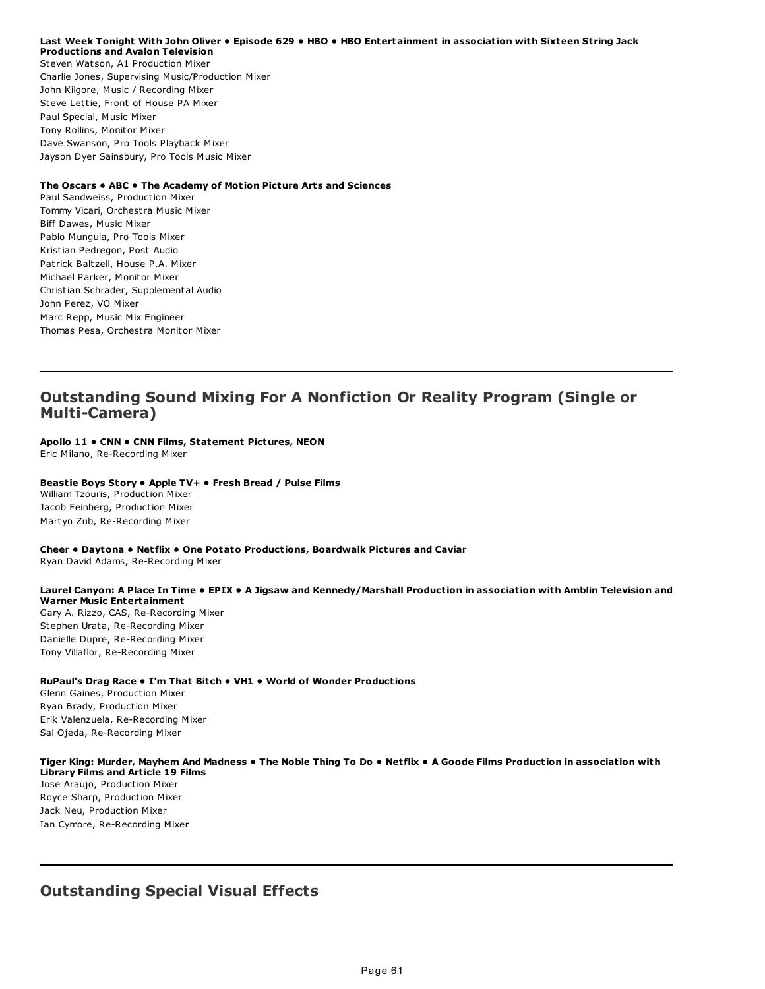#### Last Week Tonight With John Oliver . Episode 629 . HBO . HBO Entertainment in association with Sixteen String Jack **Productions and Avalon Television**

Steven Watson, A1 Production Mixer Charlie Jones, Supervising Music/Production Mixer John Kilgore, Music / Recording Mixer Steve Lettie, Front of House PA Mixer Paul Special, Music Mixer Tony Rollins, Monitor Mixer Dave Swanson, Pro Tools Playback Mixer Jayson Dyer Sainsbury, Pro Tools Music Mixer

### **The Oscars • ABC • The Academy of Motion Picture Arts and Sciences**

Paul Sandweiss, Production Mixer Tommy Vicari, Orchestra Music Mixer Biff Dawes, Music Mixer Pablo Munguia, Pro Tools Mixer Kristian Pedregon, Post Audio Pat rick Baltzell, House P.A. Mixer Michael Parker, Monitor Mixer Christian Schrader, Supplemental Audio John Perez, VO Mixer Marc Repp, Music Mix Engineer Thomas Pesa, Orchestra Monitor Mixer

## **Outstanding Sound Mixing For A Nonfiction Or Reality Program (Single or Multi-Camera)**

**Apollo 11 • CNN • CNN Films, Statement Pictures, NEON**

Eric Milano, Re-Recording Mixer

### **Beastie Boys Story • Apple TV+ • Fresh Bread / Pulse Films**

William Tzouris, Production Mixer Jacob Feinberg, Production Mixer Martyn Zub, Re-Recording Mixer

**Cheer • Daytona • Netflix • One Potato Productions, Boardwalk Pictures and Caviar** Ryan David Adams, Re-Recording Mixer

#### Laurel Canyon: A Place In Time . EPIX . A Jigsaw and Kennedy/Marshall Production in association with Amblin Television and **Warner Music Entertainment**

Gary A. Rizzo, CAS, Re-Recording Mixer Stephen Urata, Re-Recording Mixer Danielle Dupre, Re-Recording Mixer Tony Villaflor, Re-Recording Mixer

### **RuPaul's Drag Race • I'm That Bitch • VH1 • World of Wonder Productions**

Glenn Gaines, Production Mixer Ryan Brady, Production Mixer Erik Valenzuela, Re-Recording Mixer Sal Ojeda, Re-Recording Mixer

#### Tiger King: Murder, Mayhem And Madness . The Noble Thing To Do . Netflix . A Goode Films Production in association with **Library Films and Article 19 Films**

Jose Araujo, Production Mixer Royce Sharp, Production Mixer Jack Neu, Production Mixer Ian Cymore, Re-Recording Mixer

## **Outstanding Special Visual Effects**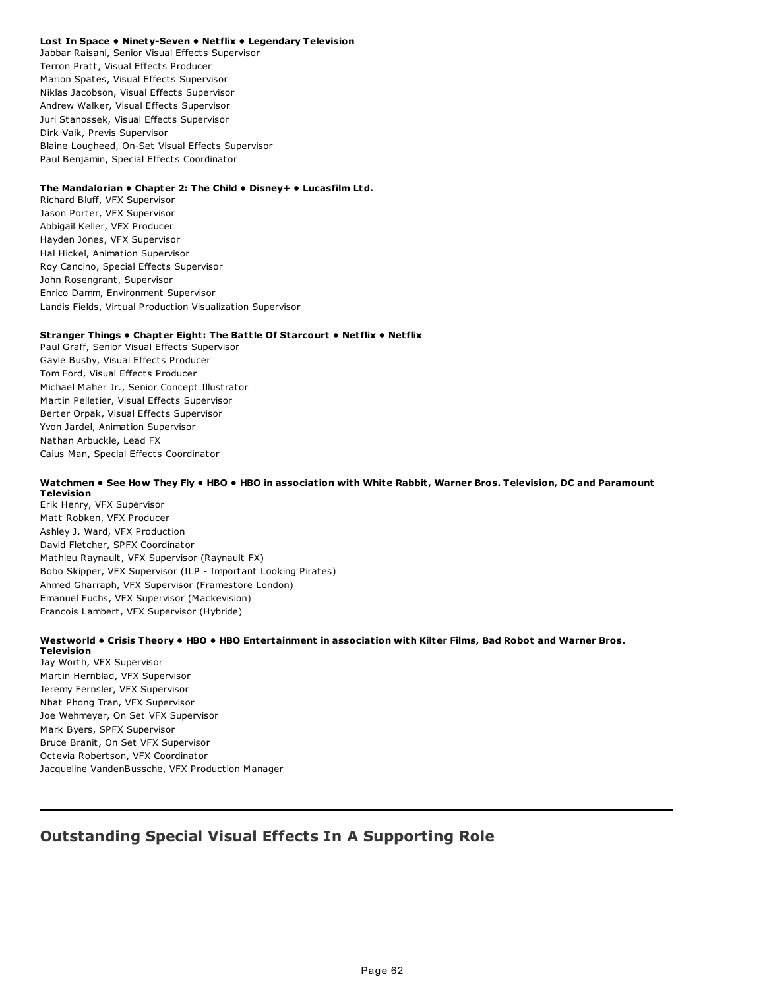#### **Lost In Space • Ninety-Seven • Netflix • Legendary Television**

Jabbar Raisani, Senior Visual Effects Supervisor Terron Pratt, Visual Effects Producer Marion Spates, Visual Effects Supervisor Niklas Jacobson, Visual Effects Supervisor Andrew Walker, Visual Effects Supervisor Juri Stanossek, Visual Effects Supervisor Dirk Valk, Previs Supervisor Blaine Lougheed, On-Set Visual Effects Supervisor Paul Benjamin, Special Effects Coordinator

#### **The Mandalorian • Chapter 2: The Child • Disney+ • Lucasfilm Ltd.**

Richard Bluff, VFX Supervisor Jason Porter, VFX Supervisor Abbigail Keller, VFX Producer Hayden Jones, VFX Supervisor Hal Hickel, Animation Supervisor Roy Cancino, Special Effects Supervisor John Rosengrant, Supervisor Enrico Damm, Environment Supervisor Landis Fields, Virtual Production Visualization Supervisor

### **Stranger Things • Chapter Eight: The Battle Of Starcourt • Netflix • Netflix**

Paul Graff, Senior Visual Effects Supervisor Gayle Busby, Visual Effects Producer Tom Ford, Visual Effects Producer Michael Maher Jr., Senior Concept Illustrator Martin Pelletier, Visual Effects Supervisor Berter Orpak, Visual Effects Supervisor Yvon Jardel, Animation Supervisor Nathan Arbuckle, Lead FX Caius Man, Special Effects Coordinator

## Watchmen . See How They Fly . HBO . HBO in association with White Rabbit, Warner Bros. Television, DC and Paramount

**Television** Erik Henry, VFX Supervisor Matt Robken, VFX Producer Ashley J. Ward, VFX Production David Fletcher, SPFX Coordinator Mathieu Raynault, VFX Supervisor (Raynault FX) Bobo Skipper, VFX Supervisor (ILP - Important Looking Pirates) Ahmed Gharraph, VFX Supervisor (Framestore London) Emanuel Fuchs, VFX Supervisor (Mackevision) Francois Lambert, VFX Supervisor (Hybride)

## Westworld • Crisis Theory • HBO • HBO Entertainment in association with Kilter Films, Bad Robot and Warner Bros.

**Television** Jay Worth, VFX Supervisor Martin Hernblad, VFX Supervisor Jeremy Fernsler, VFX Supervisor Nhat Phong Tran, VFX Supervisor Joe Wehmeyer, On Set VFX Supervisor Mark Byers, SPFX Supervisor Bruce Branit, On Set VFX Supervisor Octevia Robertson, VFX Coordinator Jacqueline VandenBussche, VFX Production Manager

## **Outstanding Special Visual Effects In A Supporting Role**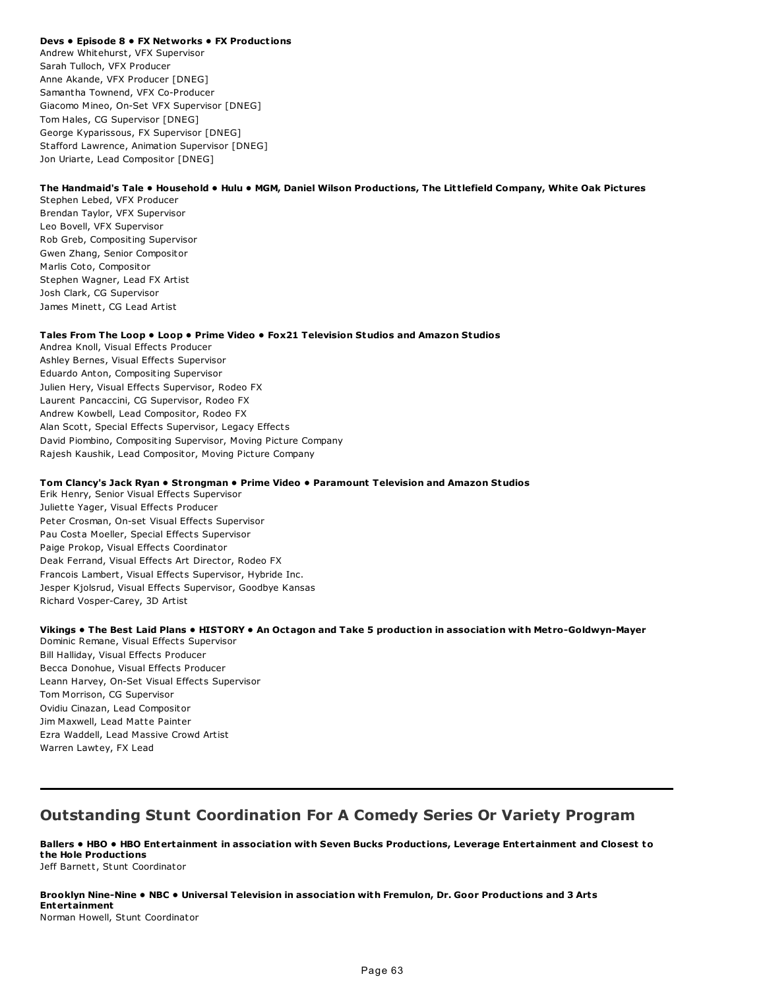#### **Devs • Episode 8 • FX Networks • FX Productions**

Andrew Whitehurst, VFX Supervisor Sarah Tulloch, VFX Producer Anne Akande, VFX Producer [DNEG] Samantha Townend, VFX Co-Producer Giacomo Mineo, On-Set VFX Supervisor [DNEG] Tom Hales, CG Supervisor [DNEG] George Kyparissous, FX Supervisor [DNEG] Stafford Lawrence, Animation Supervisor [DNEG] Jon Uriarte, Lead Compositor [DNEG]

#### The Handmaid's Tale . Household . Hulu . MGM, Daniel Wilson Productions, The Littlefield Company, White Oak Pictures

Stephen Lebed, VFX Producer Brendan Taylor, VFX Supervisor Leo Bovell, VFX Supervisor Rob Greb, Compositing Supervisor Gwen Zhang, Senior Compositor Marlis Coto, Compositor Stephen Wagner, Lead FX Artist Josh Clark, CG Supervisor James Minett, CG Lead Artist

#### **Tales From The Loop • Loop • Prime Video • Fox21 Television Studios and Amazon Studios**

Andrea Knoll, Visual Effects Producer Ashley Bernes, Visual Effects Supervisor Eduardo Anton, Compositing Supervisor Julien Hery, Visual Effects Supervisor, Rodeo FX Laurent Pancaccini, CG Supervisor, Rodeo FX Andrew Kowbell, Lead Compositor, Rodeo FX Alan Scott, Special Effects Supervisor, Legacy Effects David Piombino, Compositing Supervisor, Moving Picture Company Rajesh Kaushik, Lead Compositor, Moving Picture Company

### **Tom Clancy's Jack Ryan • Strongman • Prime Video • Paramount Television and Amazon Studios**

Erik Henry, Senior Visual Effects Supervisor Juliette Yager, Visual Effects Producer Peter Crosman, On-set Visual Effects Supervisor Pau Costa Moeller, Special Effects Supervisor Paige Prokop, Visual Effects Coordinator Deak Ferrand, Visual Effects Art Director, Rodeo FX Francois Lambert, Visual Effects Supervisor, Hybride Inc. Jesper Kjolsrud, Visual Effects Supervisor, Goodbye Kansas Richard Vosper-Carey, 3D Artist

### Vikings . The Best Laid Plans . HISTORY . An Octagon and Take 5 production in association with Metro-Goldwyn-Mayer

Dominic Remane, Visual Effects Supervisor Bill Halliday, Visual Effects Producer Becca Donohue, Visual Effects Producer Leann Harvey, On-Set Visual Effects Supervisor Tom Morrison, CG Supervisor Ovidiu Cinazan, Lead Compositor Jim Maxwell, Lead Matte Painter Ezra Waddell, Lead Massive Crowd Artist Warren Lawtey, FX Lead

## **Outstanding Stunt Coordination For A Comedy Series Or Variety Program**

Ballers • HBO • HBO Entertainment in association with Seven Bucks Productions, Leverage Entertainment and Closest to **the Hole Productions** Jeff Barnett, Stunt Coordinator

Brooklyn Nine-Nine . NBC . Universal Television in association with Fremulon, Dr. Goor Productions and 3 Arts **Entertainment**

Norman Howell, Stunt Coordinator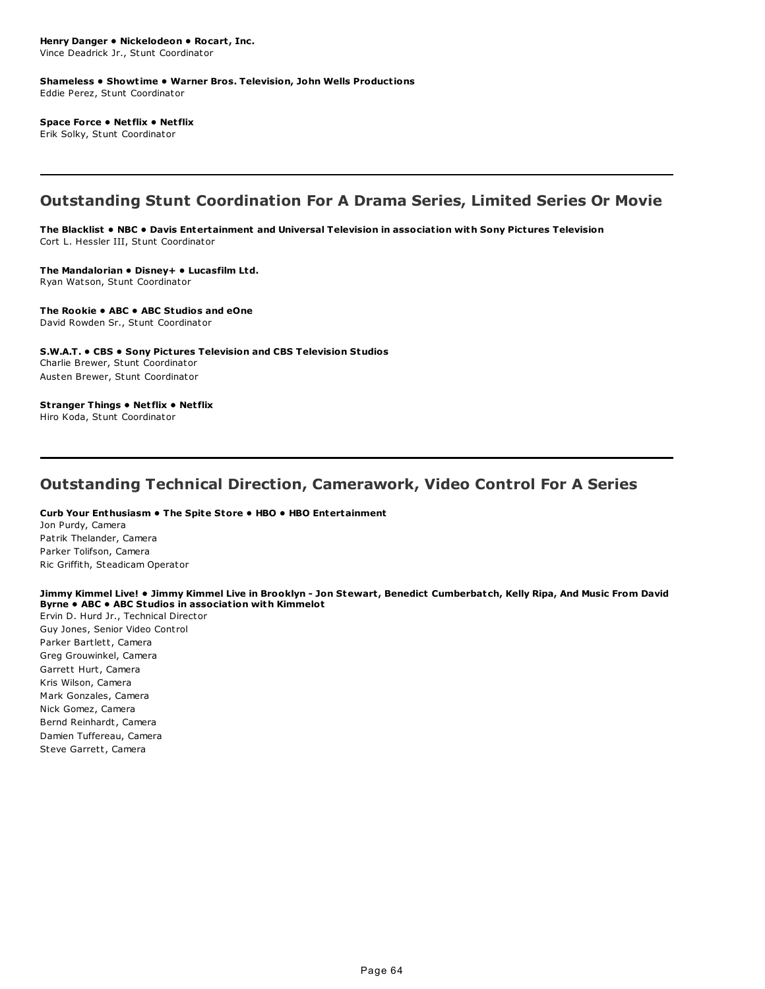#### **Shameless • Showtime • Warner Bros. Television, John Wells Productions** Eddie Perez, Stunt Coordinator

## **Space Force • Netflix • Netflix**

Erik Solky, Stunt Coordinator

## **Outstanding Stunt Coordination For A Drama Series, Limited Series Or Movie**

**The Blacklist • NBC • Davis Entertainment and Universal Television in association with Sony Pictures Television** Cort L. Hessler III, Stunt Coordinator

**The Mandalorian • Disney+ • Lucasfilm Ltd.**

Ryan Watson, Stunt Coordinator

### **The Rookie • ABC • ABC Studios and eOne**

David Rowden Sr., Stunt Coordinator

**S.W.A.T. • CBS • Sony Pictures Television and CBS Television Studios** Charlie Brewer, Stunt Coordinator Austen Brewer, Stunt Coordinator

**Stranger Things • Netflix • Netflix** Hiro Koda, Stunt Coordinator

## **Outstanding Technical Direction, Camerawork, Video Control For A Series**

**Curb Your Enthusiasm • The Spite Store • HBO • HBO Entertainment**

Jon Purdy, Camera Patrik Thelander, Camera Parker Tolifson, Camera Ric Griffith, Steadicam Operator

Jimmy Kimmel Live! . Jimmy Kimmel Live in Brooklyn - Jon Stewart, Benedict Cumberbatch, Kelly Ripa, And Music From David **Byrne • ABC • ABC Studios in association with Kimmelot**

Ervin D. Hurd Jr., Technical Director Guy Jones, Senior Video Control Parker Bartlett, Camera Greg Grouwinkel, Camera Garrett Hurt, Camera Kris Wilson, Camera Mark Gonzales, Camera Nick Gomez, Camera Bernd Reinhardt, Camera Damien Tuffereau, Camera Steve Garrett, Camera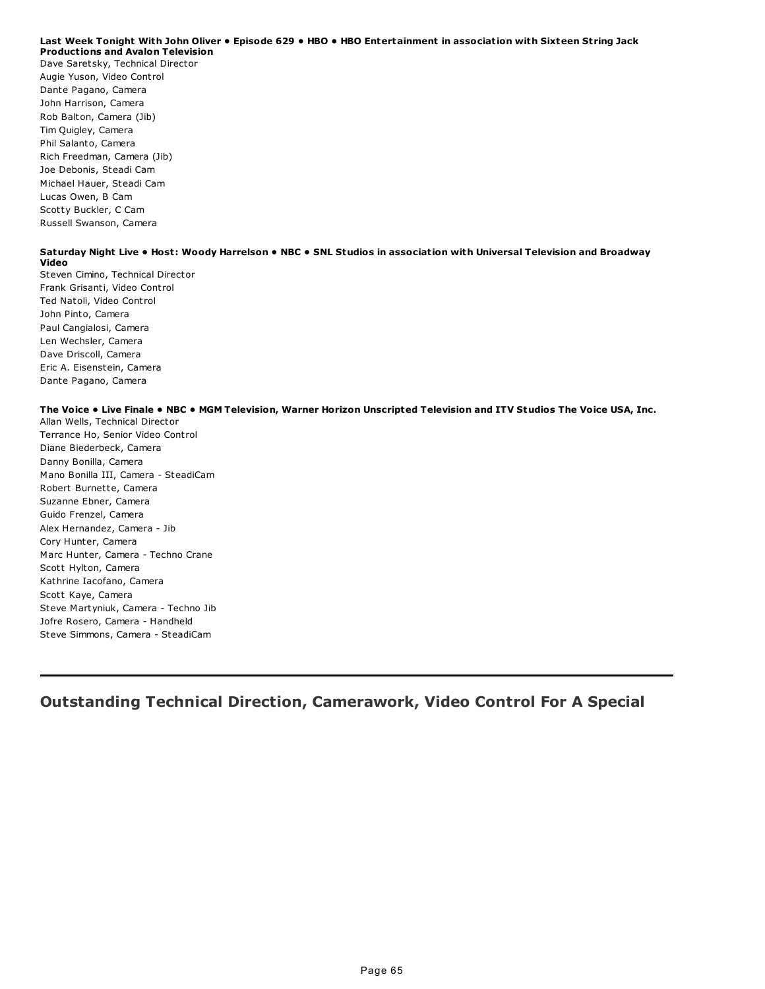#### Last Week Tonight With John Oliver . Episode 629 . HBO . HBO Entertainment in association with Sixteen String Jack **Productions and Avalon Television**

Dave Saretsky, Technical Director Augie Yuson, Video Control Dante Pagano, Camera John Harrison, Camera Rob Balton, Camera (Jib) Tim Quigley, Camera Phil Salanto, Camera Rich Freedman, Camera (Jib) Joe Debonis, Steadi Cam Michael Hauer, Steadi Cam Lucas Owen, B Cam Scotty Buckler, C Cam Russell Swanson, Camera

#### Saturday Night Live . Host: Woody Harrelson . NBC . SNL Studios in association with Universal Television and Broadway **Video**

Steven Cimino, Technical Director Frank Grisanti, Video Control Ted Natoli, Video Control John Pinto, Camera Paul Cangialosi, Camera Len Wechsler, Camera Dave Driscoll, Camera Eric A. Eisenstein, Camera Dante Pagano, Camera

## The Voice . Live Finale . NBC . MGM Television, Warner Horizon Unscripted Television and ITV Studios The Voice USA, Inc.

Allan Wells, Technical Director Terrance Ho, Senior Video Control Diane Biederbeck, Camera Danny Bonilla, Camera Mano Bonilla III, Camera - SteadiCam Robert Burnette, Camera Suzanne Ebner, Camera Guido Frenzel, Camera Alex Hernandez, Camera - Jib Cory Hunter, Camera Marc Hunter, Camera - Techno Crane Scott Hylton, Camera Kathrine Iacofano, Camera Scott Kaye, Camera Steve Martyniuk, Camera - Techno Jib Jofre Rosero, Camera - Handheld Steve Simmons, Camera - SteadiCam

# **Outstanding Technical Direction, Camerawork, Video Control For A Special**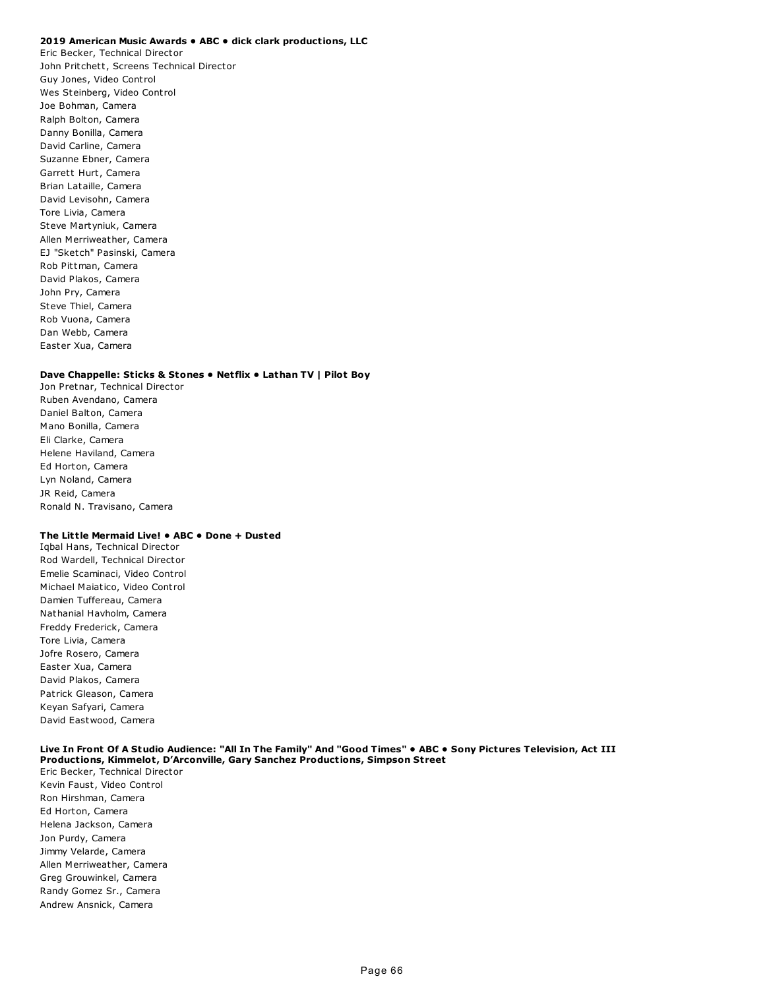### **2019 American Music Awards • ABC • dick clark productions, LLC**

Eric Becker, Technical Director John Pritchett, Screens Technical Director Guy Jones, Video Control Wes Steinberg, Video Control Joe Bohman, Camera Ralph Bolton, Camera Danny Bonilla, Camera David Carline, Camera Suzanne Ebner, Camera Garrett Hurt, Camera Brian Lataille, Camera David Levisohn, Camera Tore Livia, Camera Steve Martyniuk, Camera Allen Merriweather, Camera EJ "Sketch" Pasinski, Camera Rob Pittman, Camera David Plakos, Camera John Pry, Camera Steve Thiel, Camera Rob Vuona, Camera Dan Webb, Camera Easter Xua, Camera

#### **Dave Chappelle: Sticks & Stones • Netflix • Lathan TV | Pilot Boy**

Jon Pretnar, Technical Director Ruben Avendano, Camera Daniel Balton, Camera Mano Bonilla, Camera Eli Clarke, Camera Helene Haviland, Camera Ed Horton, Camera Lyn Noland, Camera JR Reid, Camera Ronald N. Travisano, Camera

### **The Little Mermaid Live! • ABC • Done + Dusted**

Iqbal Hans, Technical Director Rod Wardell, Technical Director Emelie Scaminaci, Video Cont rol Michael Maiatico, Video Control Damien Tuffereau, Camera Nathanial Havholm, Camera Freddy Frederick, Camera Tore Livia, Camera Jofre Rosero, Camera Easter Xua, Camera David Plakos, Camera Patrick Gleason, Camera Keyan Safyari, Camera David Eastwood, Camera

### Live In Front Of A Studio Audience: "All In The Family" And "Good Times" . ABC . Sony Pictures Television, Act III **Productions, Kimmelot, D'Arconville, Gary Sanchez Productions, Simpson Street**

Eric Becker, Technical Director Kevin Faust, Video Control Ron Hirshman, Camera Ed Horton, Camera Helena Jackson, Camera Jon Purdy, Camera Jimmy Velarde, Camera Allen Merriweather, Camera Greg Grouwinkel, Camera Randy Gomez Sr., Camera Andrew Ansnick, Camera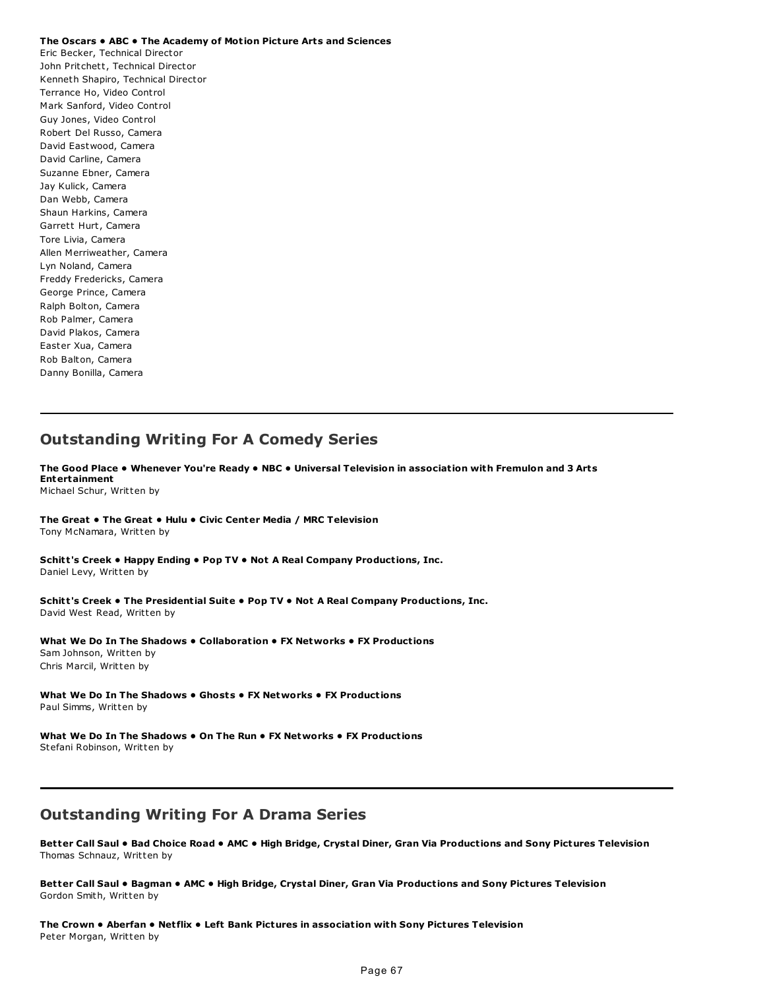### **The Oscars • ABC • The Academy of Motion Picture Arts and Sciences**

Eric Becker, Technical Director John Pritchett, Technical Director Kenneth Shapiro, Technical Director Terrance Ho, Video Control Mark Sanford, Video Control Guy Jones, Video Control Robert Del Russo, Camera David Eastwood, Camera David Carline, Camera Suzanne Ebner, Camera Jay Kulick, Camera Dan Webb, Camera Shaun Harkins, Camera Garrett Hurt, Camera Tore Livia, Camera Allen Merriweather, Camera Lyn Noland, Camera Freddy Fredericks, Camera George Prince, Camera Ralph Bolton, Camera Rob Palmer, Camera David Plakos, Camera Easter Xua, Camera Rob Balton, Camera Danny Bonilla, Camera

# **Outstanding Writing For A Comedy Series**

The Good Place . Whenever You're Ready . NBC . Universal Television in association with Fremulon and 3 Arts **Entertainment**

Michael Schur, Written by

**The Great • The Great • Hulu • Civic Center Media / MRC Television** Tony McNamara, Written by

**Schitt's Creek • Happy Ending • Pop TV • Not A Real Company Productions, Inc.** Daniel Levy, Written by

**Schitt's Creek • The Presidential Suite • Pop TV • Not A Real Company Productions, Inc.** David West Read, Written by

**What We Do In The Shadows • Collaboration • FX Networks • FX Productions** Sam Johnson, Written by Chris Marcil, Written by

**What We Do In The Shadows • Ghosts • FX Networks • FX Productions** Paul Simms, Written by

**What We Do In The Shadows • On The Run • FX Networks • FX Productions** Stefani Robinson, Written by

# **Outstanding Writing For A Drama Series**

Better Call Saul . Bad Choice Road . AMC . High Bridge, Crystal Diner, Gran Via Productions and Sony Pictures Television Thomas Schnauz, Written by

Better Call Saul . Bagman . AMC . High Bridge, Crystal Diner, Gran Via Productions and Sony Pictures Television Gordon Smith, Written by

**The Crown • Aberfan • Netflix • Left Bank Pictures in association with Sony Pictures Television** Peter Morgan, Written by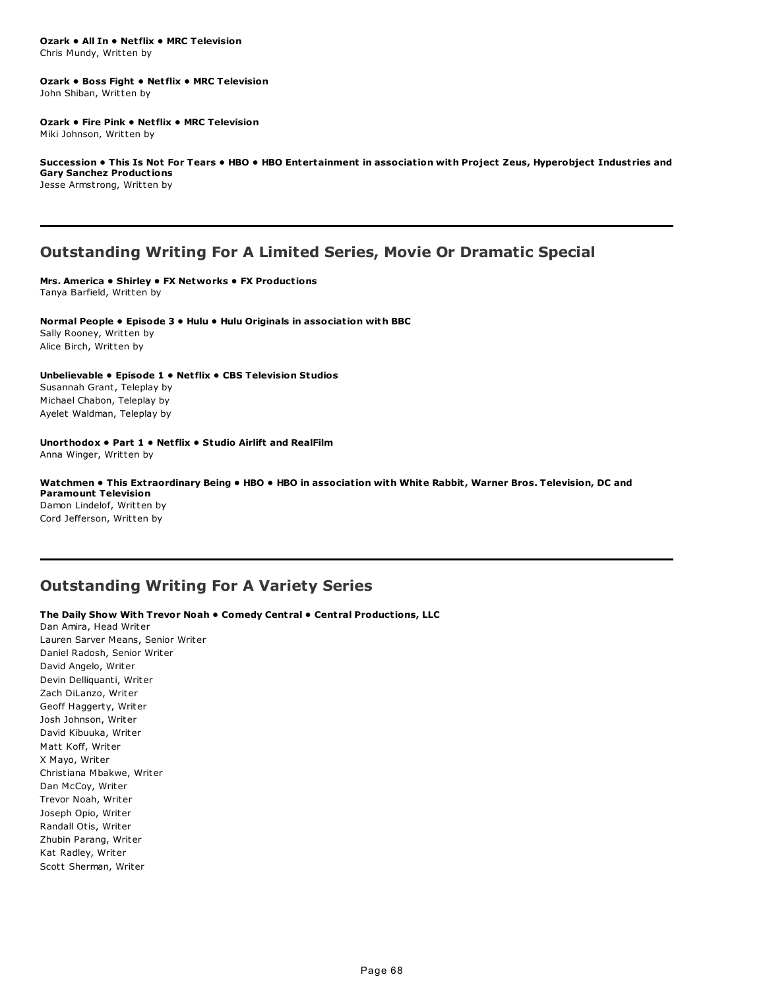**Ozark • All In • Netflix • MRC Television** Chris Mundy, Written by

#### **Ozark • Boss Fight • Netflix • MRC Television** John Shiban, Written by

**Ozark • Fire Pink • Netflix • MRC Television** Miki Johnson, Written by

Succession . This Is Not For Tears . HBO . HBO Entertainment in association with Project Zeus, Hyperobject Industries and **Gary Sanchez Productions** Jesse Armstrong, Written by

## **Outstanding Writing For A Limited Series, Movie Or Dramatic Special**

**Mrs. America • Shirley • FX Networks • FX Productions** Tanya Barfield, Written by

**Normal People • Episode 3 • Hulu • Hulu Originals in association with BBC** Sally Rooney, Written by

Alice Birch, Written by

### **Unbelievable • Episode 1 • Netflix • CBS Television Studios**

Susannah Grant, Teleplay by Michael Chabon, Teleplay by Ayelet Waldman, Teleplay by

**Unorthodox • Part 1 • Netflix • Studio Airlift and RealFilm** Anna Winger, Written by

Watchmen . This Extraordinary Being . HBO . HBO in association with White Rabbit, Warner Bros. Television, DC and **Paramount Television** Damon Lindelof, Written by Cord Jefferson, Written by

# **Outstanding Writing For A Variety Series**

**The Daily Show With Trevor Noah • Comedy Central • Central Productions, LLC** Dan Amira, Head Writer Lauren Sarver Means, Senior Writer Daniel Radosh, Senior Writer David Angelo, Writer Devin Delliquanti, Writer Zach DiLanzo, Writer Geoff Haggerty, Writer Josh Johnson, Writer David Kibuuka, Writer Matt Koff, Writer X Mayo, Writer Christiana Mbakwe, Writer Dan McCoy, Writer Trevor Noah, Writer Joseph Opio, Writer Randall Otis, Writer Zhubin Parang, Writer Kat Radley, Writer Scott Sherman, Writer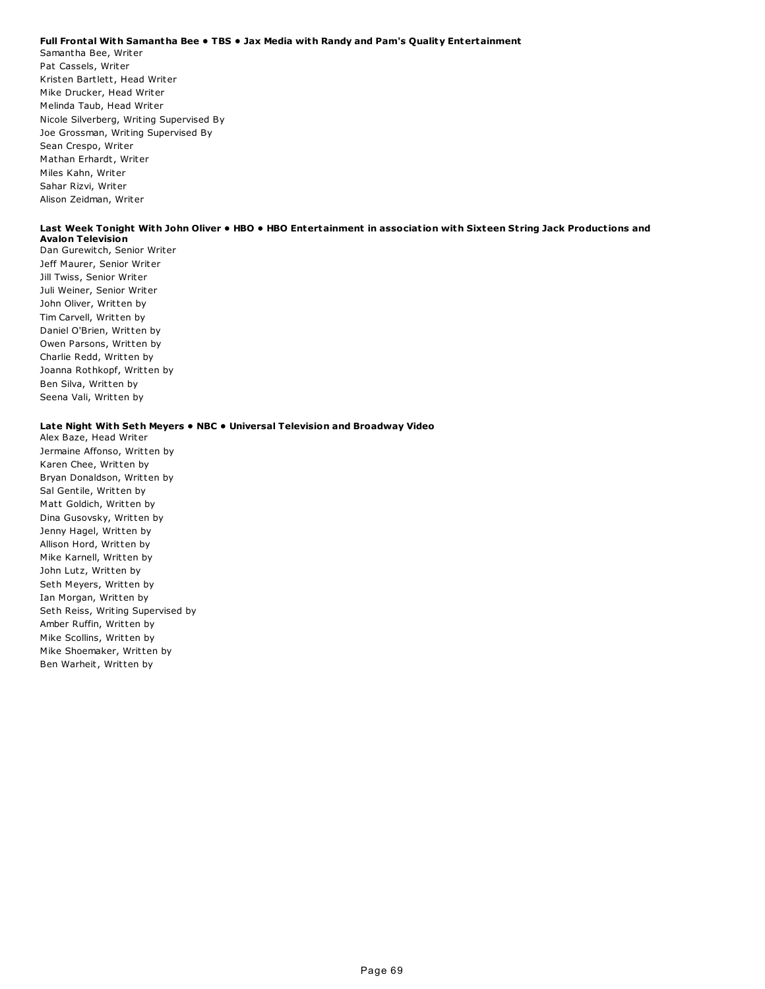#### **Full Frontal With Samantha Bee • TBS • Jax Media with Randy and Pam's Quality Entertainment**

Samantha Bee, Writer Pat Cassels, Writer Kristen Bartlett, Head Writer Mike Drucker, Head Writer Melinda Taub, Head Writer Nicole Silverberg, Writing Supervised By Joe Grossman, Writing Supervised By Sean Crespo, Writer Mathan Erhardt, Writer Miles Kahn, Writer Sahar Rizvi, Writer Alison Zeidman, Writer

## Last Week Tonight With John Oliver • HBO • HBO Entertainment in association with Sixteen String Jack Productions and

**Avalon Television** Dan Gurewitch, Senior Writer Jeff Maurer, Senior Writer Jill Twiss, Senior Writer Juli Weiner, Senior Writer John Oliver, Written by Tim Carvell, Written by Daniel O'Brien, Written by Owen Parsons, Written by Charlie Redd, Written by Joanna Rothkopf, Written by Ben Silva, Written by Seena Vali, Written by

### **Late Night With Seth Meyers • NBC • Universal Television and Broadway Video**

Alex Baze, Head Writer Jermaine Affonso, Written by Karen Chee, Written by Bryan Donaldson, Written by Sal Gentile, Written by Matt Goldich, Written by Dina Gusovsky, Written by Jenny Hagel, Written by Allison Hord, Written by Mike Karnell, Written by John Lutz, Written by Seth Meyers, Written by Ian Morgan, Written by Seth Reiss, Writing Supervised by Amber Ruffin, Written by Mike Scollins, Written by Mike Shoemaker, Written by Ben Warheit, Written by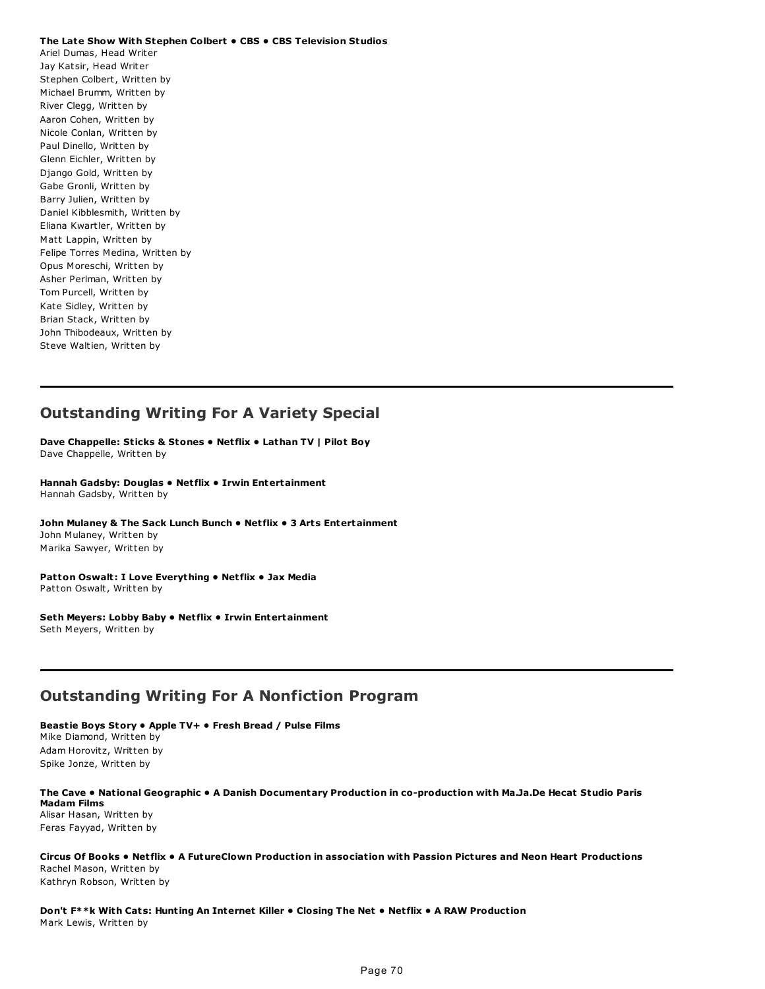#### **The Late Show With Stephen Colbert • CBS • CBS Television Studios**

Ariel Dumas, Head Writer Jay Katsir, Head Writer Stephen Colbert, Written by Michael Brumm, Written by River Clegg, Written by Aaron Cohen, Written by Nicole Conlan, Written by Paul Dinello, Written by Glenn Eichler, Written by Django Gold, Written by Gabe Gronli, Written by Barry Julien, Written by Daniel Kibblesmith, Written by Eliana Kwartler, Written by Matt Lappin, Written by Felipe Torres Medina, Written by Opus Moreschi, Written by Asher Perlman, Written by Tom Purcell, Written by Kate Sidley, Written by Brian Stack, Written by John Thibodeaux, Written by Steve Waltien, Written by

## **Outstanding Writing For A Variety Special**

**Dave Chappelle: Sticks & Stones • Netflix • Lathan TV | Pilot Boy** Dave Chappelle, Written by

**Hannah Gadsby: Douglas • Netflix • Irwin Entertainment** Hannah Gadsby, Written by

**John Mulaney & The Sack Lunch Bunch • Netflix • 3 Arts Entertainment** John Mulaney, Written by Marika Sawyer, Written by

#### **Patton Oswalt: I Love Everything • Netflix • Jax Media** Patton Oswalt, Written by

## **Seth Meyers: Lobby Baby • Netflix • Irwin Entertainment**

Seth Meyers, Written by

## **Outstanding Writing For A Nonfiction Program**

**Beastie Boys Story • Apple TV+ • Fresh Bread / Pulse Films** Mike Diamond, Written by Adam Horovitz, Written by Spike Jonze, Written by

#### The Cave . National Geographic . A Danish Documentary Production in co-production with Ma.Ja.De Hecat Studio Paris **Madam Films**

Alisar Hasan, Written by Feras Fayyad, Written by

Circus Of Books . Netflix . A FutureClown Production in association with Passion Pictures and Neon Heart Productions Rachel Mason, Written by Kathryn Robson, Written by

**Don't F\*\*k With Cats: Hunting An Internet Killer • Closing The Net • Netflix • A RAW Production** Mark Lewis, Written by